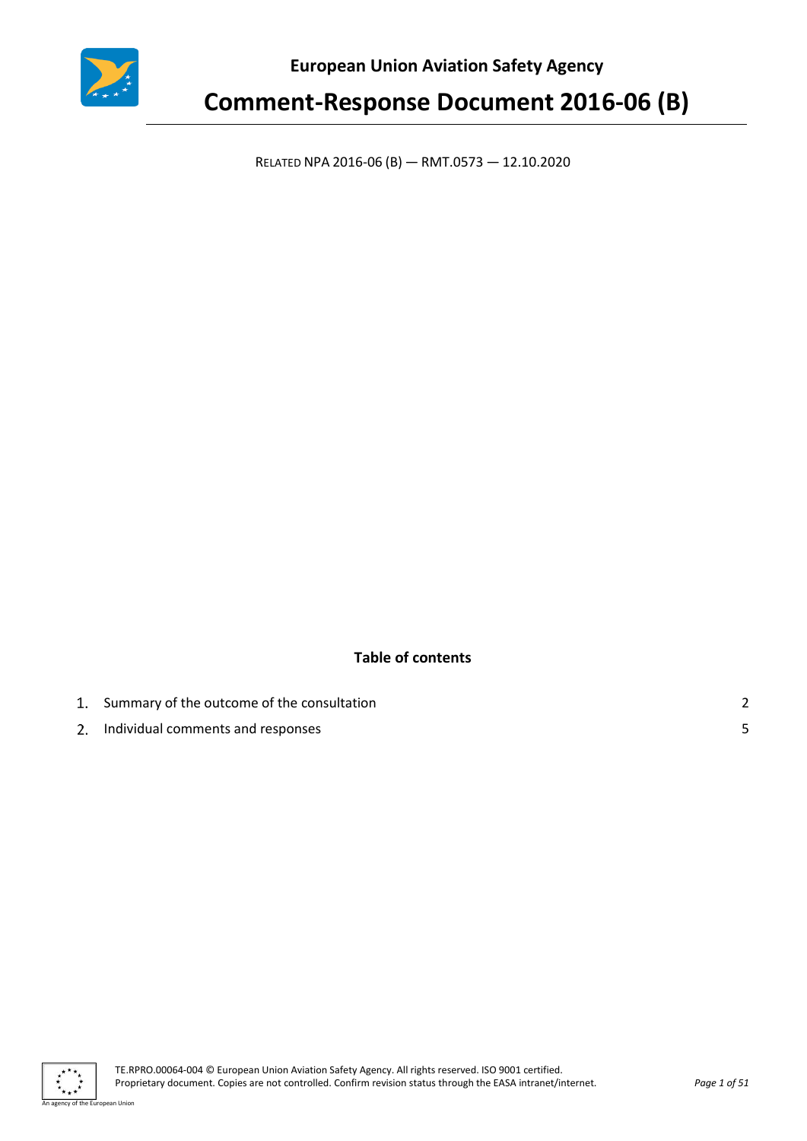

**European Union Aviation Safety Agency**

# **Comment-Response Document 2016-06 (B)**

RELATED NPA 2016-06 (B) — RMT.0573 — 12.10.2020

### **Table of contents**

| 1. Summary of the outcome of the consultation |  |
|-----------------------------------------------|--|
| 2. Individual comments and responses          |  |

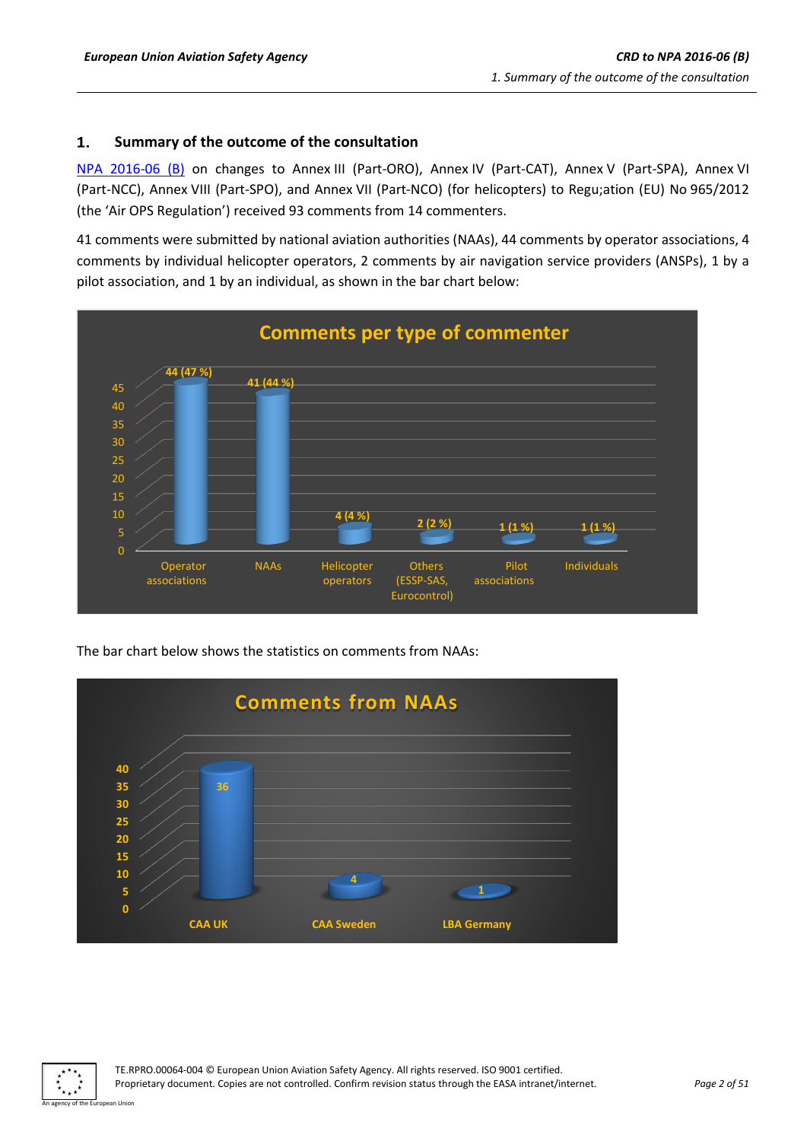### <span id="page-1-0"></span>1. **Summary of the outcome of the consultation**

[NPA 2016-06](https://www.easa.europa.eu/document-library/notices-of-proposed-amendment/npa-2016-06-b) (B) on changes to Annex III (Part-ORO), Annex IV (Part-CAT), Annex V (Part-SPA), Annex VI (Part-NCC), Annex VIII (Part-SPO), and Annex VII (Part-NCO) (for helicopters) to Regu;ation (EU) No 965/2012 (the 'Air OPS Regulation') received 93 comments from 14 commenters.

41 comments were submitted by national aviation authorities (NAAs), 44 comments by operator associations, 4 comments by individual helicopter operators, 2 comments by air navigation service providers (ANSPs), 1 by a pilot association, and 1 by an individual, as shown in the bar chart below:



The bar chart below shows the statistics on comments from NAAs:



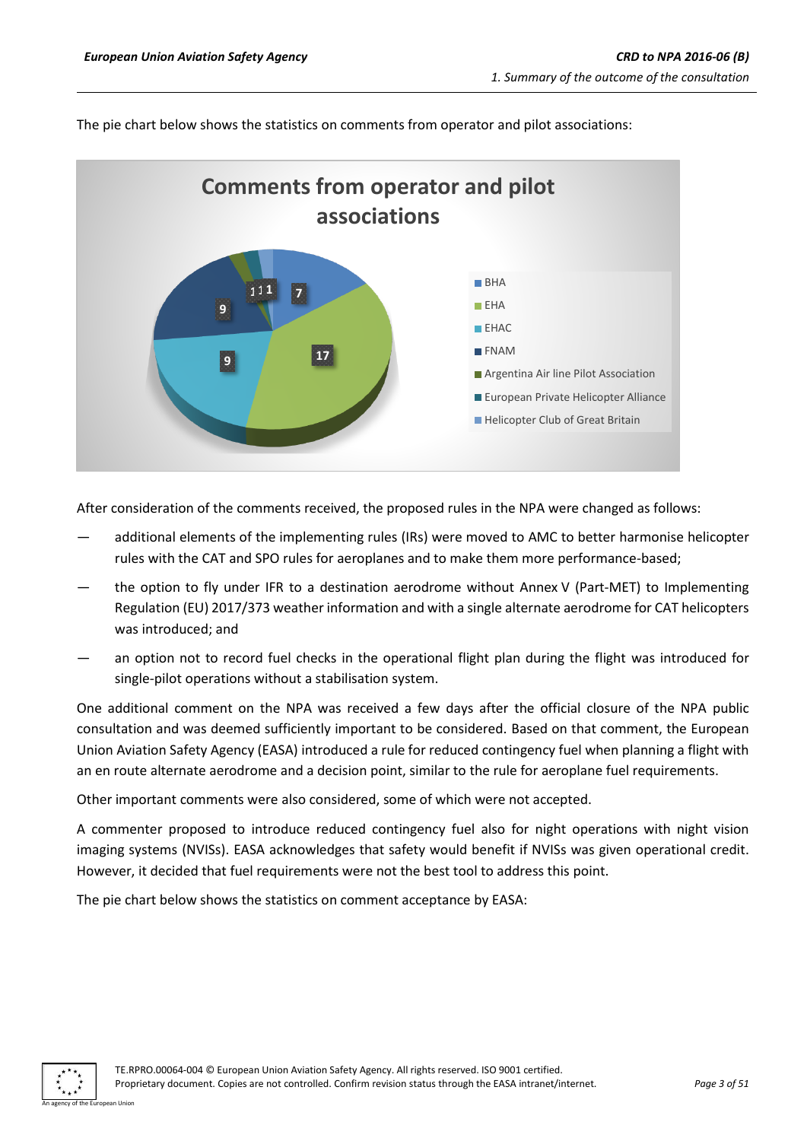

The pie chart below shows the statistics on comments from operator and pilot associations:

After consideration of the comments received, the proposed rules in the NPA were changed as follows:

- additional elements of the implementing rules (IRs) were moved to AMC to better harmonise helicopter rules with the CAT and SPO rules for aeroplanes and to make them more performance-based;
- the option to fly under IFR to a destination aerodrome without Annex V (Part-MET) to Implementing Regulation (EU) 2017/373 weather information and with a single alternate aerodrome for CAT helicopters was introduced; and
- an option not to record fuel checks in the operational flight plan during the flight was introduced for single-pilot operations without a stabilisation system.

One additional comment on the NPA was received a few days after the official closure of the NPA public consultation and was deemed sufficiently important to be considered. Based on that comment, the European Union Aviation Safety Agency (EASA) introduced a rule for reduced contingency fuel when planning a flight with an en route alternate aerodrome and a decision point, similar to the rule for aeroplane fuel requirements.

Other important comments were also considered, some of which were not accepted.

A commenter proposed to introduce reduced contingency fuel also for night operations with night vision imaging systems (NVISs). EASA acknowledges that safety would benefit if NVISs was given operational credit. However, it decided that fuel requirements were not the best tool to address this point.

The pie chart below shows the statistics on comment acceptance by EASA:

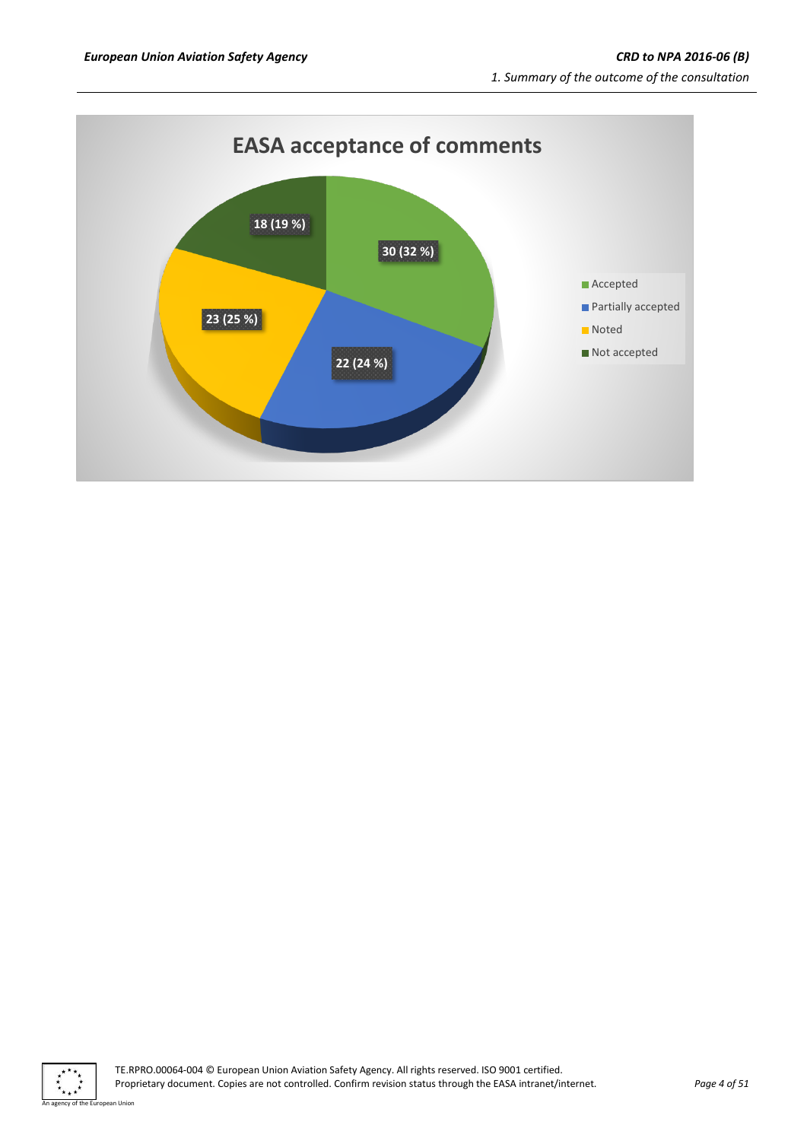

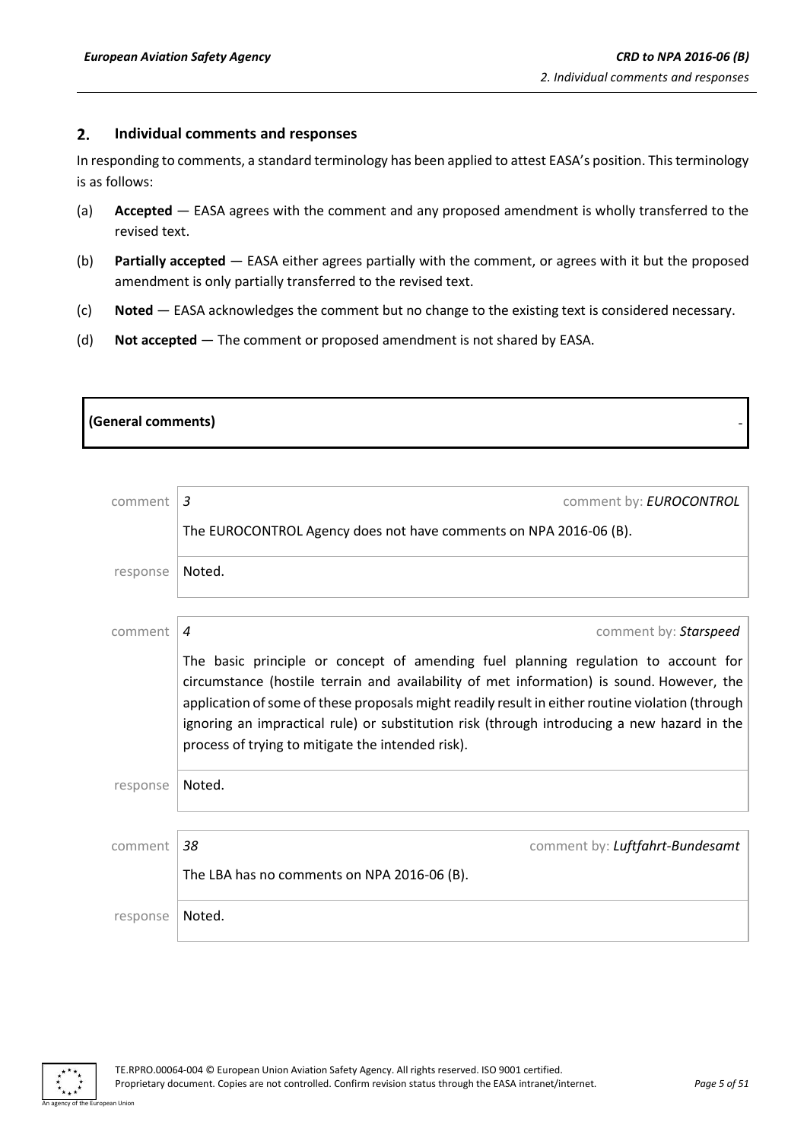### <span id="page-4-0"></span> $2.$ **Individual comments and responses**

In responding to comments, a standard terminology has been applied to attest EASA's position. This terminology is as follows:

- (a) **Accepted** EASA agrees with the comment and any proposed amendment is wholly transferred to the revised text.
- (b) **Partially accepted** EASA either agrees partially with the comment, or agrees with it but the proposed amendment is only partially transferred to the revised text.
- (c) **Noted** EASA acknowledges the comment but no change to the existing text is considered necessary.
- (d) **Not accepted** The comment or proposed amendment is not shared by EASA.

| (General comments) |
|--------------------|
|--------------------|

| comment  | 3<br>comment by: <b>EUROCONTROL</b>                                                                                                                                                                                                                                                                                                                                                                                                     |
|----------|-----------------------------------------------------------------------------------------------------------------------------------------------------------------------------------------------------------------------------------------------------------------------------------------------------------------------------------------------------------------------------------------------------------------------------------------|
|          | The EUROCONTROL Agency does not have comments on NPA 2016-06 (B).                                                                                                                                                                                                                                                                                                                                                                       |
| response | Noted.                                                                                                                                                                                                                                                                                                                                                                                                                                  |
|          |                                                                                                                                                                                                                                                                                                                                                                                                                                         |
| comment  | 4<br>comment by: Starspeed                                                                                                                                                                                                                                                                                                                                                                                                              |
|          | The basic principle or concept of amending fuel planning regulation to account for<br>circumstance (hostile terrain and availability of met information) is sound. However, the<br>application of some of these proposals might readily result in either routine violation (through<br>ignoring an impractical rule) or substitution risk (through introducing a new hazard in the<br>process of trying to mitigate the intended risk). |
| response | Noted.                                                                                                                                                                                                                                                                                                                                                                                                                                  |
|          |                                                                                                                                                                                                                                                                                                                                                                                                                                         |
| comment  | 38<br>comment by: Luftfahrt-Bundesamt                                                                                                                                                                                                                                                                                                                                                                                                   |
|          | The LBA has no comments on NPA 2016-06 (B).                                                                                                                                                                                                                                                                                                                                                                                             |
| response | Noted.                                                                                                                                                                                                                                                                                                                                                                                                                                  |

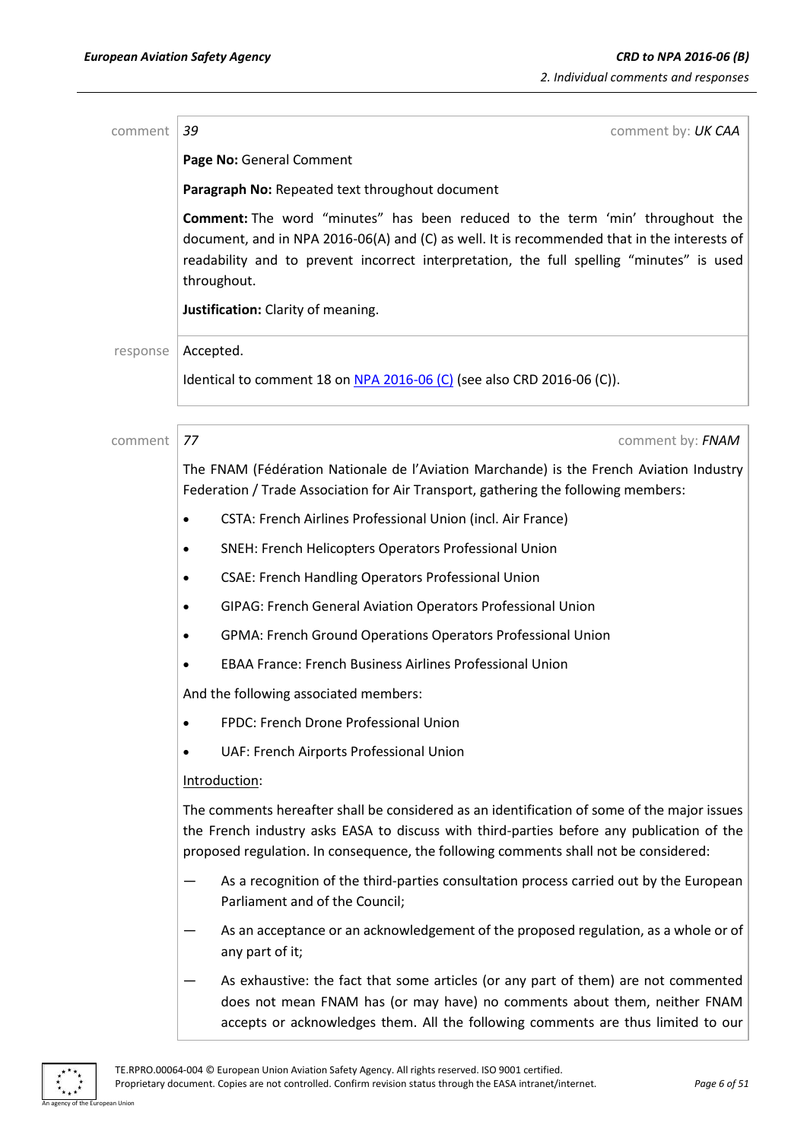| comment  | 39<br>comment by: UK CAA                                                                                                                                                                                                                                                                |
|----------|-----------------------------------------------------------------------------------------------------------------------------------------------------------------------------------------------------------------------------------------------------------------------------------------|
|          | Page No: General Comment                                                                                                                                                                                                                                                                |
|          | Paragraph No: Repeated text throughout document                                                                                                                                                                                                                                         |
|          | Comment: The word "minutes" has been reduced to the term 'min' throughout the<br>document, and in NPA 2016-06(A) and (C) as well. It is recommended that in the interests of<br>readability and to prevent incorrect interpretation, the full spelling "minutes" is used<br>throughout. |
|          | Justification: Clarity of meaning.                                                                                                                                                                                                                                                      |
| response | Accepted.                                                                                                                                                                                                                                                                               |
|          | Identical to comment 18 on $NPA$ 2016-06 (C) (see also CRD 2016-06 (C)).                                                                                                                                                                                                                |
| comment  | 77<br>comment by: FNAM                                                                                                                                                                                                                                                                  |
|          | The FNAM (Fédération Nationale de l'Aviation Marchande) is the French Aviation Industry<br>Federation / Trade Association for Air Transport, gathering the following members:                                                                                                           |
|          | CSTA: French Airlines Professional Union (incl. Air France)<br>$\bullet$                                                                                                                                                                                                                |
|          | SNEH: French Helicopters Operators Professional Union<br>$\bullet$                                                                                                                                                                                                                      |
|          | <b>CSAE: French Handling Operators Professional Union</b><br>$\bullet$                                                                                                                                                                                                                  |
|          | GIPAG: French General Aviation Operators Professional Union<br>$\bullet$                                                                                                                                                                                                                |
|          | GPMA: French Ground Operations Operators Professional Union<br>$\bullet$                                                                                                                                                                                                                |
|          | <b>EBAA France: French Business Airlines Professional Union</b><br>$\bullet$                                                                                                                                                                                                            |
|          | And the following associated members:                                                                                                                                                                                                                                                   |
|          | FPDC: French Drone Professional Union<br>$\bullet$                                                                                                                                                                                                                                      |
|          | UAF: French Airports Professional Union<br>٠                                                                                                                                                                                                                                            |
|          | Introduction:                                                                                                                                                                                                                                                                           |
|          | The comments hereafter shall be considered as an identification of some of the major issues<br>the French industry asks EASA to discuss with third-parties before any publication of the<br>proposed regulation. In consequence, the following comments shall not be considered:        |
|          | As a recognition of the third-parties consultation process carried out by the European<br>Parliament and of the Council;                                                                                                                                                                |
|          | As an acceptance or an acknowledgement of the proposed regulation, as a whole or of<br>any part of it;                                                                                                                                                                                  |
|          | As exhaustive: the fact that some articles (or any part of them) are not commented<br>does not mean FNAM has (or may have) no comments about them, neither FNAM<br>accepts or acknowledges them. All the following comments are thus limited to our                                     |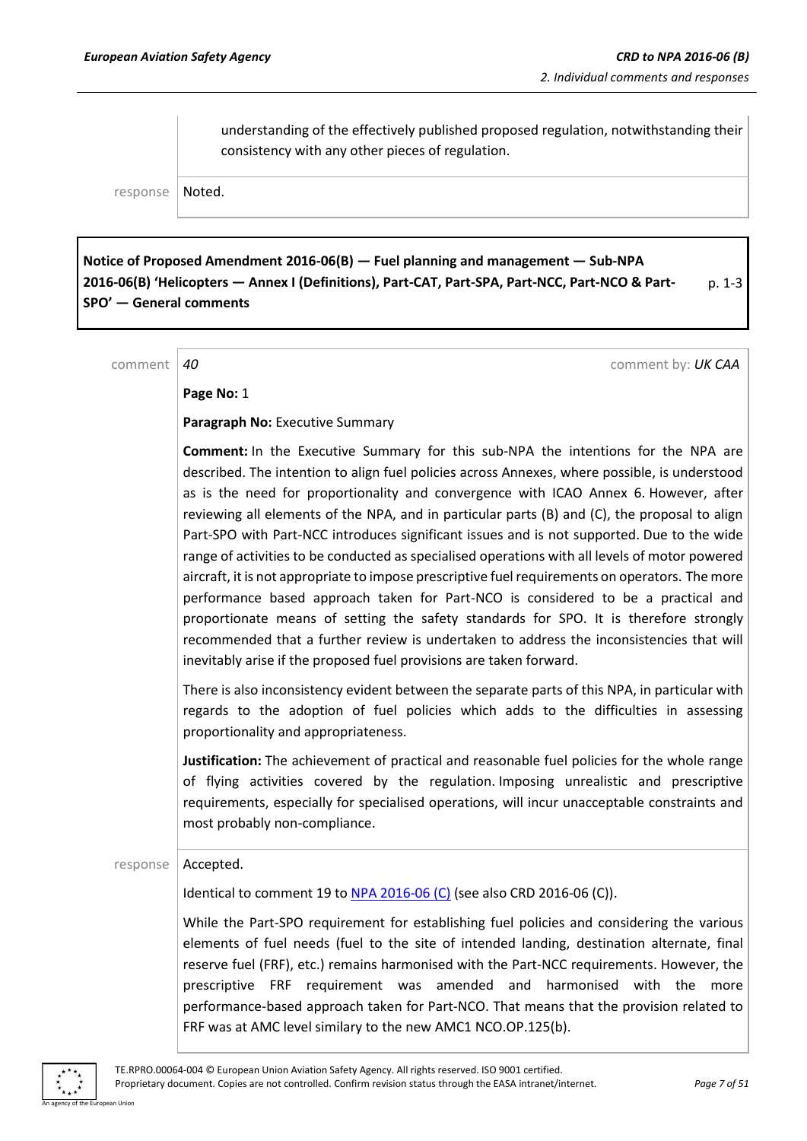understanding of the effectively published proposed regulation, notwithstanding their consistency with any other pieces of regulation.

response | Noted.

**Notice of Proposed Amendment 2016-06(B) — Fuel planning and management — Sub-NPA 2016-06(B) 'Helicopters — Annex I (Definitions), Part-CAT, Part-SPA, Part-NCC, Part-NCO & Part-SPO' — General comments** p. 1-3

comment *40* comment by: *UK CAA*

**Page No:** 1

**Paragraph No:** Executive Summary

**Comment:** In the Executive Summary for this sub-NPA the intentions for the NPA are described. The intention to align fuel policies across Annexes, where possible, is understood as is the need for proportionality and convergence with ICAO Annex 6. However, after reviewing all elements of the NPA, and in particular parts (B) and (C), the proposal to align Part-SPO with Part-NCC introduces significant issues and is not supported. Due to the wide range of activities to be conducted as specialised operations with all levels of motor powered aircraft, it is not appropriate to impose prescriptive fuel requirements on operators. The more performance based approach taken for Part-NCO is considered to be a practical and proportionate means of setting the safety standards for SPO. It is therefore strongly recommended that a further review is undertaken to address the inconsistencies that will inevitably arise if the proposed fuel provisions are taken forward.

There is also inconsistency evident between the separate parts of this NPA, in particular with regards to the adoption of fuel policies which adds to the difficulties in assessing proportionality and appropriateness.

**Justification:** The achievement of practical and reasonable fuel policies for the whole range of flying activities covered by the regulation. Imposing unrealistic and prescriptive requirements, especially for specialised operations, will incur unacceptable constraints and most probably non-compliance.

### response | Accepted.

Identical to comment 19 to NPA [2016-06](https://www.easa.europa.eu/document-library/notices-of-proposed-amendment/npa-2016-06-c) (C) (see also CRD 2016-06 (C)).

While the Part-SPO requirement for establishing fuel policies and considering the various elements of fuel needs (fuel to the site of intended landing, destination alternate, final reserve fuel (FRF), etc.) remains harmonised with the Part-NCC requirements. However, the prescriptive FRF requirement was amended and harmonised with the more performance-based approach taken for Part-NCO. That means that the provision related to FRF was at AMC level similary to the new AMC1 NCO.OP.125(b).

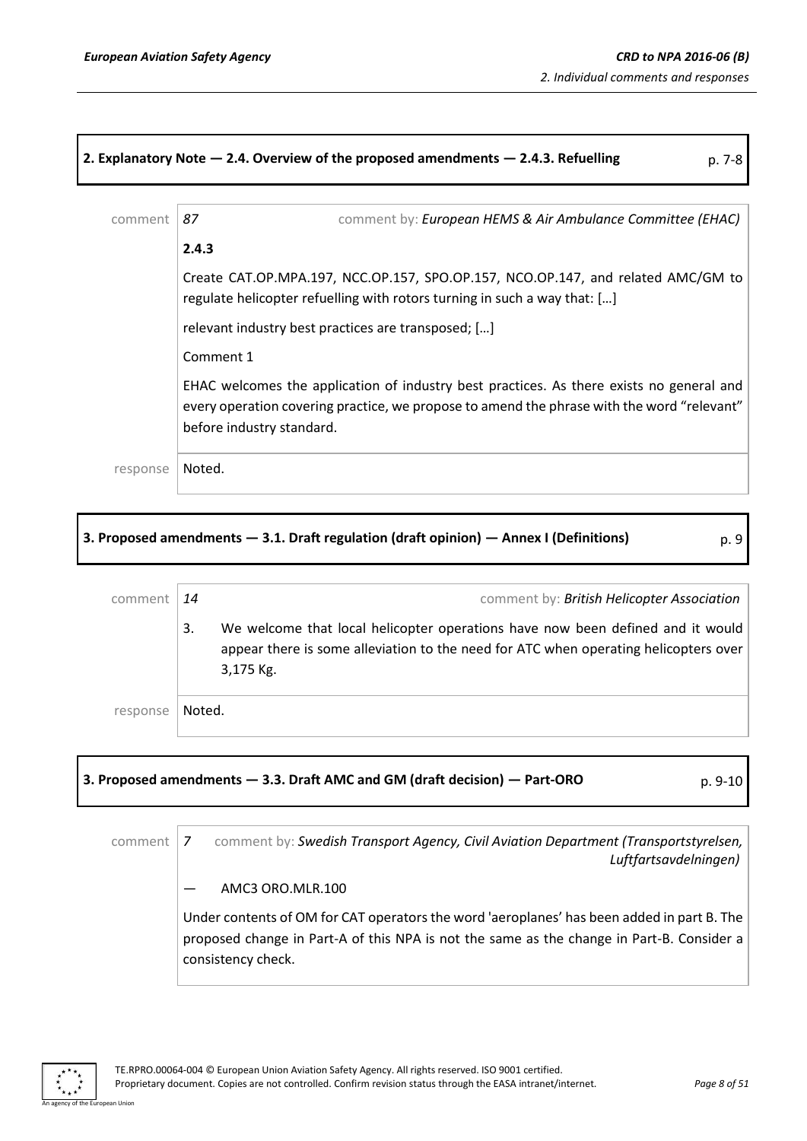### **2. Explanatory Note — 2.4. Overview of the proposed amendments — 2.4.3. Refuelling** p. 7-8

| comment  | comment by: European HEMS & Air Ambulance Committee (EHAC)<br>87                                                                                                                                                    |
|----------|---------------------------------------------------------------------------------------------------------------------------------------------------------------------------------------------------------------------|
|          | 2.4.3                                                                                                                                                                                                               |
|          | Create CAT.OP.MPA.197, NCC.OP.157, SPO.OP.157, NCO.OP.147, and related AMC/GM to<br>regulate helicopter refuelling with rotors turning in such a way that: []                                                       |
|          | relevant industry best practices are transposed; []                                                                                                                                                                 |
|          | Comment 1                                                                                                                                                                                                           |
|          | EHAC welcomes the application of industry best practices. As there exists no general and<br>every operation covering practice, we propose to amend the phrase with the word "relevant"<br>before industry standard. |
| response | Noted.                                                                                                                                                                                                              |

### **3. Proposed amendments — 3.1. Draft regulation (draft opinion) — Annex I (Definitions)** p. 9

| ۰,<br>I |  |
|---------|--|
| I<br>v  |  |
|         |  |

| comment  | 14     | comment by: British Helicopter Association                                                                                                                                          |
|----------|--------|-------------------------------------------------------------------------------------------------------------------------------------------------------------------------------------|
|          | 3.     | We welcome that local helicopter operations have now been defined and it would<br>appear there is some alleviation to the need for ATC when operating helicopters over<br>3,175 Kg. |
| response | Noted. |                                                                                                                                                                                     |

### **3. Proposed amendments — 3.3. Draft AMC and GM (draft decision) — Part-ORO** p. 9-10

comment 7 comment by: Swedish Transport Agency, Civil Aviation Department (Transportstyrelsen, *Luftfartsavdelningen)*

### — AMC3 ORO.MLR.100

Under contents of OM for CAT operators the word 'aeroplanes' has been added in part B. The proposed change in Part-A of this NPA is not the same as the change in Part-B. Consider a consistency check.

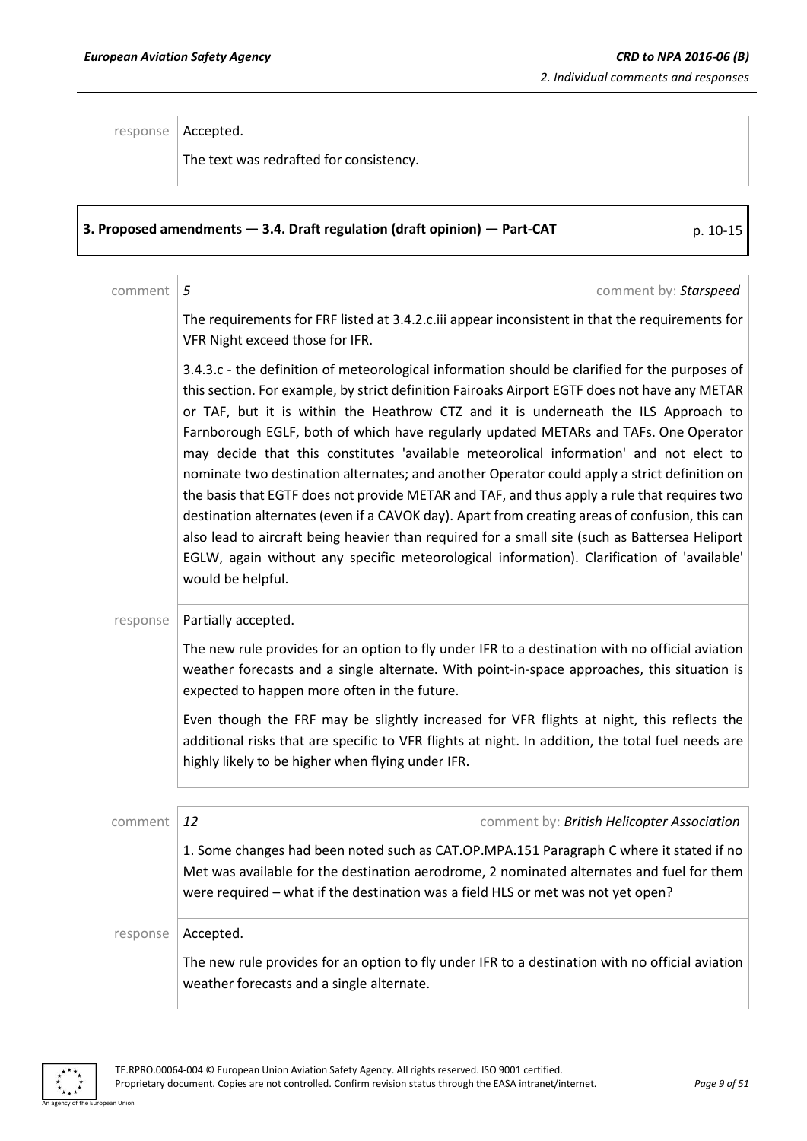response | Accepted.

The text was redrafted for consistency.

### **3. Proposed amendments — 3.4. Draft regulation (draft opinion) — Part-CAT** p. 10-15

comment *5* comment by: *Starspeed*

The requirements for FRF listed at 3.4.2.c.iii appear inconsistent in that the requirements for VFR Night exceed those for IFR.

3.4.3.c - the definition of meteorological information should be clarified for the purposes of this section. For example, by strict definition Fairoaks Airport EGTF does not have any METAR or TAF, but it is within the Heathrow CTZ and it is underneath the ILS Approach to Farnborough EGLF, both of which have regularly updated METARs and TAFs. One Operator may decide that this constitutes 'available meteorolical information' and not elect to nominate two destination alternates; and another Operator could apply a strict definition on the basis that EGTF does not provide METAR and TAF, and thus apply a rule that requires two destination alternates (even if a CAVOK day). Apart from creating areas of confusion, this can also lead to aircraft being heavier than required for a small site (such as Battersea Heliport EGLW, again without any specific meteorological information). Clarification of 'available' would be helpful.

 $response$  | Partially accepted.

The new rule provides for an option to fly under IFR to a destination with no official aviation weather forecasts and a single alternate. With point-in-space approaches, this situation is expected to happen more often in the future.

Even though the FRF may be slightly increased for VFR flights at night, this reflects the additional risks that are specific to VFR flights at night. In addition, the total fuel needs are highly likely to be higher when flying under IFR.

| comment  | comment by: British Helicopter Association<br>12                                                                                                                                                                                                                         |
|----------|--------------------------------------------------------------------------------------------------------------------------------------------------------------------------------------------------------------------------------------------------------------------------|
|          | 1. Some changes had been noted such as CAT.OP.MPA.151 Paragraph C where it stated if no<br>Met was available for the destination aerodrome, 2 nominated alternates and fuel for them<br>were required – what if the destination was a field HLS or met was not yet open? |
| response | Accepted.                                                                                                                                                                                                                                                                |
|          | The new rule provides for an option to fly under IFR to a destination with no official aviation<br>weather forecasts and a single alternate.                                                                                                                             |

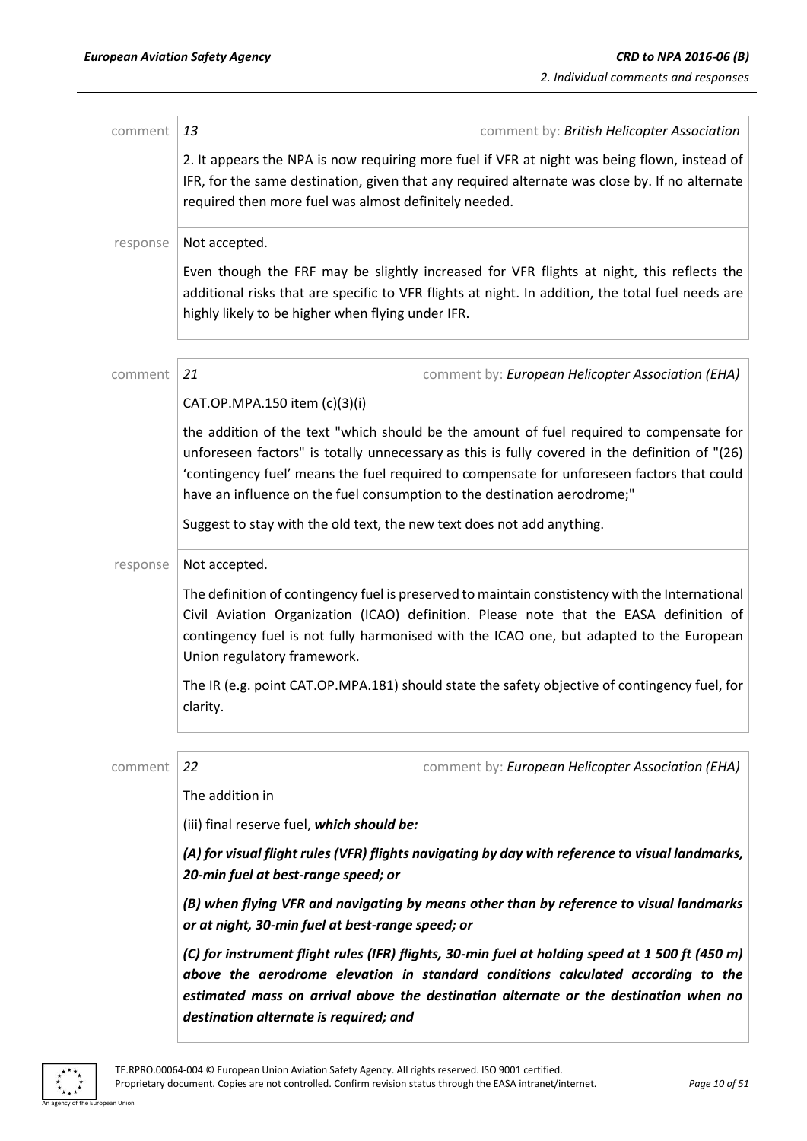| comment  | 13<br>comment by: British Helicopter Association                                                                                                                                                                                                                                                                                                                    |
|----------|---------------------------------------------------------------------------------------------------------------------------------------------------------------------------------------------------------------------------------------------------------------------------------------------------------------------------------------------------------------------|
|          | 2. It appears the NPA is now requiring more fuel if VFR at night was being flown, instead of<br>IFR, for the same destination, given that any required alternate was close by. If no alternate<br>required then more fuel was almost definitely needed.                                                                                                             |
| response | Not accepted.                                                                                                                                                                                                                                                                                                                                                       |
|          | Even though the FRF may be slightly increased for VFR flights at night, this reflects the<br>additional risks that are specific to VFR flights at night. In addition, the total fuel needs are<br>highly likely to be higher when flying under IFR.                                                                                                                 |
| comment  | 21<br>comment by: European Helicopter Association (EHA)                                                                                                                                                                                                                                                                                                             |
|          | CAT.OP.MPA.150 item (c)(3)(i)                                                                                                                                                                                                                                                                                                                                       |
|          | the addition of the text "which should be the amount of fuel required to compensate for<br>unforeseen factors" is totally unnecessary as this is fully covered in the definition of "(26)<br>'contingency fuel' means the fuel required to compensate for unforeseen factors that could<br>have an influence on the fuel consumption to the destination aerodrome;" |
|          | Suggest to stay with the old text, the new text does not add anything.                                                                                                                                                                                                                                                                                              |
| response | Not accepted.                                                                                                                                                                                                                                                                                                                                                       |
|          | The definition of contingency fuel is preserved to maintain constistency with the International<br>Civil Aviation Organization (ICAO) definition. Please note that the EASA definition of<br>contingency fuel is not fully harmonised with the ICAO one, but adapted to the European<br>Union regulatory framework.                                                 |
|          | The IR (e.g. point CAT.OP.MPA.181) should state the safety objective of contingency fuel, for<br>clarity.                                                                                                                                                                                                                                                           |
| comment  | 22<br>comment by: European Helicopter Association (EHA)                                                                                                                                                                                                                                                                                                             |
|          | The addition in                                                                                                                                                                                                                                                                                                                                                     |
|          | (iii) final reserve fuel, which should be:                                                                                                                                                                                                                                                                                                                          |
|          | (A) for visual flight rules (VFR) flights navigating by day with reference to visual landmarks,<br>20-min fuel at best-range speed; or                                                                                                                                                                                                                              |
|          | (B) when flying VFR and navigating by means other than by reference to visual landmarks<br>or at night, 30-min fuel at best-range speed; or                                                                                                                                                                                                                         |
|          | (C) for instrument flight rules (IFR) flights, 30-min fuel at holding speed at 1 500 ft (450 m)<br>above the aerodrome elevation in standard conditions calculated according to the<br>estimated mass on arrival above the destination alternate or the destination when no<br>destination alternate is required; and                                               |

 $\ddot{\ast}$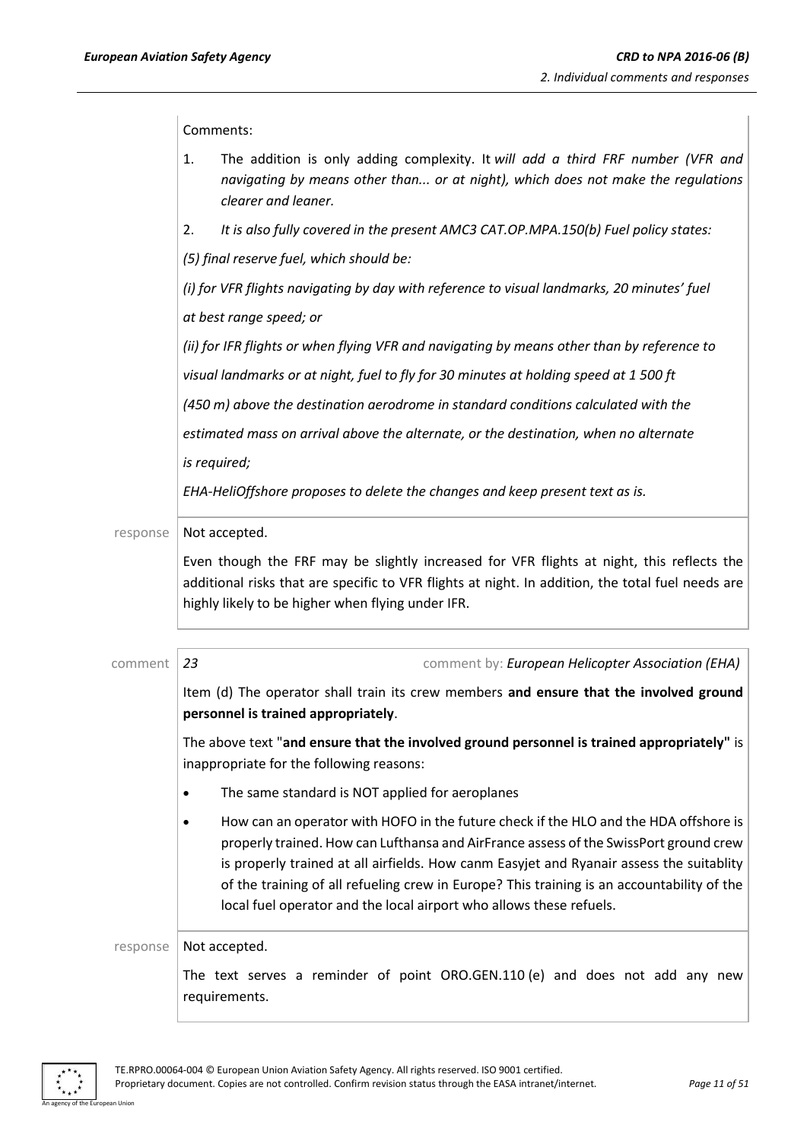Comments:

|          | 1.        | The addition is only adding complexity. It will add a third FRF number (VFR and<br>navigating by means other than or at night), which does not make the regulations<br>clearer and leaner.                                                                                                                                                                                                                                                     |
|----------|-----------|------------------------------------------------------------------------------------------------------------------------------------------------------------------------------------------------------------------------------------------------------------------------------------------------------------------------------------------------------------------------------------------------------------------------------------------------|
|          | 2.        | It is also fully covered in the present AMC3 CAT.OP.MPA.150(b) Fuel policy states:                                                                                                                                                                                                                                                                                                                                                             |
|          |           | (5) final reserve fuel, which should be:                                                                                                                                                                                                                                                                                                                                                                                                       |
|          |           | (i) for VFR flights navigating by day with reference to visual landmarks, 20 minutes' fuel                                                                                                                                                                                                                                                                                                                                                     |
|          |           | at best range speed; or                                                                                                                                                                                                                                                                                                                                                                                                                        |
|          |           | (ii) for IFR flights or when flying VFR and navigating by means other than by reference to                                                                                                                                                                                                                                                                                                                                                     |
|          |           | visual landmarks or at night, fuel to fly for 30 minutes at holding speed at 1 500 ft                                                                                                                                                                                                                                                                                                                                                          |
|          |           | (450 m) above the destination aerodrome in standard conditions calculated with the                                                                                                                                                                                                                                                                                                                                                             |
|          |           | estimated mass on arrival above the alternate, or the destination, when no alternate                                                                                                                                                                                                                                                                                                                                                           |
|          |           | is required;                                                                                                                                                                                                                                                                                                                                                                                                                                   |
|          |           | EHA-HeliOffshore proposes to delete the changes and keep present text as is.                                                                                                                                                                                                                                                                                                                                                                   |
| response |           | Not accepted.<br>Even though the FRF may be slightly increased for VFR flights at night, this reflects the<br>additional risks that are specific to VFR flights at night. In addition, the total fuel needs are<br>highly likely to be higher when flying under IFR.                                                                                                                                                                           |
| comment  | 23        | comment by: European Helicopter Association (EHA)                                                                                                                                                                                                                                                                                                                                                                                              |
|          |           | Item (d) The operator shall train its crew members and ensure that the involved ground<br>personnel is trained appropriately.                                                                                                                                                                                                                                                                                                                  |
|          |           | The above text "and ensure that the involved ground personnel is trained appropriately" is<br>inappropriate for the following reasons:                                                                                                                                                                                                                                                                                                         |
|          | $\bullet$ | The same standard is NOT applied for aeroplanes                                                                                                                                                                                                                                                                                                                                                                                                |
|          |           | How can an operator with HOFO in the future check if the HLO and the HDA offshore is<br>properly trained. How can Lufthansa and AirFrance assess of the SwissPort ground crew<br>is properly trained at all airfields. How canm Easyjet and Ryanair assess the suitablity<br>of the training of all refueling crew in Europe? This training is an accountability of the<br>local fuel operator and the local airport who allows these refuels. |
| response |           | Not accepted.                                                                                                                                                                                                                                                                                                                                                                                                                                  |
|          |           | The text serves a reminder of point ORO.GEN.110 (e) and does not add any new<br>requirements.                                                                                                                                                                                                                                                                                                                                                  |

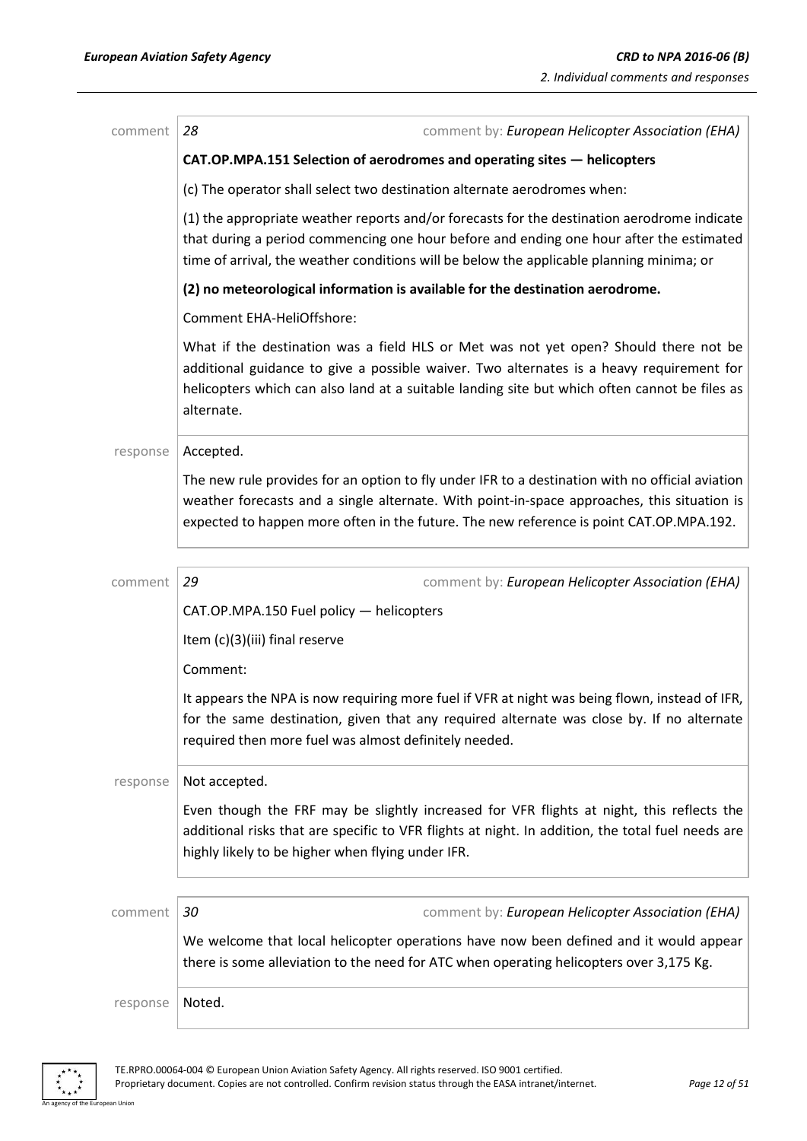| comment  | 28<br>comment by: European Helicopter Association (EHA)                                                                                                                                                                                                                                         |
|----------|-------------------------------------------------------------------------------------------------------------------------------------------------------------------------------------------------------------------------------------------------------------------------------------------------|
|          | CAT.OP.MPA.151 Selection of aerodromes and operating sites - helicopters                                                                                                                                                                                                                        |
|          | (c) The operator shall select two destination alternate aerodromes when:                                                                                                                                                                                                                        |
|          | (1) the appropriate weather reports and/or forecasts for the destination aerodrome indicate<br>that during a period commencing one hour before and ending one hour after the estimated<br>time of arrival, the weather conditions will be below the applicable planning minima; or              |
|          | (2) no meteorological information is available for the destination aerodrome.                                                                                                                                                                                                                   |
|          | <b>Comment EHA-HeliOffshore:</b>                                                                                                                                                                                                                                                                |
|          | What if the destination was a field HLS or Met was not yet open? Should there not be<br>additional guidance to give a possible waiver. Two alternates is a heavy requirement for<br>helicopters which can also land at a suitable landing site but which often cannot be files as<br>alternate. |
| response | Accepted.                                                                                                                                                                                                                                                                                       |
|          | The new rule provides for an option to fly under IFR to a destination with no official aviation<br>weather forecasts and a single alternate. With point-in-space approaches, this situation is<br>expected to happen more often in the future. The new reference is point CAT.OP.MPA.192.       |
| comment  | 29<br>comment by: European Helicopter Association (EHA)                                                                                                                                                                                                                                         |
|          | CAT.OP.MPA.150 Fuel policy - helicopters                                                                                                                                                                                                                                                        |
|          | Item (c)(3)(iii) final reserve                                                                                                                                                                                                                                                                  |
|          | Comment:                                                                                                                                                                                                                                                                                        |
|          | It appears the NPA is now requiring more fuel if VFR at night was being flown, instead of IFR,<br>for the same destination, given that any required alternate was close by. If no alternate<br>required then more fuel was almost definitely needed.                                            |
| response | Not accepted.                                                                                                                                                                                                                                                                                   |
|          | Even though the FRF may be slightly increased for VFR flights at night, this reflects the<br>additional risks that are specific to VFR flights at night. In addition, the total fuel needs are<br>highly likely to be higher when flying under IFR.                                             |
| comment  | comment by: European Helicopter Association (EHA)<br>30                                                                                                                                                                                                                                         |
|          | We welcome that local helicopter operations have now been defined and it would appear<br>there is some alleviation to the need for ATC when operating helicopters over 3,175 Kg.                                                                                                                |
| response | Noted.                                                                                                                                                                                                                                                                                          |

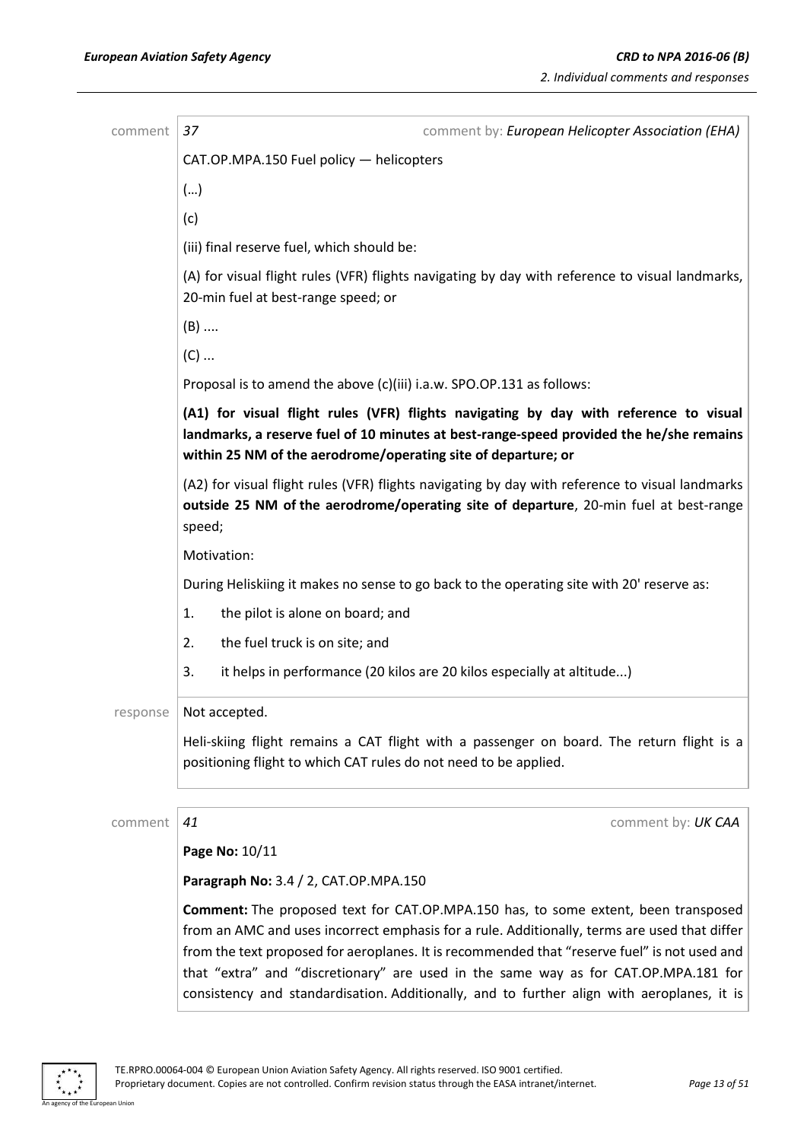| comment  | 37<br>comment by: European Helicopter Association (EHA)                                                                                                                                                                                                                                                                                                                                                                                                                        |
|----------|--------------------------------------------------------------------------------------------------------------------------------------------------------------------------------------------------------------------------------------------------------------------------------------------------------------------------------------------------------------------------------------------------------------------------------------------------------------------------------|
|          | CAT.OP.MPA.150 Fuel policy - helicopters                                                                                                                                                                                                                                                                                                                                                                                                                                       |
|          | ()                                                                                                                                                                                                                                                                                                                                                                                                                                                                             |
|          | (c)                                                                                                                                                                                                                                                                                                                                                                                                                                                                            |
|          | (iii) final reserve fuel, which should be:                                                                                                                                                                                                                                                                                                                                                                                                                                     |
|          | (A) for visual flight rules (VFR) flights navigating by day with reference to visual landmarks,<br>20-min fuel at best-range speed; or                                                                                                                                                                                                                                                                                                                                         |
|          | $(B)$                                                                                                                                                                                                                                                                                                                                                                                                                                                                          |
|          | $(C)$                                                                                                                                                                                                                                                                                                                                                                                                                                                                          |
|          | Proposal is to amend the above (c)(iii) i.a.w. SPO.OP.131 as follows:                                                                                                                                                                                                                                                                                                                                                                                                          |
|          | (A1) for visual flight rules (VFR) flights navigating by day with reference to visual<br>landmarks, a reserve fuel of 10 minutes at best-range-speed provided the he/she remains<br>within 25 NM of the aerodrome/operating site of departure; or                                                                                                                                                                                                                              |
|          | (A2) for visual flight rules (VFR) flights navigating by day with reference to visual landmarks<br>outside 25 NM of the aerodrome/operating site of departure, 20-min fuel at best-range<br>speed;                                                                                                                                                                                                                                                                             |
|          | Motivation:                                                                                                                                                                                                                                                                                                                                                                                                                                                                    |
|          | During Heliskiing it makes no sense to go back to the operating site with 20' reserve as:                                                                                                                                                                                                                                                                                                                                                                                      |
|          | the pilot is alone on board; and<br>1.                                                                                                                                                                                                                                                                                                                                                                                                                                         |
|          | the fuel truck is on site; and<br>2.                                                                                                                                                                                                                                                                                                                                                                                                                                           |
|          | it helps in performance (20 kilos are 20 kilos especially at altitude)<br>3.                                                                                                                                                                                                                                                                                                                                                                                                   |
| response | Not accepted.                                                                                                                                                                                                                                                                                                                                                                                                                                                                  |
|          | Heli-skiing flight remains a CAT flight with a passenger on board. The return flight is a<br>positioning flight to which CAT rules do not need to be applied.                                                                                                                                                                                                                                                                                                                  |
| comment  | 41<br>comment by: UK CAA                                                                                                                                                                                                                                                                                                                                                                                                                                                       |
|          | Page No: 10/11                                                                                                                                                                                                                                                                                                                                                                                                                                                                 |
|          | Paragraph No: 3.4 / 2, CAT.OP.MPA.150                                                                                                                                                                                                                                                                                                                                                                                                                                          |
|          | <b>Comment:</b> The proposed text for CAT.OP.MPA.150 has, to some extent, been transposed<br>from an AMC and uses incorrect emphasis for a rule. Additionally, terms are used that differ<br>from the text proposed for aeroplanes. It is recommended that "reserve fuel" is not used and<br>that "extra" and "discretionary" are used in the same way as for CAT.OP.MPA.181 for<br>consistency and standardisation. Additionally, and to further align with aeroplanes, it is |

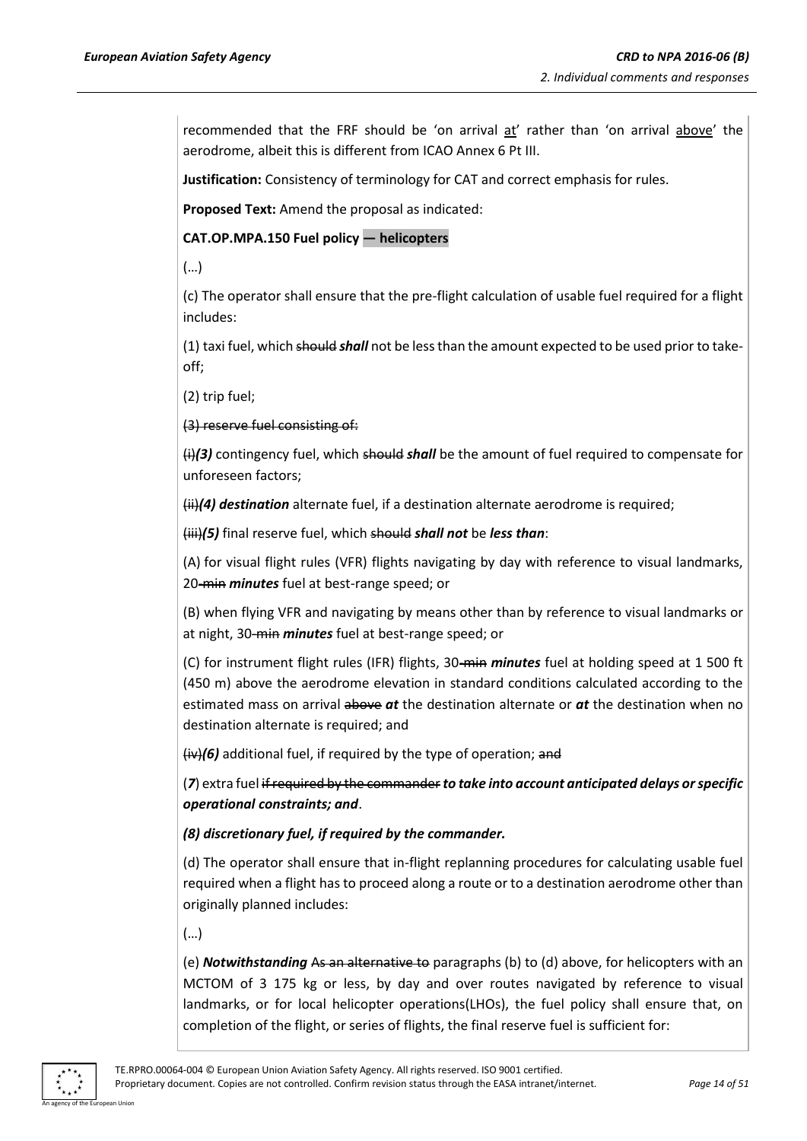recommended that the FRF should be 'on arrival at' rather than 'on arrival above' the aerodrome, albeit this is different from ICAO Annex 6 Pt III.

**Justification:** Consistency of terminology for CAT and correct emphasis for rules.

**Proposed Text:** Amend the proposal as indicated:

**CAT.OP.MPA.150 Fuel policy — helicopters**

(…)

(c) The operator shall ensure that the pre-flight calculation of usable fuel required for a flight includes:

(1) taxi fuel, which should *shall* not be less than the amount expected to be used prior to takeoff;

(2) trip fuel;

(3) reserve fuel consisting of:

(i)*(3)* contingency fuel, which should *shall* be the amount of fuel required to compensate for unforeseen factors;

(ii)*(4) destination* alternate fuel, if a destination alternate aerodrome is required;

(iii)*(5)* final reserve fuel, which should *shall not* be *less than*:

(A) for visual flight rules (VFR) flights navigating by day with reference to visual landmarks, 20-min *minutes* fuel at best-range speed; or

(B) when flying VFR and navigating by means other than by reference to visual landmarks or at night, 30-min *minutes* fuel at best-range speed; or

(C) for instrument flight rules (IFR) flights, 30-min *minutes* fuel at holding speed at 1 500 ft (450 m) above the aerodrome elevation in standard conditions calculated according to the estimated mass on arrival above *at* the destination alternate or *at* the destination when no destination alternate is required; and

(iv)*(6)* additional fuel, if required by the type of operation; and

(*7*) extra fuel if required by the commander*to take into account anticipated delays or specific operational constraints; and*.

### *(8) discretionary fuel, if required by the commander.*

(d) The operator shall ensure that in-flight replanning procedures for calculating usable fuel required when a flight has to proceed along a route or to a destination aerodrome other than originally planned includes:

(…)

(e) *Notwithstanding* As an alternative to paragraphs (b) to (d) above, for helicopters with an MCTOM of 3 175 kg or less, by day and over routes navigated by reference to visual landmarks, or for local helicopter operations(LHOs), the fuel policy shall ensure that, on completion of the flight, or series of flights, the final reserve fuel is sufficient for:

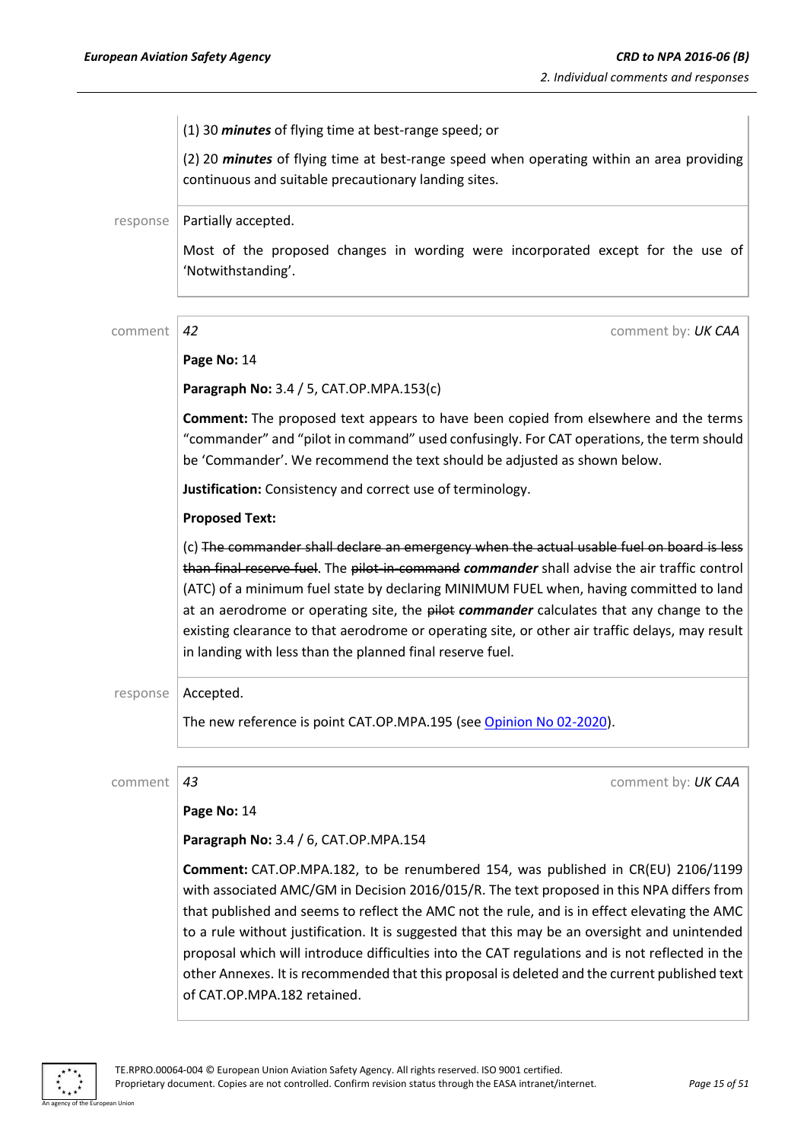|          | (1) 30 <i>minutes</i> of flying time at best-range speed; or                                                                                                                                                                                                                                                                                                                                                                                                                                                                                                                                                      |
|----------|-------------------------------------------------------------------------------------------------------------------------------------------------------------------------------------------------------------------------------------------------------------------------------------------------------------------------------------------------------------------------------------------------------------------------------------------------------------------------------------------------------------------------------------------------------------------------------------------------------------------|
|          | (2) 20 minutes of flying time at best-range speed when operating within an area providing<br>continuous and suitable precautionary landing sites.                                                                                                                                                                                                                                                                                                                                                                                                                                                                 |
| response | Partially accepted.                                                                                                                                                                                                                                                                                                                                                                                                                                                                                                                                                                                               |
|          | Most of the proposed changes in wording were incorporated except for the use of<br>'Notwithstanding'.                                                                                                                                                                                                                                                                                                                                                                                                                                                                                                             |
| comment  | 42<br>comment by: UK CAA                                                                                                                                                                                                                                                                                                                                                                                                                                                                                                                                                                                          |
|          | Page No: 14                                                                                                                                                                                                                                                                                                                                                                                                                                                                                                                                                                                                       |
|          | Paragraph No: 3.4 / 5, CAT.OP.MPA.153(c)                                                                                                                                                                                                                                                                                                                                                                                                                                                                                                                                                                          |
|          | <b>Comment:</b> The proposed text appears to have been copied from elsewhere and the terms<br>"commander" and "pilot in command" used confusingly. For CAT operations, the term should<br>be 'Commander'. We recommend the text should be adjusted as shown below.                                                                                                                                                                                                                                                                                                                                                |
|          | Justification: Consistency and correct use of terminology.                                                                                                                                                                                                                                                                                                                                                                                                                                                                                                                                                        |
|          | <b>Proposed Text:</b>                                                                                                                                                                                                                                                                                                                                                                                                                                                                                                                                                                                             |
|          | (c) The commander shall declare an emergency when the actual usable fuel on board is less<br>than final reserve fuel. The pilot-in-command commander shall advise the air traffic control<br>(ATC) of a minimum fuel state by declaring MINIMUM FUEL when, having committed to land<br>at an aerodrome or operating site, the pilot commander calculates that any change to the<br>existing clearance to that aerodrome or operating site, or other air traffic delays, may result<br>in landing with less than the planned final reserve fuel.                                                                   |
| response | Accepted.                                                                                                                                                                                                                                                                                                                                                                                                                                                                                                                                                                                                         |
|          | The new reference is point CAT.OP.MPA.195 (see Opinion No 02-2020).                                                                                                                                                                                                                                                                                                                                                                                                                                                                                                                                               |
| comment  | comment by: UK CAA<br>43                                                                                                                                                                                                                                                                                                                                                                                                                                                                                                                                                                                          |
|          | Page No: 14                                                                                                                                                                                                                                                                                                                                                                                                                                                                                                                                                                                                       |
|          | Paragraph No: 3.4 / 6, CAT.OP.MPA.154                                                                                                                                                                                                                                                                                                                                                                                                                                                                                                                                                                             |
|          | Comment: CAT.OP.MPA.182, to be renumbered 154, was published in CR(EU) 2106/1199<br>with associated AMC/GM in Decision 2016/015/R. The text proposed in this NPA differs from<br>that published and seems to reflect the AMC not the rule, and is in effect elevating the AMC<br>to a rule without justification. It is suggested that this may be an oversight and unintended<br>proposal which will introduce difficulties into the CAT regulations and is not reflected in the<br>other Annexes. It is recommended that this proposal is deleted and the current published text<br>of CAT.OP.MPA.182 retained. |

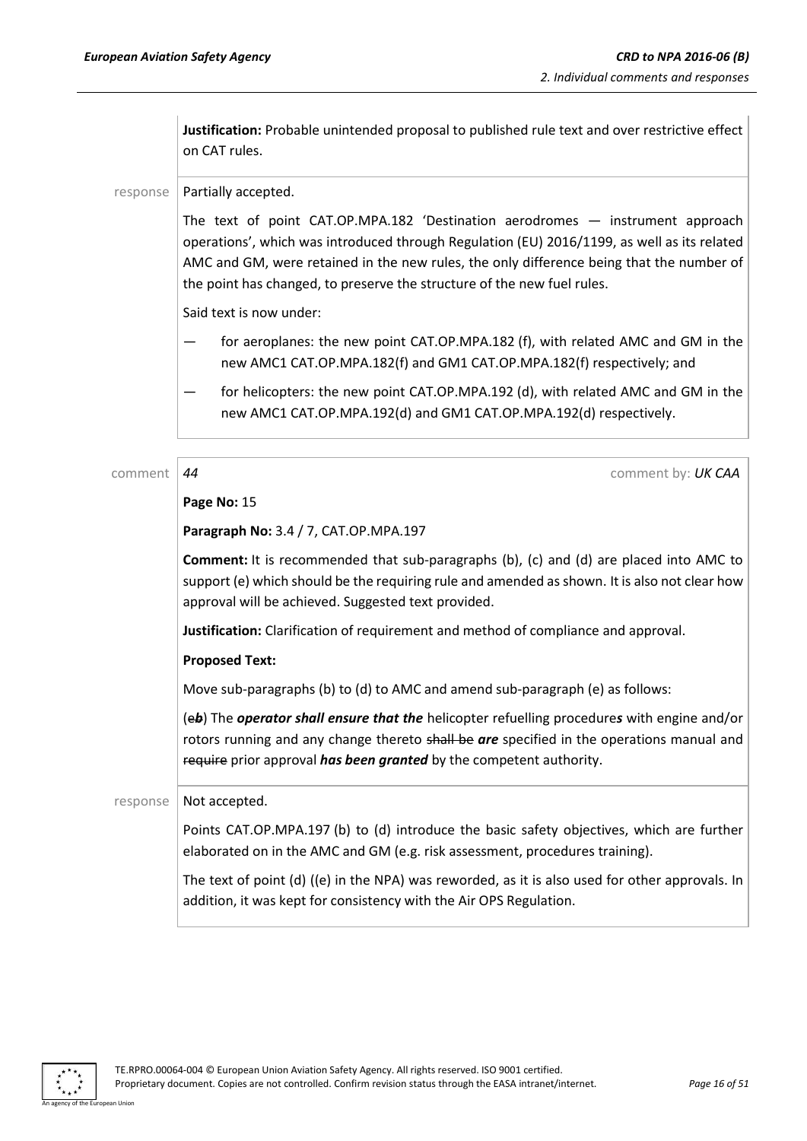**Justification:** Probable unintended proposal to published rule text and over restrictive effect on CAT rules.

### response | Partially accepted.

The text of point CAT.OP.MPA.182 'Destination aerodromes — instrument approach operations', which was introduced through Regulation (EU) 2016/1199, as well as its related AMC and GM, were retained in the new rules, the only difference being that the number of the point has changed, to preserve the structure of the new fuel rules.

Said text is now under:

- for aeroplanes: the new point CAT.OP.MPA.182 (f), with related AMC and GM in the new AMC1 CAT.OP.MPA.182(f) and GM1 CAT.OP.MPA.182(f) respectively; and
- for helicopters: the new point CAT.OP.MPA.192 (d), with related AMC and GM in the new AMC1 CAT.OP.MPA.192(d) and GM1 CAT.OP.MPA.192(d) respectively.

comment *44* comment by: *UK CAA*

### **Page No:** 15

**Paragraph No:** 3.4 / 7, CAT.OP.MPA.197

**Comment:** It is recommended that sub-paragraphs (b), (c) and (d) are placed into AMC to support (e) which should be the requiring rule and amended as shown. It is also not clear how approval will be achieved. Suggested text provided.

**Justification:** Clarification of requirement and method of compliance and approval.

### **Proposed Text:**

Move sub-paragraphs (b) to (d) to AMC and amend sub-paragraph (e) as follows:

(e*b*) The *operator shall ensure that the* helicopter refuelling procedure*s* with engine and/or rotors running and any change thereto shall be *are* specified in the operations manual and require prior approval *has been granted* by the competent authority.

### response  $\vert$  Not accepted.

Points CAT.OP.MPA.197 (b) to (d) introduce the basic safety objectives, which are further elaborated on in the AMC and GM (e.g. risk assessment, procedures training).

The text of point (d) ((e) in the NPA) was reworded, as it is also used for other approvals. In addition, it was kept for consistency with the Air OPS Regulation.

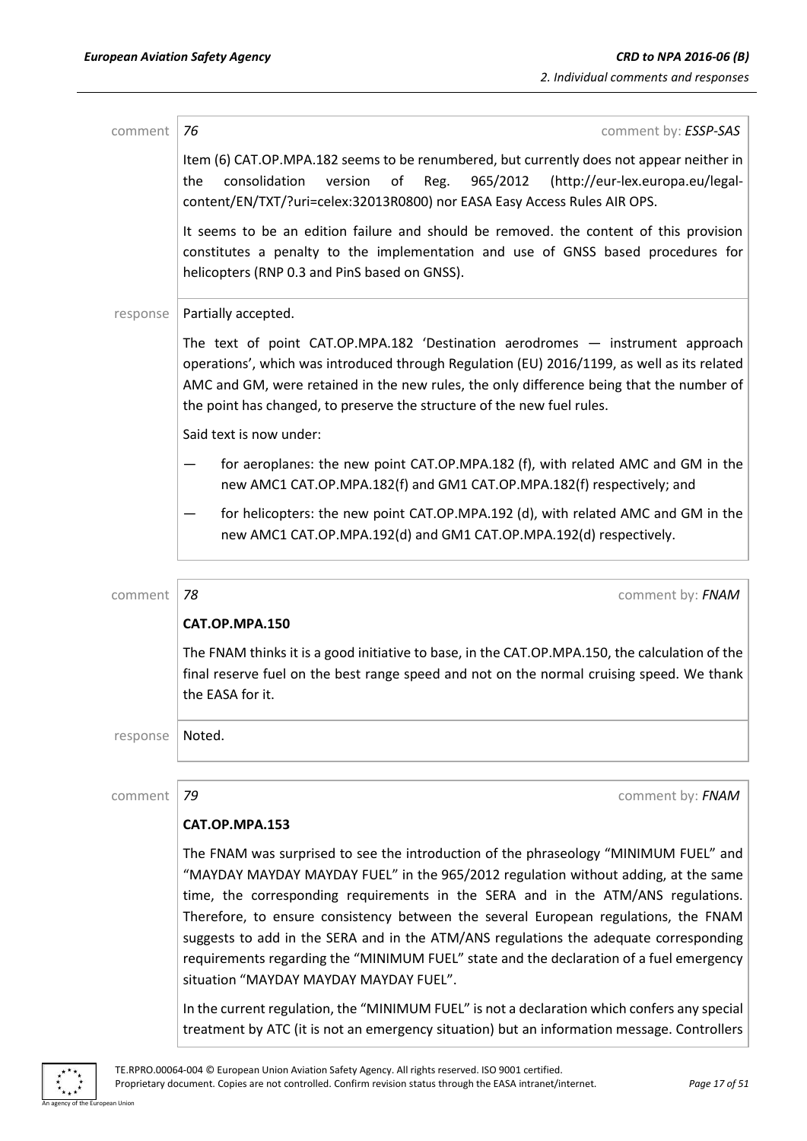| comment  | comment by: ESSP-SAS<br>76                                                                                                                                                                                                                                                                                                                                                                                                                                                                                                                                                          |
|----------|-------------------------------------------------------------------------------------------------------------------------------------------------------------------------------------------------------------------------------------------------------------------------------------------------------------------------------------------------------------------------------------------------------------------------------------------------------------------------------------------------------------------------------------------------------------------------------------|
|          | Item (6) CAT.OP.MPA.182 seems to be renumbered, but currently does not appear neither in<br>965/2012<br>the<br>consolidation<br>version<br>of<br>Reg.<br>(http://eur-lex.europa.eu/legal-<br>content/EN/TXT/?uri=celex:32013R0800) nor EASA Easy Access Rules AIR OPS.                                                                                                                                                                                                                                                                                                              |
|          | It seems to be an edition failure and should be removed. the content of this provision<br>constitutes a penalty to the implementation and use of GNSS based procedures for<br>helicopters (RNP 0.3 and PinS based on GNSS).                                                                                                                                                                                                                                                                                                                                                         |
| response | Partially accepted.                                                                                                                                                                                                                                                                                                                                                                                                                                                                                                                                                                 |
|          | The text of point CAT.OP.MPA.182 'Destination aerodromes - instrument approach<br>operations', which was introduced through Regulation (EU) 2016/1199, as well as its related<br>AMC and GM, were retained in the new rules, the only difference being that the number of<br>the point has changed, to preserve the structure of the new fuel rules.                                                                                                                                                                                                                                |
|          | Said text is now under:                                                                                                                                                                                                                                                                                                                                                                                                                                                                                                                                                             |
|          | for aeroplanes: the new point CAT.OP.MPA.182 (f), with related AMC and GM in the<br>new AMC1 CAT.OP.MPA.182(f) and GM1 CAT.OP.MPA.182(f) respectively; and                                                                                                                                                                                                                                                                                                                                                                                                                          |
|          | for helicopters: the new point CAT.OP.MPA.192 (d), with related AMC and GM in the<br>new AMC1 CAT.OP.MPA.192(d) and GM1 CAT.OP.MPA.192(d) respectively.                                                                                                                                                                                                                                                                                                                                                                                                                             |
|          |                                                                                                                                                                                                                                                                                                                                                                                                                                                                                                                                                                                     |
| comment  | 78<br>comment by: FNAM                                                                                                                                                                                                                                                                                                                                                                                                                                                                                                                                                              |
|          | CAT.OP.MPA.150                                                                                                                                                                                                                                                                                                                                                                                                                                                                                                                                                                      |
|          | The FNAM thinks it is a good initiative to base, in the CAT.OP.MPA.150, the calculation of the<br>final reserve fuel on the best range speed and not on the normal cruising speed. We thank<br>the EASA for it.                                                                                                                                                                                                                                                                                                                                                                     |
| response | Noted.                                                                                                                                                                                                                                                                                                                                                                                                                                                                                                                                                                              |
| comment  | 79<br>comment by: FNAM                                                                                                                                                                                                                                                                                                                                                                                                                                                                                                                                                              |
|          | CAT.OP.MPA.153                                                                                                                                                                                                                                                                                                                                                                                                                                                                                                                                                                      |
|          | The FNAM was surprised to see the introduction of the phraseology "MINIMUM FUEL" and<br>"MAYDAY MAYDAY MAYDAY FUEL" in the 965/2012 regulation without adding, at the same<br>time, the corresponding requirements in the SERA and in the ATM/ANS regulations.<br>Therefore, to ensure consistency between the several European regulations, the FNAM<br>suggests to add in the SERA and in the ATM/ANS regulations the adequate corresponding<br>requirements regarding the "MINIMUM FUEL" state and the declaration of a fuel emergency<br>situation "MAYDAY MAYDAY MAYDAY FUEL". |
|          | In the current regulation, the "MINIMUM FUEL" is not a declaration which confers any special<br>treatment by ATC (it is not an emergency situation) but an information message. Controllers                                                                                                                                                                                                                                                                                                                                                                                         |



an Union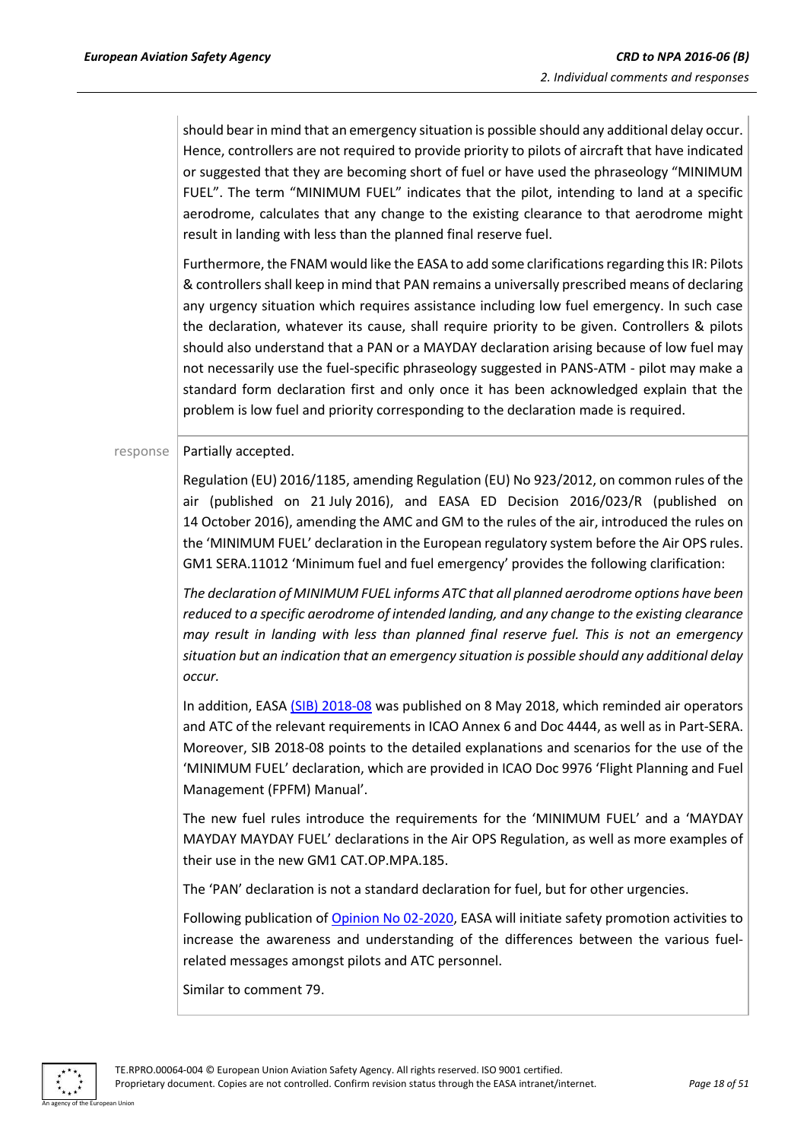should bear in mind that an emergency situation is possible should any additional delay occur. Hence, controllers are not required to provide priority to pilots of aircraft that have indicated or suggested that they are becoming short of fuel or have used the phraseology "MINIMUM FUEL". The term "MINIMUM FUEL" indicates that the pilot, intending to land at a specific aerodrome, calculates that any change to the existing clearance to that aerodrome might result in landing with less than the planned final reserve fuel.

Furthermore, the FNAM would like the EASA to add some clarifications regarding this IR: Pilots & controllers shall keep in mind that PAN remains a universally prescribed means of declaring any urgency situation which requires assistance including low fuel emergency. In such case the declaration, whatever its cause, shall require priority to be given. Controllers & pilots should also understand that a PAN or a MAYDAY declaration arising because of low fuel may not necessarily use the fuel-specific phraseology suggested in PANS-ATM - pilot may make a standard form declaration first and only once it has been acknowledged explain that the problem is low fuel and priority corresponding to the declaration made is required.

### $response$  | Partially accepted.

Regulation (EU) 2016/1185, amending Regulation (EU) No 923/2012, on common rules of the air (published on 21 July 2016), and EASA ED Decision 2016/023/R (published on 14 October 2016), amending the AMC and GM to the rules of the air, introduced the rules on the 'MINIMUM FUEL' declaration in the European regulatory system before the Air OPS rules. GM1 SERA.11012 'Minimum fuel and fuel emergency' provides the following clarification:

*The declaration of MINIMUM FUEL informs ATC that all planned aerodrome options have been reduced to a specific aerodrome of intended landing, and any change to the existing clearance may result in landing with less than planned final reserve fuel. This is not an emergency situation but an indication that an emergency situation is possible should any additional delay occur.*

In addition, EASA [\(SIB\) 2018-08](https://ad.easa.europa.eu/ad/2018-08) was published on 8 May 2018, which reminded air operators and ATC of the relevant requirements in ICAO Annex 6 and Doc 4444, as well as in Part-SERA. Moreover, SIB 2018-08 points to the detailed explanations and scenarios for the use of the 'MINIMUM FUEL' declaration, which are provided in ICAO Doc 9976 'Flight Planning and Fuel Management (FPFM) Manual'.

The new fuel rules introduce the requirements for the 'MINIMUM FUEL' and a 'MAYDAY MAYDAY MAYDAY FUEL' declarations in the Air OPS Regulation, as well as more examples of their use in the new GM1 CAT.OP.MPA.185.

The 'PAN' declaration is not a standard declaration for fuel, but for other urgencies.

Following publication o[f Opinion No 02-2020,](https://www.easa.europa.eu/document-library/opinions/opinion-022020) EASA will initiate safety promotion activities to increase the awareness and understanding of the differences between the various fuelrelated messages amongst pilots and ATC personnel.

Similar to comment 79.

An agency of the European Union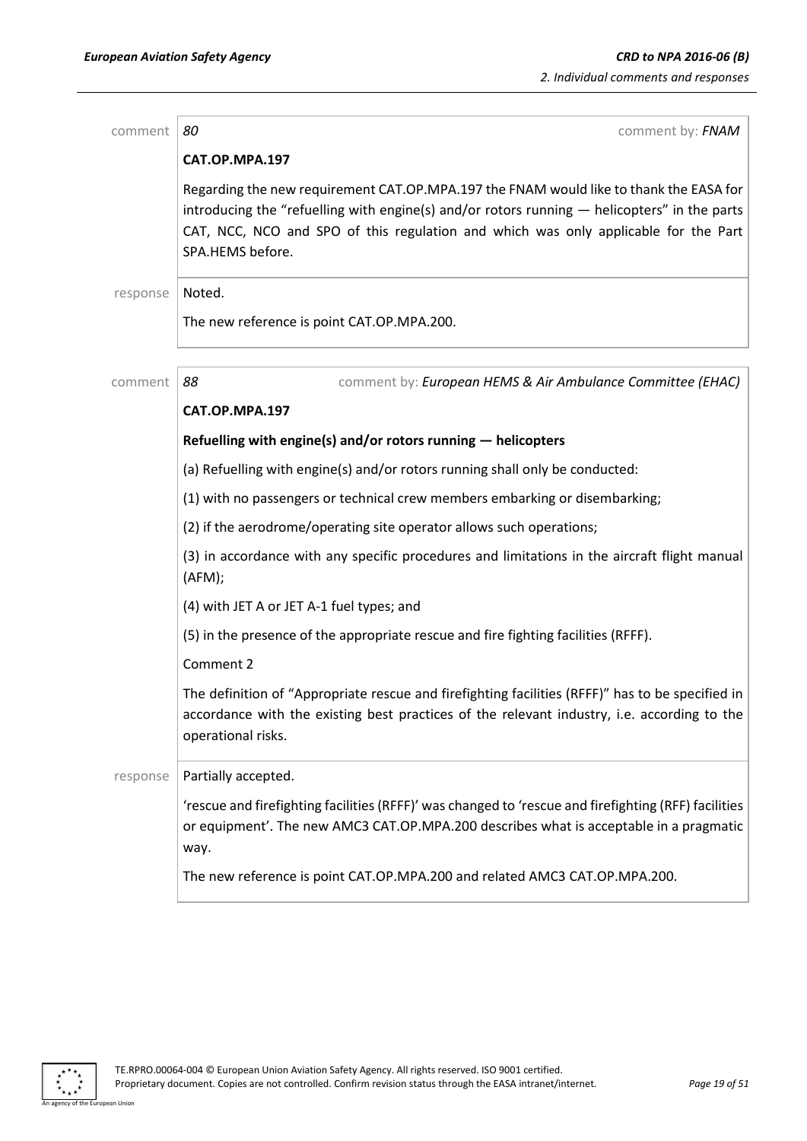| comment  | 80<br>comment by: FNAM                                                                                                                                                                                                                                                                            |
|----------|---------------------------------------------------------------------------------------------------------------------------------------------------------------------------------------------------------------------------------------------------------------------------------------------------|
|          | CAT.OP.MPA.197                                                                                                                                                                                                                                                                                    |
|          | Regarding the new requirement CAT.OP.MPA.197 the FNAM would like to thank the EASA for<br>introducing the "refuelling with engine(s) and/or rotors running - helicopters" in the parts<br>CAT, NCC, NCO and SPO of this regulation and which was only applicable for the Part<br>SPA.HEMS before. |
| response | Noted.                                                                                                                                                                                                                                                                                            |
|          | The new reference is point CAT.OP.MPA.200.                                                                                                                                                                                                                                                        |
| comment  | comment by: European HEMS & Air Ambulance Committee (EHAC)<br>88                                                                                                                                                                                                                                  |
|          | CAT.OP.MPA.197                                                                                                                                                                                                                                                                                    |
|          | Refuelling with engine(s) and/or rotors running - helicopters                                                                                                                                                                                                                                     |
|          | (a) Refuelling with engine(s) and/or rotors running shall only be conducted:                                                                                                                                                                                                                      |
|          | (1) with no passengers or technical crew members embarking or disembarking;                                                                                                                                                                                                                       |
|          | (2) if the aerodrome/operating site operator allows such operations;                                                                                                                                                                                                                              |
|          | (3) in accordance with any specific procedures and limitations in the aircraft flight manual<br>(AFM);                                                                                                                                                                                            |
|          | (4) with JET A or JET A-1 fuel types; and                                                                                                                                                                                                                                                         |
|          | (5) in the presence of the appropriate rescue and fire fighting facilities (RFFF).                                                                                                                                                                                                                |
|          | Comment 2                                                                                                                                                                                                                                                                                         |
|          | The definition of "Appropriate rescue and firefighting facilities (RFFF)" has to be specified in<br>accordance with the existing best practices of the relevant industry, i.e. according to the<br>operational risks.                                                                             |
| response | Partially accepted.                                                                                                                                                                                                                                                                               |
|          | 'rescue and firefighting facilities (RFFF)' was changed to 'rescue and firefighting (RFF) facilities<br>or equipment'. The new AMC3 CAT.OP.MPA.200 describes what is acceptable in a pragmatic<br>way.                                                                                            |
|          | The new reference is point CAT.OP.MPA.200 and related AMC3 CAT.OP.MPA.200.                                                                                                                                                                                                                        |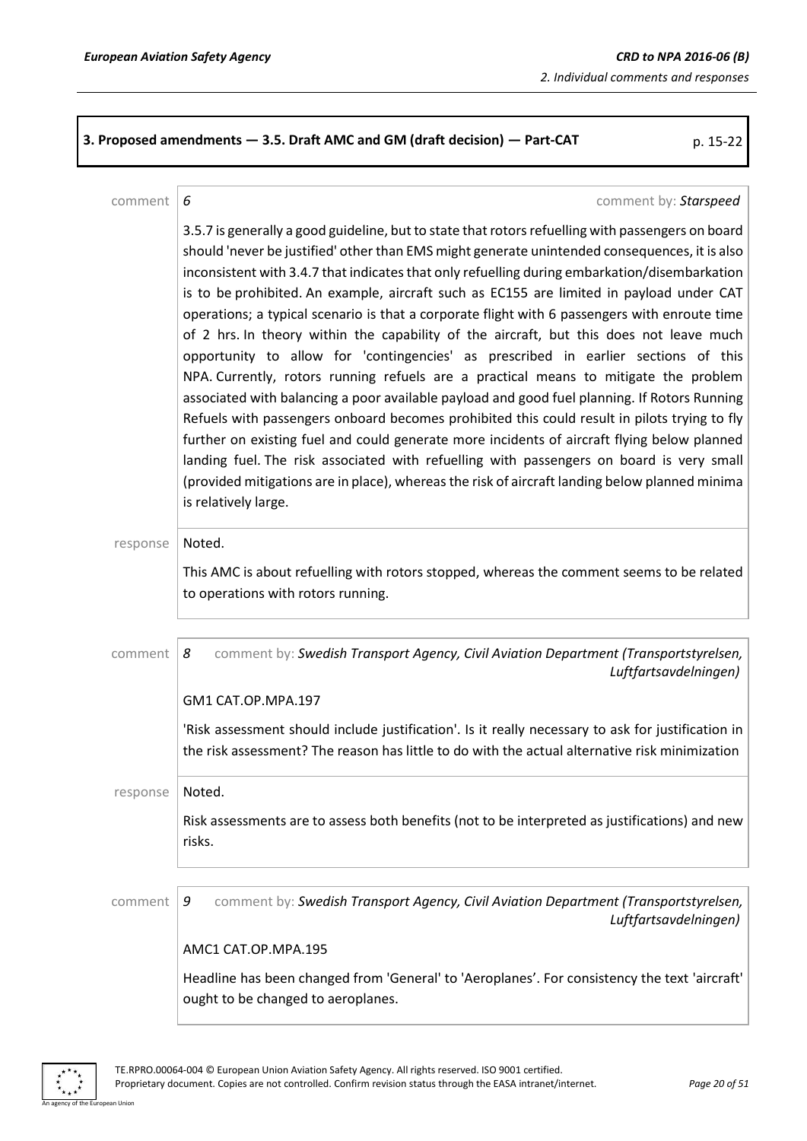**3. Proposed amendments — 3.5. Draft AMC and GM (draft decision) — Part-CAT** p. 15-22

### comment *6* comment by: *Starspeed*

3.5.7 is generally a good guideline, but to state that rotors refuelling with passengers on board should 'never be justified' other than EMS might generate unintended consequences, it is also inconsistent with 3.4.7 that indicates that only refuelling during embarkation/disembarkation is to be prohibited. An example, aircraft such as EC155 are limited in payload under CAT operations; a typical scenario is that a corporate flight with 6 passengers with enroute time of 2 hrs. In theory within the capability of the aircraft, but this does not leave much opportunity to allow for 'contingencies' as prescribed in earlier sections of this NPA. Currently, rotors running refuels are a practical means to mitigate the problem associated with balancing a poor available payload and good fuel planning. If Rotors Running Refuels with passengers onboard becomes prohibited this could result in pilots trying to fly further on existing fuel and could generate more incidents of aircraft flying below planned landing fuel. The risk associated with refuelling with passengers on board is very small (provided mitigations are in place), whereas the risk of aircraft landing below planned minima is relatively large. response | Noted. This AMC is about refuelling with rotors stopped, whereas the comment seems to be related to operations with rotors running. comment *8* comment by: *Swedish Transport Agency, Civil Aviation Department (Transportstyrelsen, Luftfartsavdelningen)* GM1 CAT.OP.MPA.197 'Risk assessment should include justification'. Is it really necessary to ask for justification in the risk assessment? The reason has little to do with the actual alternative risk minimization response | Noted. Risk assessments are to assess both benefits (not to be interpreted as justifications) and new risks. comment *9* comment by: *Swedish Transport Agency, Civil Aviation Department (Transportstyrelsen, Luftfartsavdelningen)* AMC1 CAT.OP.MPA.195 Headline has been changed from 'General' to 'Aeroplanes'. For consistency the text 'aircraft' ought to be changed to aeroplanes.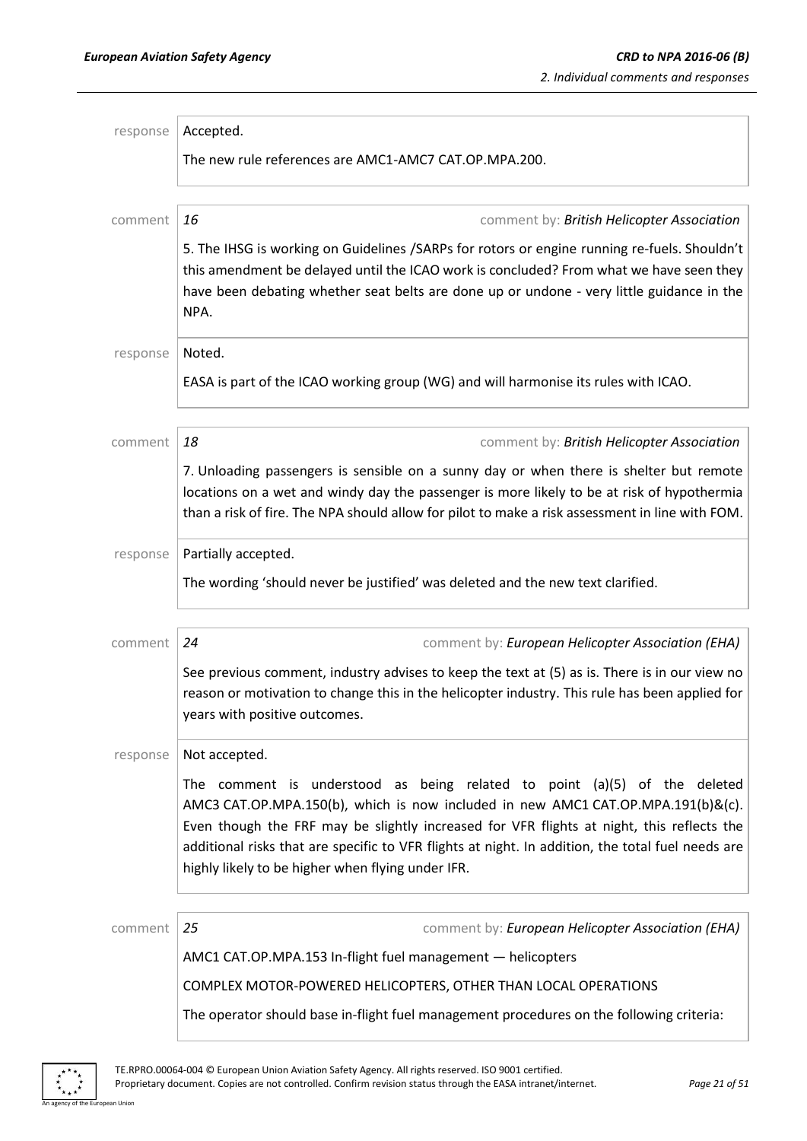| response | Accepted.                                                                                                                                                                                                                                                                                                                                                                                                            |
|----------|----------------------------------------------------------------------------------------------------------------------------------------------------------------------------------------------------------------------------------------------------------------------------------------------------------------------------------------------------------------------------------------------------------------------|
|          | The new rule references are AMC1-AMC7 CAT.OP.MPA.200.                                                                                                                                                                                                                                                                                                                                                                |
|          |                                                                                                                                                                                                                                                                                                                                                                                                                      |
| comment  | 16<br>comment by: British Helicopter Association                                                                                                                                                                                                                                                                                                                                                                     |
|          | 5. The IHSG is working on Guidelines /SARPs for rotors or engine running re-fuels. Shouldn't<br>this amendment be delayed until the ICAO work is concluded? From what we have seen they<br>have been debating whether seat belts are done up or undone - very little guidance in the<br>NPA.                                                                                                                         |
| response | Noted.                                                                                                                                                                                                                                                                                                                                                                                                               |
|          | EASA is part of the ICAO working group (WG) and will harmonise its rules with ICAO.                                                                                                                                                                                                                                                                                                                                  |
| comment  | 18<br>comment by: British Helicopter Association                                                                                                                                                                                                                                                                                                                                                                     |
|          | 7. Unloading passengers is sensible on a sunny day or when there is shelter but remote                                                                                                                                                                                                                                                                                                                               |
|          | locations on a wet and windy day the passenger is more likely to be at risk of hypothermia                                                                                                                                                                                                                                                                                                                           |
|          | than a risk of fire. The NPA should allow for pilot to make a risk assessment in line with FOM.                                                                                                                                                                                                                                                                                                                      |
| response | Partially accepted.                                                                                                                                                                                                                                                                                                                                                                                                  |
|          | The wording 'should never be justified' was deleted and the new text clarified.                                                                                                                                                                                                                                                                                                                                      |
|          |                                                                                                                                                                                                                                                                                                                                                                                                                      |
| comment  | 24<br>comment by: European Helicopter Association (EHA)                                                                                                                                                                                                                                                                                                                                                              |
|          | See previous comment, industry advises to keep the text at (5) as is. There is in our view no<br>reason or motivation to change this in the helicopter industry. This rule has been applied for<br>years with positive outcomes.                                                                                                                                                                                     |
| response | Not accepted.                                                                                                                                                                                                                                                                                                                                                                                                        |
|          | The comment is understood as being related to point (a)(5) of the deleted<br>AMC3 CAT.OP.MPA.150(b), which is now included in new AMC1 CAT.OP.MPA.191(b)&(c).<br>Even though the FRF may be slightly increased for VFR flights at night, this reflects the<br>additional risks that are specific to VFR flights at night. In addition, the total fuel needs are<br>highly likely to be higher when flying under IFR. |
|          |                                                                                                                                                                                                                                                                                                                                                                                                                      |
| comment  | 25<br>comment by: European Helicopter Association (EHA)                                                                                                                                                                                                                                                                                                                                                              |
|          | AMC1 CAT.OP.MPA.153 In-flight fuel management - helicopters                                                                                                                                                                                                                                                                                                                                                          |
|          | COMPLEX MOTOR-POWERED HELICOPTERS, OTHER THAN LOCAL OPERATIONS                                                                                                                                                                                                                                                                                                                                                       |
|          | The operator should base in-flight fuel management procedures on the following criteria:                                                                                                                                                                                                                                                                                                                             |



an Union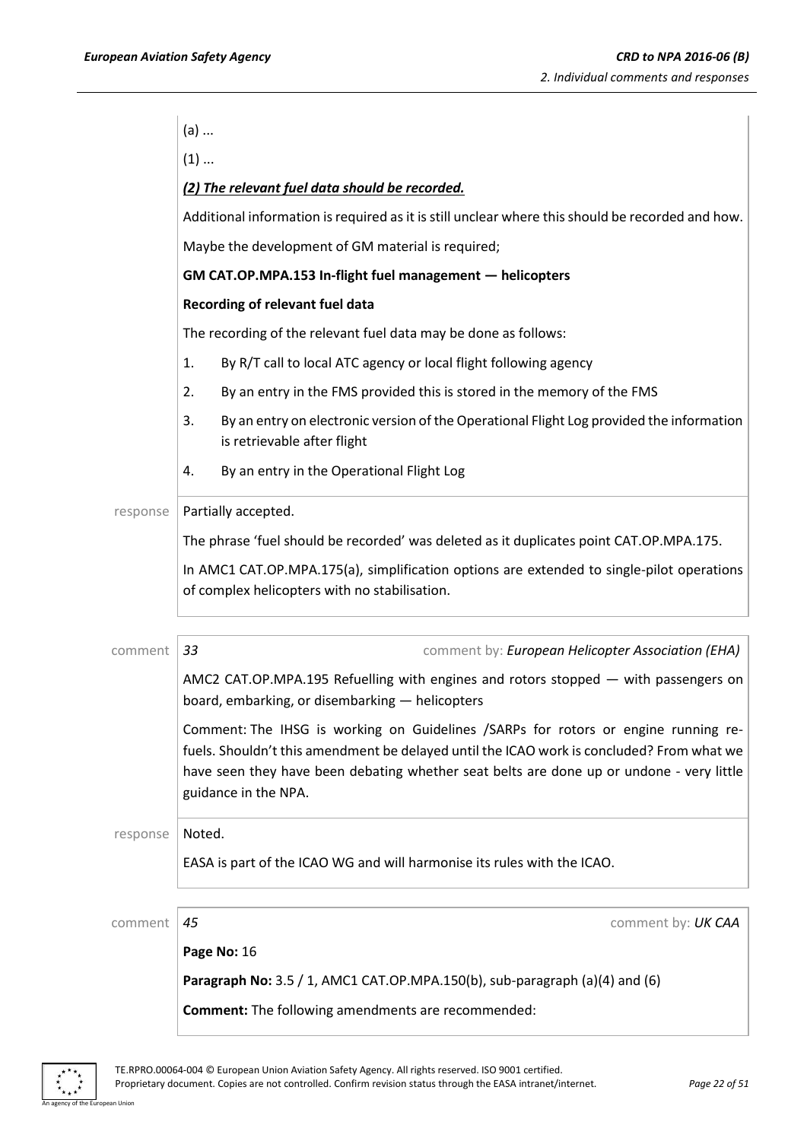|          | $(a)$                                                                                                                                                                                                                                                                                               |
|----------|-----------------------------------------------------------------------------------------------------------------------------------------------------------------------------------------------------------------------------------------------------------------------------------------------------|
|          | $(1)$                                                                                                                                                                                                                                                                                               |
|          | (2) The relevant fuel data should be recorded.                                                                                                                                                                                                                                                      |
|          | Additional information is required as it is still unclear where this should be recorded and how.                                                                                                                                                                                                    |
|          | Maybe the development of GM material is required;                                                                                                                                                                                                                                                   |
|          | GM CAT.OP.MPA.153 In-flight fuel management - helicopters                                                                                                                                                                                                                                           |
|          | Recording of relevant fuel data                                                                                                                                                                                                                                                                     |
|          | The recording of the relevant fuel data may be done as follows:                                                                                                                                                                                                                                     |
|          | By R/T call to local ATC agency or local flight following agency<br>1.                                                                                                                                                                                                                              |
|          | By an entry in the FMS provided this is stored in the memory of the FMS<br>2.                                                                                                                                                                                                                       |
|          | By an entry on electronic version of the Operational Flight Log provided the information<br>3.<br>is retrievable after flight                                                                                                                                                                       |
|          | By an entry in the Operational Flight Log<br>4.                                                                                                                                                                                                                                                     |
| response | Partially accepted.                                                                                                                                                                                                                                                                                 |
|          | The phrase 'fuel should be recorded' was deleted as it duplicates point CAT.OP.MPA.175.                                                                                                                                                                                                             |
|          | In AMC1 CAT.OP.MPA.175(a), simplification options are extended to single-pilot operations<br>of complex helicopters with no stabilisation.                                                                                                                                                          |
| comment  | 33<br>comment by: European Helicopter Association (EHA)                                                                                                                                                                                                                                             |
|          | AMC2 CAT.OP.MPA.195 Refuelling with engines and rotors stopped - with passengers on<br>board, embarking, or disembarking - helicopters                                                                                                                                                              |
|          | Comment: The IHSG is working on Guidelines /SARPs for rotors or engine running re-<br>fuels. Shouldn't this amendment be delayed until the ICAO work is concluded? From what we<br>have seen they have been debating whether seat belts are done up or undone - very little<br>guidance in the NPA. |
| response | Noted.                                                                                                                                                                                                                                                                                              |
|          | EASA is part of the ICAO WG and will harmonise its rules with the ICAO.                                                                                                                                                                                                                             |
| comment  | 45<br>comment by: UK CAA                                                                                                                                                                                                                                                                            |
|          | Page No: 16                                                                                                                                                                                                                                                                                         |
|          | Paragraph No: 3.5 / 1, AMC1 CAT.OP.MPA.150(b), sub-paragraph (a)(4) and (6)                                                                                                                                                                                                                         |
|          | <b>Comment:</b> The following amendments are recommended:                                                                                                                                                                                                                                           |

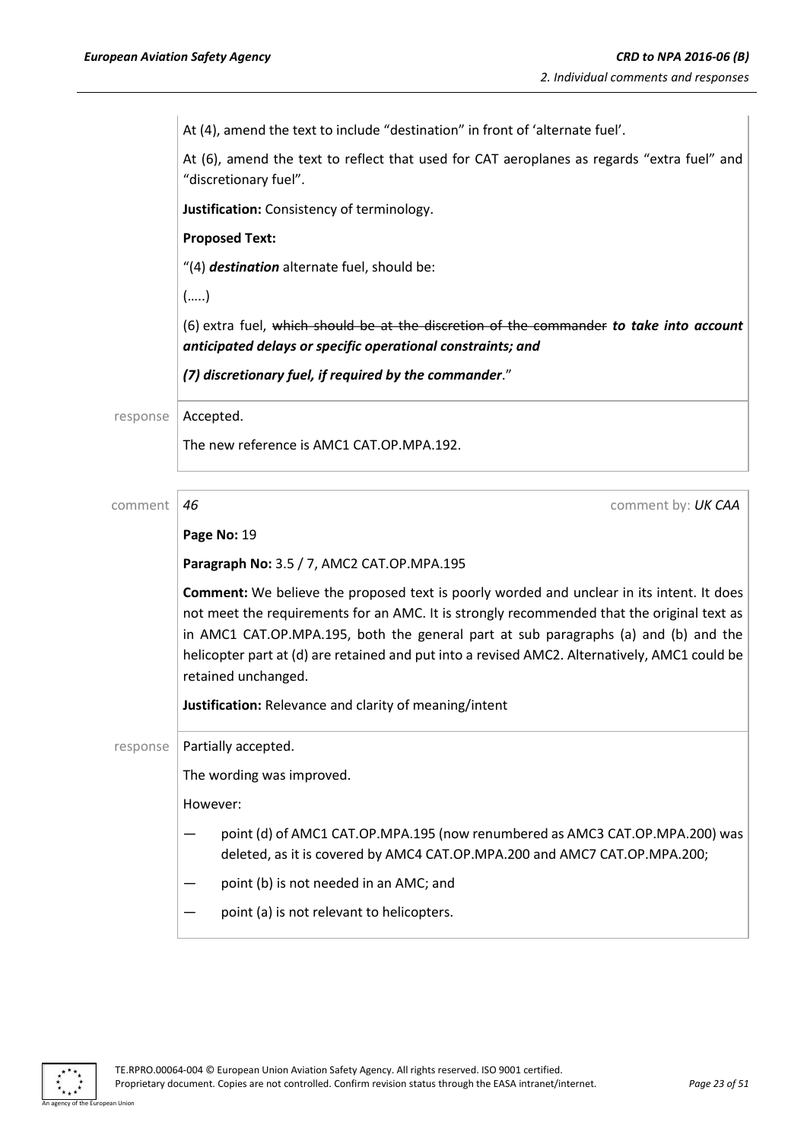*European Aviation Safety Agency CRD to NPA 2016-06 (B)* At (4), amend the text to include "destination" in front of 'alternate fuel'. At (6), amend the text to reflect that used for CAT aeroplanes as regards "extra fuel" and "discretionary fuel". **Justification:** Consistency of terminology. **Proposed Text:** "(4) *destination* alternate fuel, should be: (…..) (6) extra fuel, which should be at the discretion of the commander *to take into account anticipated delays or specific operational constraints; and (7) discretionary fuel, if required by the commander*." response | Accepted. The new reference is AMC1 CAT.OP.MPA.192. comment *46* comment by: *UK CAA* **Page No:** 19 **Paragraph No:** 3.5 / 7, AMC2 CAT.OP.MPA.195 **Comment:** We believe the proposed text is poorly worded and unclear in its intent. It does not meet the requirements for an AMC. It is strongly recommended that the original text as in AMC1 CAT.OP.MPA.195, both the general part at sub paragraphs (a) and (b) and the helicopter part at (d) are retained and put into a revised AMC2. Alternatively, AMC1 could be retained unchanged. **Justification:** Relevance and clarity of meaning/intent

response | Partially accepted.

The wording was improved.

However:

- point (d) of AMC1 CAT.OP.MPA.195 (now renumbered as AMC3 CAT.OP.MPA.200) was deleted, as it is covered by AMC4 CAT.OP.MPA.200 and AMC7 CAT.OP.MPA.200;
- point (b) is not needed in an AMC; and
- point (a) is not relevant to helicopters.

An agency of the European Union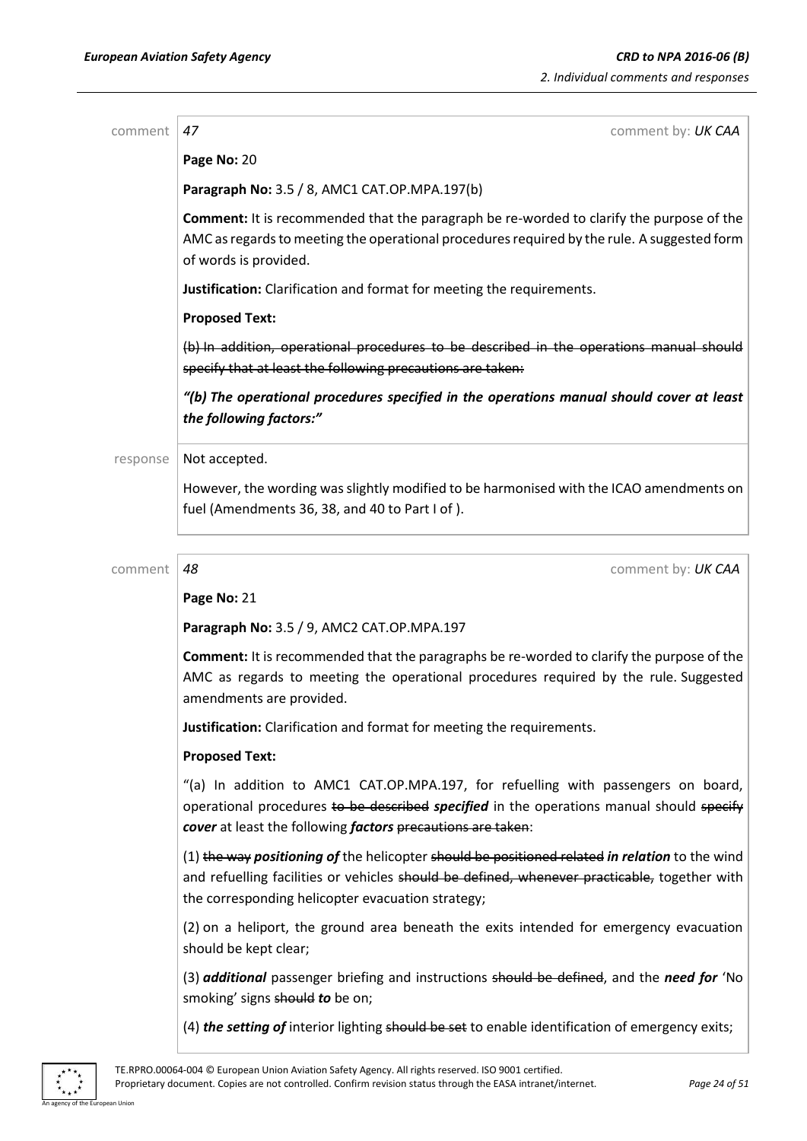an Union

| comment  | 47<br>comment by: UK CAA                                                                                                                                                                                                                            |
|----------|-----------------------------------------------------------------------------------------------------------------------------------------------------------------------------------------------------------------------------------------------------|
|          | Page No: 20                                                                                                                                                                                                                                         |
|          | Paragraph No: 3.5 / 8, AMC1 CAT.OP.MPA.197(b)                                                                                                                                                                                                       |
|          | <b>Comment:</b> It is recommended that the paragraph be re-worded to clarify the purpose of the<br>AMC as regards to meeting the operational procedures required by the rule. A suggested form<br>of words is provided.                             |
|          | Justification: Clarification and format for meeting the requirements.                                                                                                                                                                               |
|          | <b>Proposed Text:</b>                                                                                                                                                                                                                               |
|          | (b) In addition, operational procedures to be described in the operations manual should<br>specify that at least the following precautions are taken:                                                                                               |
|          | "(b) The operational procedures specified in the operations manual should cover at least<br>the following factors:"                                                                                                                                 |
| response | Not accepted.                                                                                                                                                                                                                                       |
|          | However, the wording was slightly modified to be harmonised with the ICAO amendments on<br>fuel (Amendments 36, 38, and 40 to Part I of).                                                                                                           |
| comment  | 48<br>comment by: UK CAA                                                                                                                                                                                                                            |
|          | Page No: 21                                                                                                                                                                                                                                         |
|          | Paragraph No: 3.5 / 9, AMC2 CAT.OP.MPA.197                                                                                                                                                                                                          |
|          | <b>Comment:</b> It is recommended that the paragraphs be re-worded to clarify the purpose of the<br>AMC as regards to meeting the operational procedures required by the rule. Suggested<br>amendments are provided.                                |
|          | Justification: Clarification and format for meeting the requirements.                                                                                                                                                                               |
|          | <b>Proposed Text:</b>                                                                                                                                                                                                                               |
|          | "(a) In addition to AMC1 CAT.OP.MPA.197, for refuelling with passengers on board,<br>operational procedures to be described specified in the operations manual should specify<br>cover at least the following factors precautions are taken:        |
|          | (1) the way positioning of the helicopter should be positioned related in relation to the wind<br>and refuelling facilities or vehicles should be defined, whenever practicable, together with<br>the corresponding helicopter evacuation strategy; |
|          | (2) on a heliport, the ground area beneath the exits intended for emergency evacuation<br>should be kept clear;                                                                                                                                     |
|          | (3) <i>additional</i> passenger briefing and instructions should be defined, and the need for 'No<br>smoking' signs should to be on;                                                                                                                |
|          | (4) the setting of interior lighting should be set to enable identification of emergency exits;                                                                                                                                                     |
|          | TE.RPRO.00064-004 © European Union Aviation Safety Agency. All rights reserved. ISO 9001 certified.                                                                                                                                                 |

Proprietary document. Copies are not controlled. Confirm revision status through the EASA intranet/internet. *Page 24 of 51*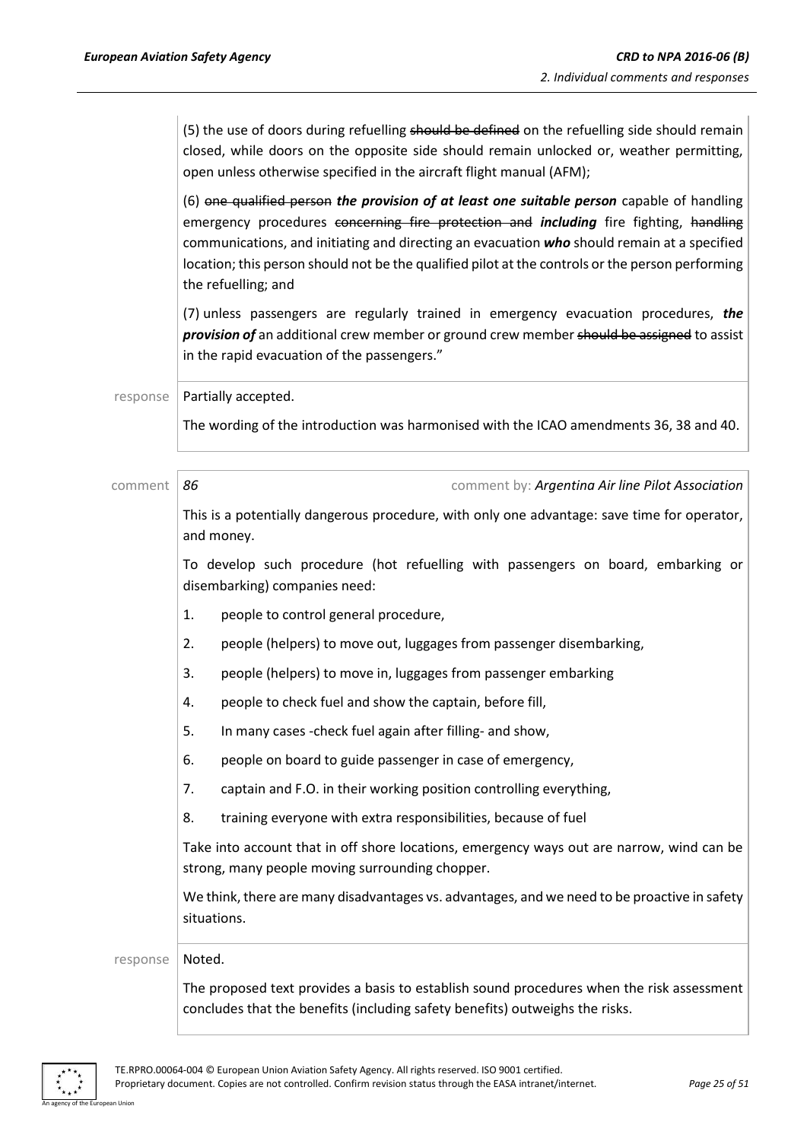(5) the use of doors during refuelling should be defined on the refuelling side should remain closed, while doors on the opposite side should remain unlocked or, weather permitting, open unless otherwise specified in the aircraft flight manual (AFM);

(6) one qualified person *the provision of at least one suitable person* capable of handling emergency procedures concerning fire protection and *including* fire fighting, handling communications, and initiating and directing an evacuation *who* should remain at a specified location; this person should not be the qualified pilot at the controls or the person performing the refuelling; and

(7) unless passengers are regularly trained in emergency evacuation procedures, *the*  **provision of** an additional crew member or ground crew member should be assigned to assist in the rapid evacuation of the passengers."

response | Partially accepted.

The wording of the introduction was harmonised with the ICAO amendments 36, 38 and 40.

comment *86* comment by: *Argentina Air line Pilot Association*  This is a potentially dangerous procedure, with only one advantage: save time for operator, and money. To develop such procedure (hot refuelling with passengers on board, embarking or disembarking) companies need: 1. people to control general procedure, 2. people (helpers) to move out, luggages from passenger disembarking, 3. people (helpers) to move in, luggages from passenger embarking 4. people to check fuel and show the captain, before fill, 5. In many cases -check fuel again after filling- and show, 6. people on board to guide passenger in case of emergency, 7. captain and F.O. in their working position controlling everything, 8. training everyone with extra responsibilities, because of fuel Take into account that in off shore locations, emergency ways out are narrow, wind can be strong, many people moving surrounding chopper. We think, there are many disadvantages vs. advantages, and we need to be proactive in safety situations. response | Noted. The proposed text provides a basis to establish sound procedures when the risk assessment concludes that the benefits (including safety benefits) outweighs the risks.

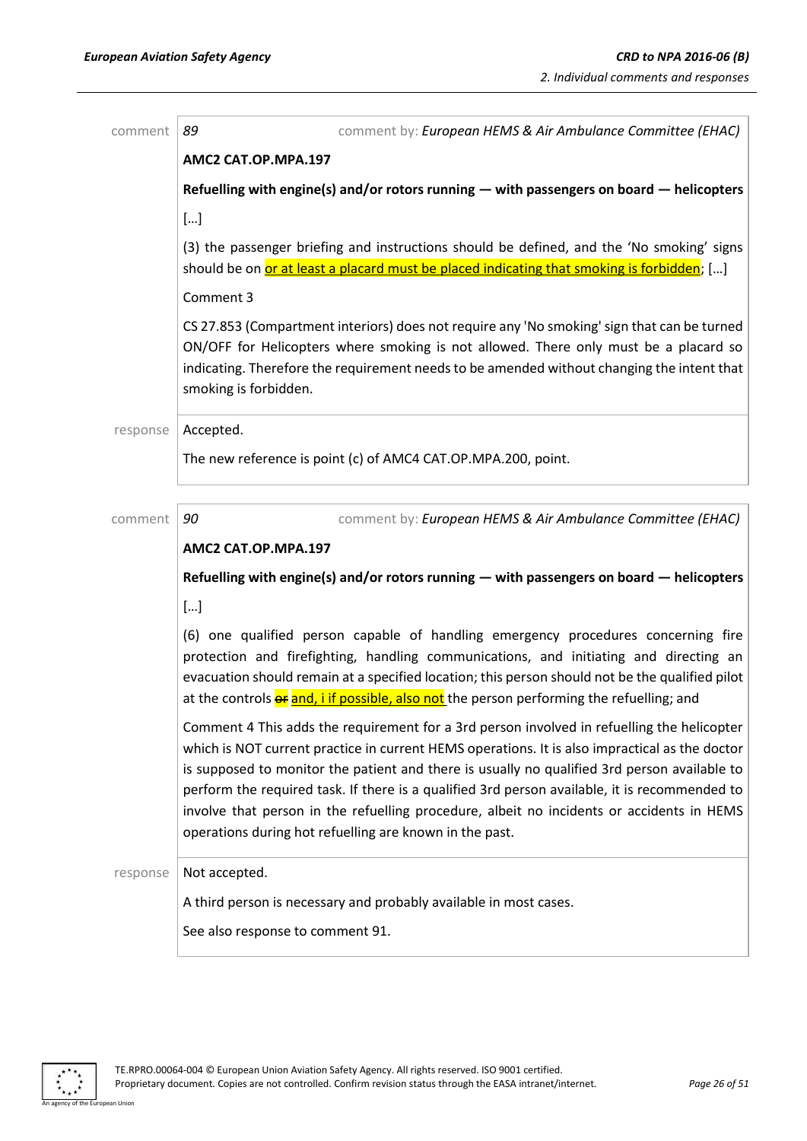| comment  | 89<br>comment by: European HEMS & Air Ambulance Committee (EHAC)                                                                                                                                                                                                                                                                                                                                                                                                                                                                                      |
|----------|-------------------------------------------------------------------------------------------------------------------------------------------------------------------------------------------------------------------------------------------------------------------------------------------------------------------------------------------------------------------------------------------------------------------------------------------------------------------------------------------------------------------------------------------------------|
|          | AMC2 CAT.OP.MPA.197                                                                                                                                                                                                                                                                                                                                                                                                                                                                                                                                   |
|          | Refuelling with engine(s) and/or rotors running - with passengers on board - helicopters                                                                                                                                                                                                                                                                                                                                                                                                                                                              |
|          | $[]$                                                                                                                                                                                                                                                                                                                                                                                                                                                                                                                                                  |
|          | (3) the passenger briefing and instructions should be defined, and the 'No smoking' signs<br>should be on or at least a placard must be placed indicating that smoking is forbidden; []                                                                                                                                                                                                                                                                                                                                                               |
|          | Comment 3                                                                                                                                                                                                                                                                                                                                                                                                                                                                                                                                             |
|          | CS 27.853 (Compartment interiors) does not require any 'No smoking' sign that can be turned<br>ON/OFF for Helicopters where smoking is not allowed. There only must be a placard so<br>indicating. Therefore the requirement needs to be amended without changing the intent that<br>smoking is forbidden.                                                                                                                                                                                                                                            |
| response | Accepted.                                                                                                                                                                                                                                                                                                                                                                                                                                                                                                                                             |
|          | The new reference is point (c) of AMC4 CAT.OP.MPA.200, point.                                                                                                                                                                                                                                                                                                                                                                                                                                                                                         |
|          |                                                                                                                                                                                                                                                                                                                                                                                                                                                                                                                                                       |
| comment  | 90<br>comment by: European HEMS & Air Ambulance Committee (EHAC)                                                                                                                                                                                                                                                                                                                                                                                                                                                                                      |
|          | AMC2 CAT.OP.MPA.197                                                                                                                                                                                                                                                                                                                                                                                                                                                                                                                                   |
|          | Refuelling with engine(s) and/or rotors running - with passengers on board - helicopters                                                                                                                                                                                                                                                                                                                                                                                                                                                              |
|          | $[]$                                                                                                                                                                                                                                                                                                                                                                                                                                                                                                                                                  |
|          | (6) one qualified person capable of handling emergency procedures concerning fire<br>protection and firefighting, handling communications, and initiating and directing an<br>evacuation should remain at a specified location; this person should not be the qualified pilot<br>at the controls or and, i if possible, also not the person performing the refuelling; and                                                                                                                                                                            |
|          | Comment 4 This adds the requirement for a 3rd person involved in refuelling the helicopter<br>which is NOT current practice in current HEMS operations. It is also impractical as the doctor<br>is supposed to monitor the patient and there is usually no qualified 3rd person available to<br>perform the required task. If there is a qualified 3rd person available, it is recommended to<br>involve that person in the refuelling procedure, albeit no incidents or accidents in HEMS<br>operations during hot refuelling are known in the past. |
| response | Not accepted.                                                                                                                                                                                                                                                                                                                                                                                                                                                                                                                                         |
|          | A third person is necessary and probably available in most cases.                                                                                                                                                                                                                                                                                                                                                                                                                                                                                     |
|          | See also response to comment 91.                                                                                                                                                                                                                                                                                                                                                                                                                                                                                                                      |

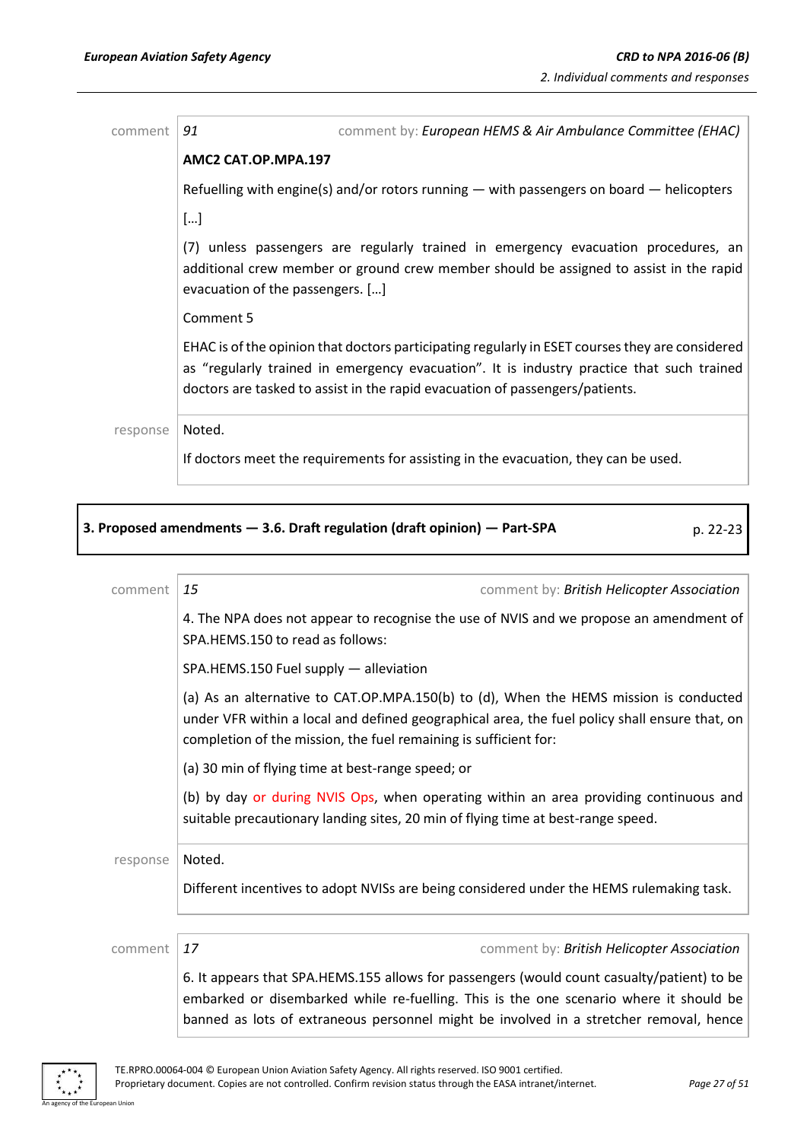| comment  | 91<br>comment by: European HEMS & Air Ambulance Committee (EHAC)                                                                                                                                                                                                             |
|----------|------------------------------------------------------------------------------------------------------------------------------------------------------------------------------------------------------------------------------------------------------------------------------|
|          | AMC2 CAT.OP.MPA.197                                                                                                                                                                                                                                                          |
|          | Refuelling with engine(s) and/or rotors running $-$ with passengers on board $-$ helicopters                                                                                                                                                                                 |
|          | []                                                                                                                                                                                                                                                                           |
|          | (7) unless passengers are regularly trained in emergency evacuation procedures, an<br>additional crew member or ground crew member should be assigned to assist in the rapid<br>evacuation of the passengers. []                                                             |
|          | Comment 5                                                                                                                                                                                                                                                                    |
|          | EHAC is of the opinion that doctors participating regularly in ESET courses they are considered<br>as "regularly trained in emergency evacuation". It is industry practice that such trained<br>doctors are tasked to assist in the rapid evacuation of passengers/patients. |
| response | Noted.                                                                                                                                                                                                                                                                       |
|          | If doctors meet the requirements for assisting in the evacuation, they can be used.                                                                                                                                                                                          |

|          | 3. Proposed amendments - 3.6. Draft regulation (draft opinion) - Part-SPA<br>p. 22-23                                                                                                                                                                                          |
|----------|--------------------------------------------------------------------------------------------------------------------------------------------------------------------------------------------------------------------------------------------------------------------------------|
| comment  | 15<br>comment by: British Helicopter Association                                                                                                                                                                                                                               |
|          | 4. The NPA does not appear to recognise the use of NVIS and we propose an amendment of<br>SPA.HEMS.150 to read as follows:                                                                                                                                                     |
|          | SPA.HEMS.150 Fuel supply - alleviation                                                                                                                                                                                                                                         |
|          | (a) As an alternative to CAT.OP.MPA.150(b) to (d), When the HEMS mission is conducted<br>under VFR within a local and defined geographical area, the fuel policy shall ensure that, on<br>completion of the mission, the fuel remaining is sufficient for:                     |
|          | (a) 30 min of flying time at best-range speed; or                                                                                                                                                                                                                              |
|          | (b) by day or during NVIS Ops, when operating within an area providing continuous and<br>suitable precautionary landing sites, 20 min of flying time at best-range speed.                                                                                                      |
| response | Noted.                                                                                                                                                                                                                                                                         |
|          | Different incentives to adopt NVISs are being considered under the HEMS rulemaking task.                                                                                                                                                                                       |
|          |                                                                                                                                                                                                                                                                                |
| comment  | 17<br>comment by: British Helicopter Association                                                                                                                                                                                                                               |
|          | 6. It appears that SPA.HEMS.155 allows for passengers (would count casualty/patient) to be<br>embarked or disembarked while re-fuelling. This is the one scenario where it should be<br>banned as lots of extraneous personnel might be involved in a stretcher removal, hence |

 $\ddot{\ast}$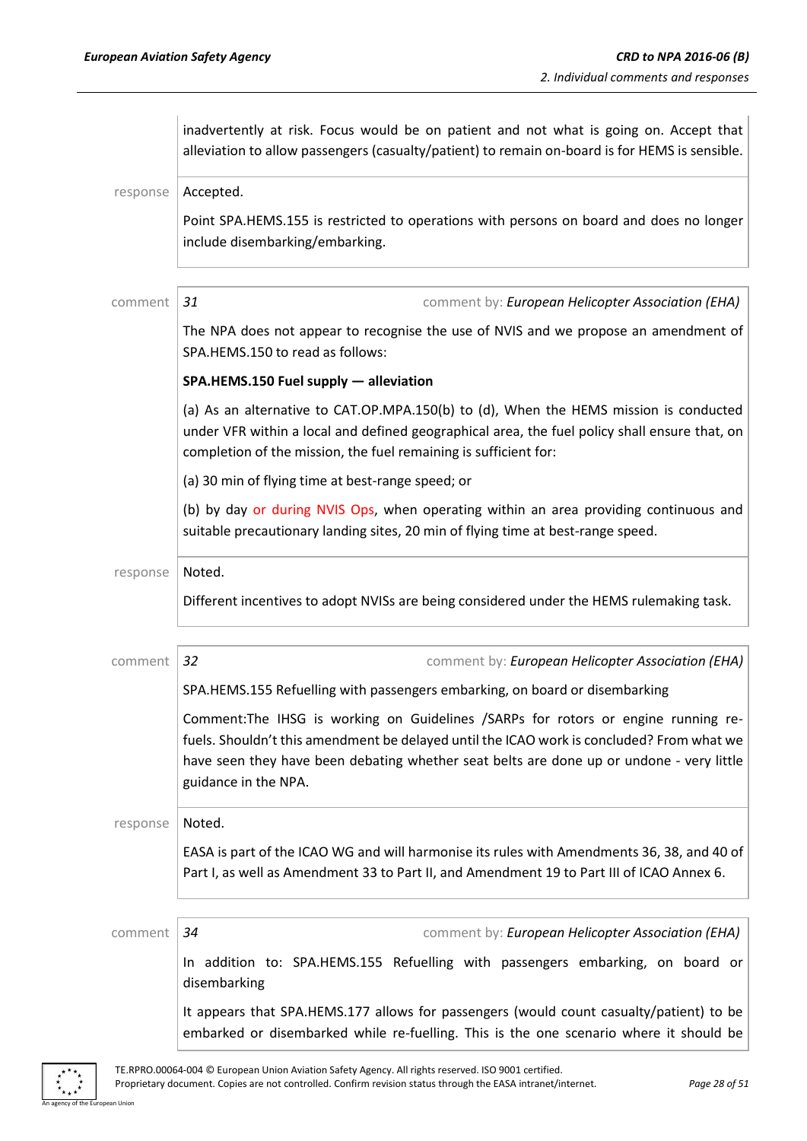|          | inadvertently at risk. Focus would be on patient and not what is going on. Accept that<br>alleviation to allow passengers (casualty/patient) to remain on-board is for HEMS is sensible.                                                                                                           |
|----------|----------------------------------------------------------------------------------------------------------------------------------------------------------------------------------------------------------------------------------------------------------------------------------------------------|
| response | Accepted.                                                                                                                                                                                                                                                                                          |
|          | Point SPA.HEMS.155 is restricted to operations with persons on board and does no longer<br>include disembarking/embarking.                                                                                                                                                                         |
| comment  | comment by: European Helicopter Association (EHA)<br>31                                                                                                                                                                                                                                            |
|          | The NPA does not appear to recognise the use of NVIS and we propose an amendment of<br>SPA.HEMS.150 to read as follows:                                                                                                                                                                            |
|          | SPA.HEMS.150 Fuel supply - alleviation                                                                                                                                                                                                                                                             |
|          | (a) As an alternative to CAT.OP.MPA.150(b) to (d), When the HEMS mission is conducted<br>under VFR within a local and defined geographical area, the fuel policy shall ensure that, on<br>completion of the mission, the fuel remaining is sufficient for:                                         |
|          | (a) 30 min of flying time at best-range speed; or                                                                                                                                                                                                                                                  |
|          | (b) by day or during NVIS Ops, when operating within an area providing continuous and<br>suitable precautionary landing sites, 20 min of flying time at best-range speed.                                                                                                                          |
| response | Noted.                                                                                                                                                                                                                                                                                             |
|          | Different incentives to adopt NVISs are being considered under the HEMS rulemaking task.                                                                                                                                                                                                           |
| comment  | 32<br>comment by: European Helicopter Association (EHA)                                                                                                                                                                                                                                            |
|          | SPA.HEMS.155 Refuelling with passengers embarking, on board or disembarking                                                                                                                                                                                                                        |
|          | Comment:The IHSG is working on Guidelines /SARPs for rotors or engine running re-<br>fuels. Shouldn't this amendment be delayed until the ICAO work is concluded? From what we<br>have seen they have been debating whether seat belts are done up or undone - very little<br>guidance in the NPA. |
| response | Noted.                                                                                                                                                                                                                                                                                             |
|          | EASA is part of the ICAO WG and will harmonise its rules with Amendments 36, 38, and 40 of<br>Part I, as well as Amendment 33 to Part II, and Amendment 19 to Part III of ICAO Annex 6.                                                                                                            |
| comment  | comment by: European Helicopter Association (EHA)<br>34                                                                                                                                                                                                                                            |
|          | In addition to: SPA.HEMS.155 Refuelling with passengers embarking, on board or<br>disembarking                                                                                                                                                                                                     |
|          | It appears that SPA.HEMS.177 allows for passengers (would count casualty/patient) to be<br>embarked or disembarked while re-fuelling. This is the one scenario where it should be                                                                                                                  |

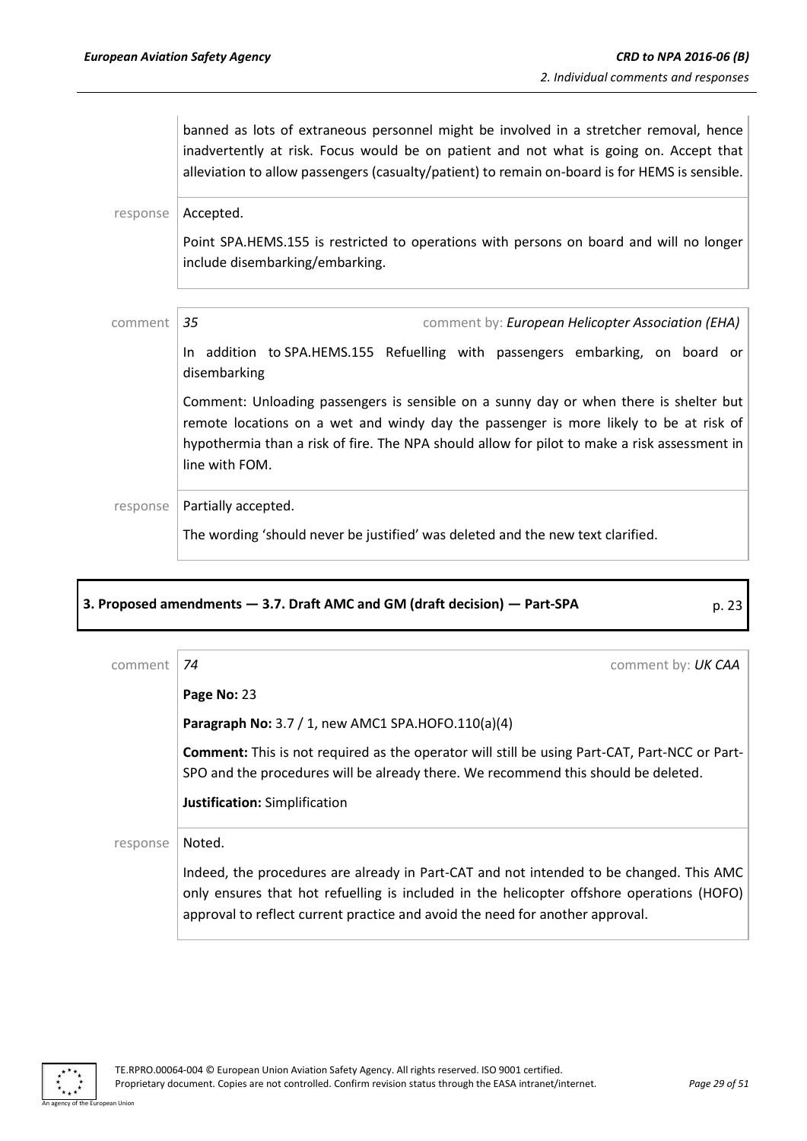|          | banned as lots of extraneous personnel might be involved in a stretcher removal, hence<br>inadvertently at risk. Focus would be on patient and not what is going on. Accept that<br>alleviation to allow passengers (casualty/patient) to remain on-board is for HEMS is sensible.               |
|----------|--------------------------------------------------------------------------------------------------------------------------------------------------------------------------------------------------------------------------------------------------------------------------------------------------|
| response | Accepted.                                                                                                                                                                                                                                                                                        |
|          | Point SPA.HEMS.155 is restricted to operations with persons on board and will no longer<br>include disembarking/embarking.                                                                                                                                                                       |
| comment  | 35<br>comment by: European Helicopter Association (EHA)                                                                                                                                                                                                                                          |
|          | In addition to SPA.HEMS.155 Refuelling with passengers embarking, on board or<br>disembarking                                                                                                                                                                                                    |
|          | Comment: Unloading passengers is sensible on a sunny day or when there is shelter but<br>remote locations on a wet and windy day the passenger is more likely to be at risk of<br>hypothermia than a risk of fire. The NPA should allow for pilot to make a risk assessment in<br>line with FOM. |
| response | Partially accepted.                                                                                                                                                                                                                                                                              |
|          | The wording 'should never be justified' was deleted and the new text clarified.                                                                                                                                                                                                                  |

## **3. Proposed amendments — 3.7. Draft AMC and GM (draft decision) — Part-SPA** p. 23

| comment  | comment by: UK CAA<br>74                                                                                                                                                                                                                                                        |
|----------|---------------------------------------------------------------------------------------------------------------------------------------------------------------------------------------------------------------------------------------------------------------------------------|
|          | Page No: 23                                                                                                                                                                                                                                                                     |
|          | Paragraph No: 3.7 / 1, new AMC1 SPA.HOFO.110(a)(4)                                                                                                                                                                                                                              |
|          | Comment: This is not required as the operator will still be using Part-CAT, Part-NCC or Part-<br>SPO and the procedures will be already there. We recommend this should be deleted.<br>Justification: Simplification                                                            |
| response | Noted.<br>Indeed, the procedures are already in Part-CAT and not intended to be changed. This AMC<br>only ensures that hot refuelling is included in the helicopter offshore operations (HOFO)<br>approval to reflect current practice and avoid the need for another approval. |

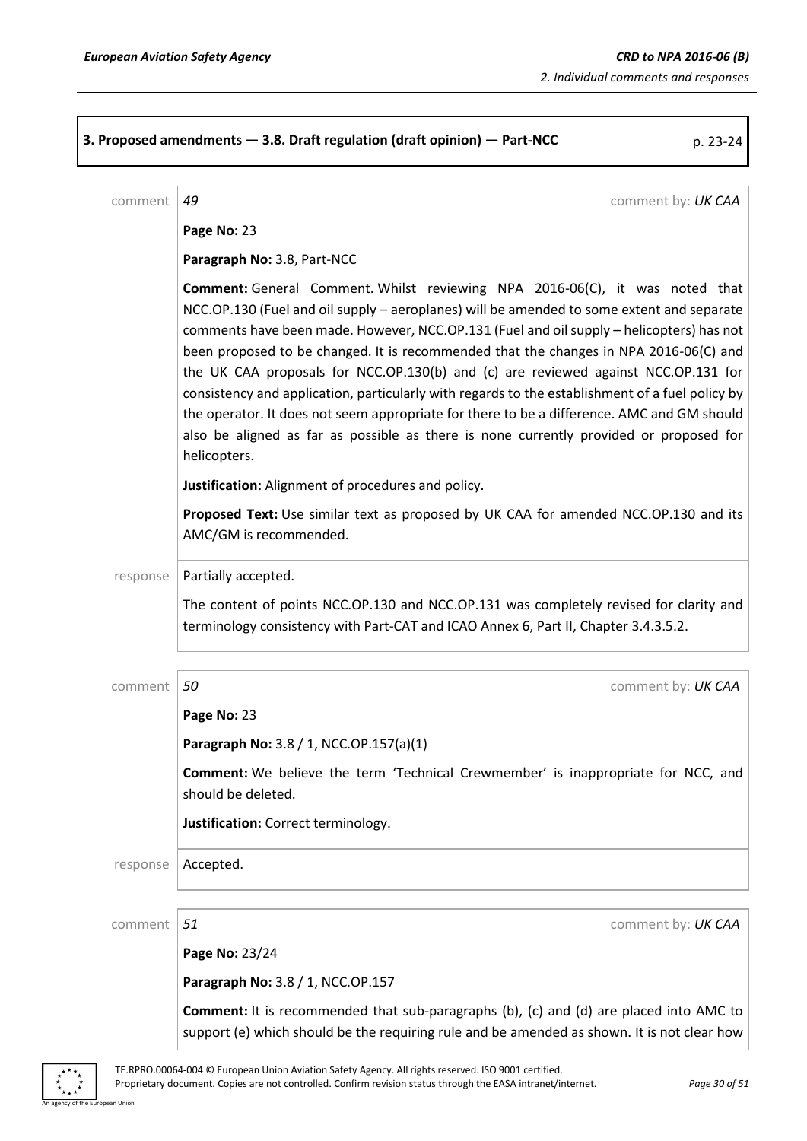**3. Proposed amendments — 3.8. Draft regulation (draft opinion) — Part-NCC** p. 23-24 comment *49* comment by: *UK CAA* **Page No:** 23 **Paragraph No:** 3.8, Part-NCC **Comment:** General Comment. Whilst reviewing NPA 2016-06(C), it was noted that NCC.OP.130 (Fuel and oil supply – aeroplanes) will be amended to some extent and separate comments have been made. However, NCC.OP.131 (Fuel and oil supply – helicopters) has not been proposed to be changed. It is recommended that the changes in NPA 2016-06(C) and the UK CAA proposals for NCC.OP.130(b) and (c) are reviewed against NCC.OP.131 for consistency and application, particularly with regards to the establishment of a fuel policy by the operator. It does not seem appropriate for there to be a difference. AMC and GM should also be aligned as far as possible as there is none currently provided or proposed for helicopters. **Justification:** Alignment of procedures and policy. **Proposed Text:** Use similar text as proposed by UK CAA for amended NCC.OP.130 and its AMC/GM is recommended. response | Partially accepted. The content of points NCC.OP.130 and NCC.OP.131 was completely revised for clarity and terminology consistency with Part-CAT and ICAO Annex 6, Part II, Chapter 3.4.3.5.2. comment *50* comment by: *UK CAA* **Page No:** 23 **Paragraph No:** 3.8 / 1, NCC.OP.157(a)(1) **Comment:** We believe the term 'Technical Crewmember' is inappropriate for NCC, and should be deleted. **Justification:** Correct terminology. response | Accepted. comment *51* comment by: *UK CAA* **Page No:** 23/24 **Paragraph No:** 3.8 / 1, NCC.OP.157 **Comment:** It is recommended that sub-paragraphs (b), (c) and (d) are placed into AMC to support (e) which should be the requiring rule and be amended as shown. It is not clear how

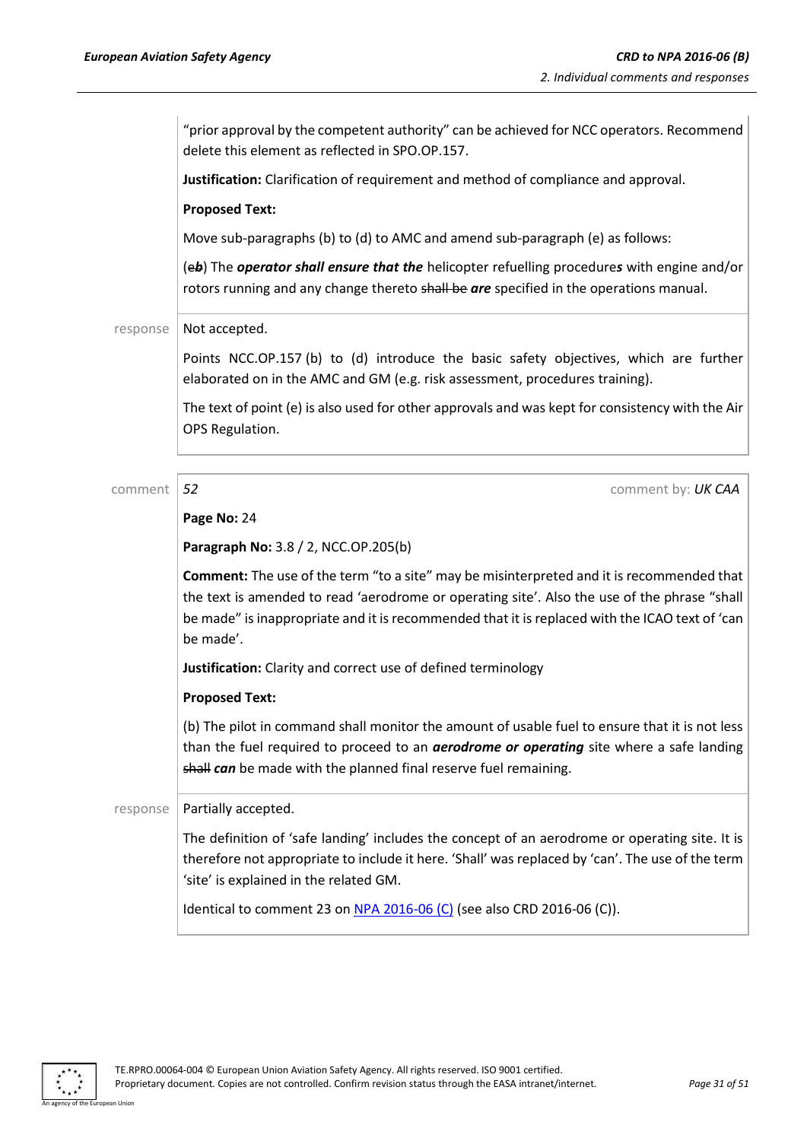"prior approval by the competent authority" can be achieved for NCC operators. Recommend delete this element as reflected in SPO.OP.157.

**Justification:** Clarification of requirement and method of compliance and approval.

### **Proposed Text:**

Move sub-paragraphs (b) to (d) to AMC and amend sub-paragraph (e) as follows:

(e*b*) The *operator shall ensure that the* helicopter refuelling procedure*s* with engine and/or rotors running and any change thereto shall be are specified in the operations manual.

### response  $\vert$  Not accepted.

Points NCC.OP.157 (b) to (d) introduce the basic safety objectives, which are further elaborated on in the AMC and GM (e.g. risk assessment, procedures training).

The text of point (e) is also used for other approvals and was kept for consistency with the Air OPS Regulation.

comment **52** comment **52** comment by: **UK CAA** 

### **Page No:** 24

**Paragraph No:** 3.8 / 2, NCC.OP.205(b)

**Comment:** The use of the term "to a site" may be misinterpreted and it is recommended that the text is amended to read 'aerodrome or operating site'. Also the use of the phrase "shall be made" is inappropriate and it is recommended that it is replaced with the ICAO text of 'can be made'.

**Justification:** Clarity and correct use of defined terminology

### **Proposed Text:**

(b) The pilot in command shall monitor the amount of usable fuel to ensure that it is not less than the fuel required to proceed to an *aerodrome or operating* site where a safe landing shall *can* be made with the planned final reserve fuel remaining.

### $response$  Partially accepted.

The definition of 'safe landing' includes the concept of an aerodrome or operating site. It is therefore not appropriate to include it here. 'Shall' was replaced by 'can'. The use of the term 'site' is explained in the related GM.

Identical to comment 23 on NPA [2016-06](https://www.easa.europa.eu/document-library/notices-of-proposed-amendment/npa-2016-06-c) (C) (see also CRD 2016-06 (C)).

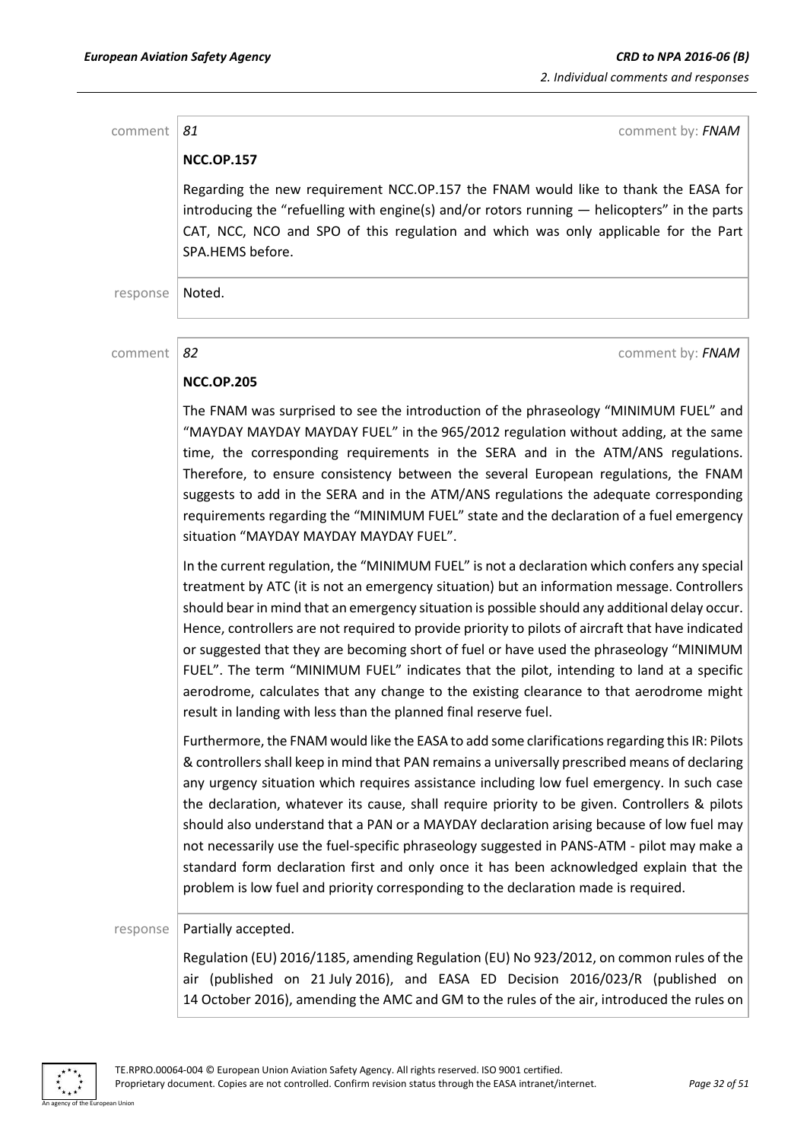comment **81** comment **81 NCC.OP.157** Regarding the new requirement NCC.OP.157 the FNAM would like to thank the EASA for introducing the "refuelling with engine(s) and/or rotors running  $-$  helicopters" in the parts CAT, NCC, NCO and SPO of this regulation and which was only applicable for the Part SPA.HEMS before. response | Noted. comment *82* comment by: *FNAM*

### **NCC.OP.205**

The FNAM was surprised to see the introduction of the phraseology "MINIMUM FUEL" and "MAYDAY MAYDAY MAYDAY FUEL" in the 965/2012 regulation without adding, at the same time, the corresponding requirements in the SERA and in the ATM/ANS regulations. Therefore, to ensure consistency between the several European regulations, the FNAM suggests to add in the SERA and in the ATM/ANS regulations the adequate corresponding requirements regarding the "MINIMUM FUEL" state and the declaration of a fuel emergency situation "MAYDAY MAYDAY MAYDAY FUEL".

In the current regulation, the "MINIMUM FUEL" is not a declaration which confers any special treatment by ATC (it is not an emergency situation) but an information message. Controllers should bear in mind that an emergency situation is possible should any additional delay occur. Hence, controllers are not required to provide priority to pilots of aircraft that have indicated or suggested that they are becoming short of fuel or have used the phraseology "MINIMUM FUEL". The term "MINIMUM FUEL" indicates that the pilot, intending to land at a specific aerodrome, calculates that any change to the existing clearance to that aerodrome might result in landing with less than the planned final reserve fuel.

Furthermore, the FNAM would like the EASA to add some clarifications regarding this IR: Pilots & controllers shall keep in mind that PAN remains a universally prescribed means of declaring any urgency situation which requires assistance including low fuel emergency. In such case the declaration, whatever its cause, shall require priority to be given. Controllers & pilots should also understand that a PAN or a MAYDAY declaration arising because of low fuel may not necessarily use the fuel-specific phraseology suggested in PANS-ATM - pilot may make a standard form declaration first and only once it has been acknowledged explain that the problem is low fuel and priority corresponding to the declaration made is required.

### response | Partially accepted.

Regulation (EU) 2016/1185, amending Regulation (EU) No 923/2012, on common rules of the air (published on 21 July 2016), and EASA ED Decision 2016/023/R (published on 14 October 2016), amending the AMC and GM to the rules of the air, introduced the rules on

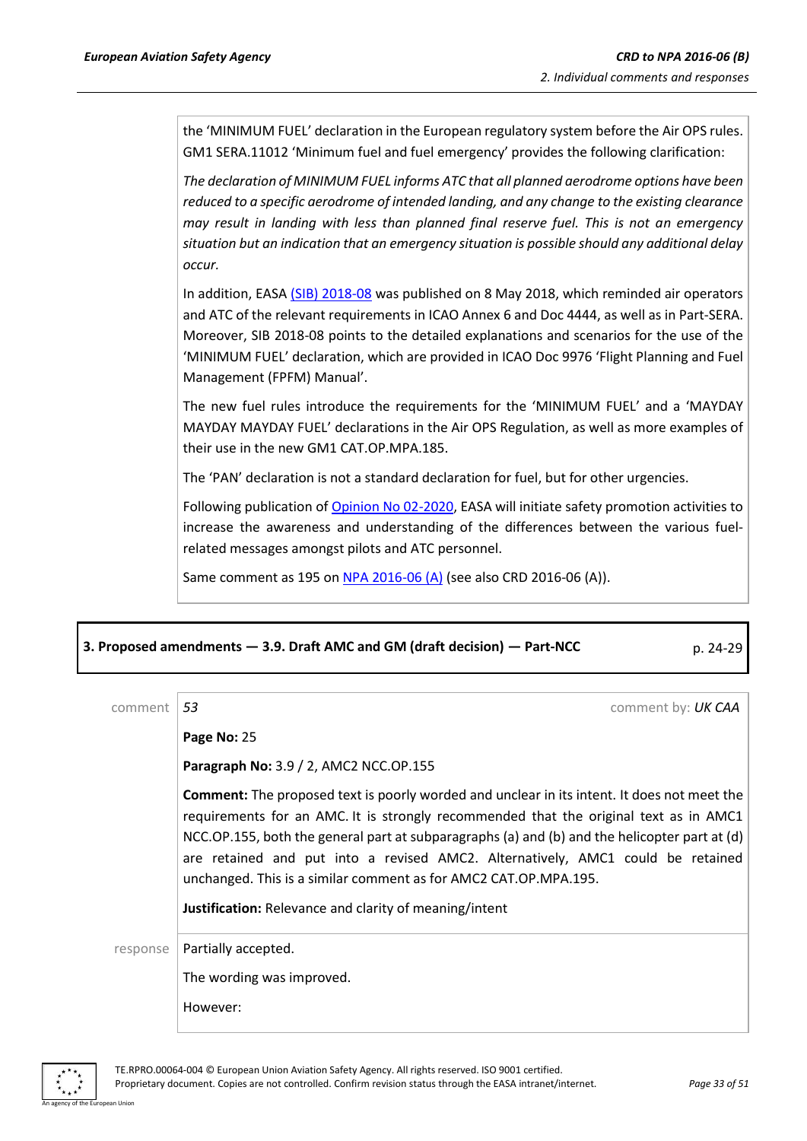the 'MINIMUM FUEL' declaration in the European regulatory system before the Air OPS rules. GM1 SERA.11012 'Minimum fuel and fuel emergency' provides the following clarification:

*The declaration of MINIMUM FUEL informs ATC that all planned aerodrome options have been reduced to a specific aerodrome of intended landing, and any change to the existing clearance may result in landing with less than planned final reserve fuel. This is not an emergency situation but an indication that an emergency situation is possible should any additional delay occur.*

In addition, EASA [\(SIB\) 2018-08](https://ad.easa.europa.eu/ad/2018-08) was published on 8 May 2018, which reminded air operators and ATC of the relevant requirements in ICAO Annex 6 and Doc 4444, as well as in Part-SERA. Moreover, SIB 2018-08 points to the detailed explanations and scenarios for the use of the 'MINIMUM FUEL' declaration, which are provided in ICAO Doc 9976 'Flight Planning and Fuel Management (FPFM) Manual'.

The new fuel rules introduce the requirements for the 'MINIMUM FUEL' and a 'MAYDAY MAYDAY MAYDAY FUEL' declarations in the Air OPS Regulation, as well as more examples of their use in the new GM1 CAT.OP.MPA.185.

The 'PAN' declaration is not a standard declaration for fuel, but for other urgencies.

Following publication o[f Opinion No 02-2020,](https://www.easa.europa.eu/document-library/opinions/opinion-022020) EASA will initiate safety promotion activities to increase the awareness and understanding of the differences between the various fuelrelated messages amongst pilots and ATC personnel.

Same comment as 195 on NPA [2016-06](https://www.easa.europa.eu/document-library/notices-of-proposed-amendment/npa-2016-06) (A) (see also CRD 2016-06 (A)).

### **3. Proposed amendments — 3.9. Draft AMC and GM (draft decision) — Part-NCC** p. 24-29

| comment  | 53<br>comment by: UK CAA                                                                                                                                                                                                                                                                                                                                                                                                                                                                                      |
|----------|---------------------------------------------------------------------------------------------------------------------------------------------------------------------------------------------------------------------------------------------------------------------------------------------------------------------------------------------------------------------------------------------------------------------------------------------------------------------------------------------------------------|
|          | Page No: 25                                                                                                                                                                                                                                                                                                                                                                                                                                                                                                   |
|          | Paragraph No: 3.9 / 2, AMC2 NCC.OP.155                                                                                                                                                                                                                                                                                                                                                                                                                                                                        |
|          | <b>Comment:</b> The proposed text is poorly worded and unclear in its intent. It does not meet the<br>requirements for an AMC. It is strongly recommended that the original text as in AMC1<br>NCC.OP.155, both the general part at subparagraphs (a) and (b) and the helicopter part at (d)<br>are retained and put into a revised AMC2. Alternatively, AMC1 could be retained<br>unchanged. This is a similar comment as for AMC2 CAT.OP.MPA.195.<br>Justification: Relevance and clarity of meaning/intent |
| response | Partially accepted.                                                                                                                                                                                                                                                                                                                                                                                                                                                                                           |
|          | The wording was improved.                                                                                                                                                                                                                                                                                                                                                                                                                                                                                     |
|          | However:                                                                                                                                                                                                                                                                                                                                                                                                                                                                                                      |

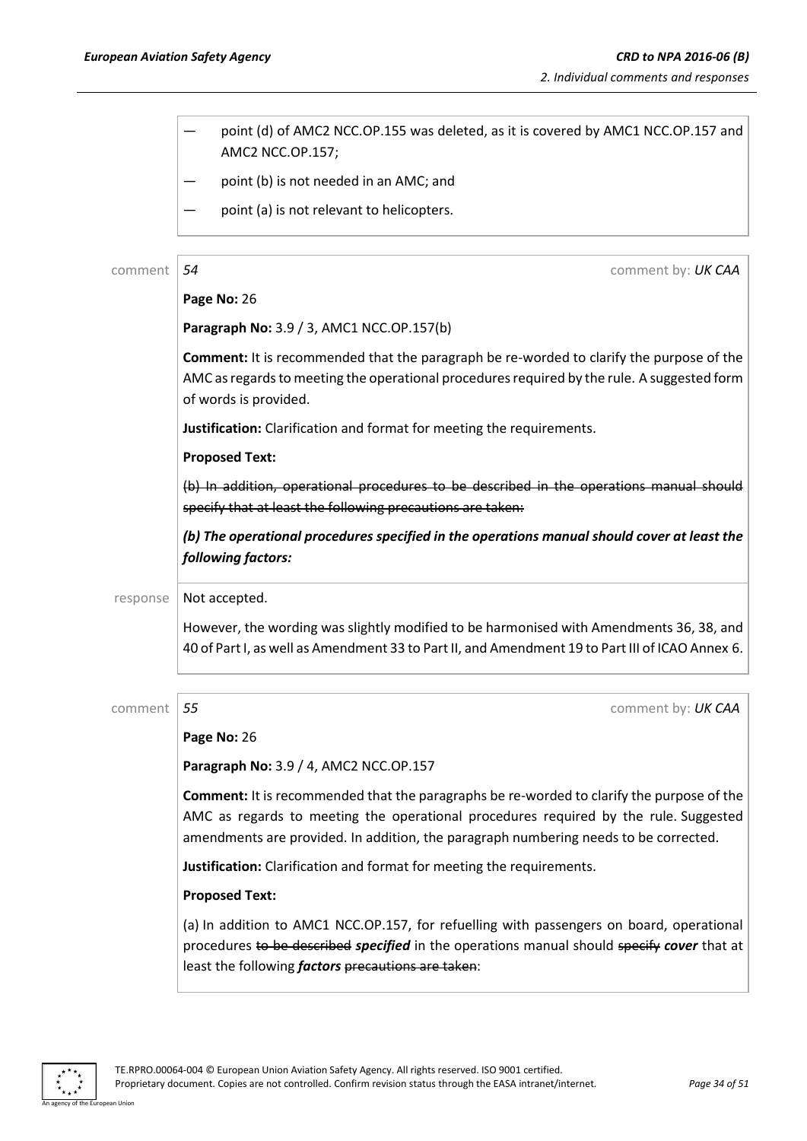| point (d) of AMC2 NCC.OP.155 was deleted, as it is covered by AMC1 NCC.OP.157 and<br>AMC2 NCC.OP.157;<br>point (b) is not needed in an AMC; and<br>point (a) is not relevant to helicopters.<br>54<br>comment by: UK CAA                                                  |
|---------------------------------------------------------------------------------------------------------------------------------------------------------------------------------------------------------------------------------------------------------------------------|
|                                                                                                                                                                                                                                                                           |
|                                                                                                                                                                                                                                                                           |
|                                                                                                                                                                                                                                                                           |
|                                                                                                                                                                                                                                                                           |
|                                                                                                                                                                                                                                                                           |
| Page No: 26                                                                                                                                                                                                                                                               |
| Paragraph No: 3.9 / 3, AMC1 NCC.OP.157(b)                                                                                                                                                                                                                                 |
| <b>Comment:</b> It is recommended that the paragraph be re-worded to clarify the purpose of the<br>AMC as regards to meeting the operational procedures required by the rule. A suggested form<br>of words is provided.                                                   |
| Justification: Clarification and format for meeting the requirements.                                                                                                                                                                                                     |
| <b>Proposed Text:</b>                                                                                                                                                                                                                                                     |
| (b) In addition, operational procedures to be described in the operations manual should<br>specify that at least the following precautions are taken:                                                                                                                     |
| (b) The operational procedures specified in the operations manual should cover at least the<br>following factors:                                                                                                                                                         |
| Not accepted.                                                                                                                                                                                                                                                             |
| However, the wording was slightly modified to be harmonised with Amendments 36, 38, and<br>40 of Part I, as well as Amendment 33 to Part II, and Amendment 19 to Part III of ICAO Annex 6.                                                                                |
| comment by: UK CAA                                                                                                                                                                                                                                                        |
| Page No: 26                                                                                                                                                                                                                                                               |
| Paragraph No: 3.9 / 4, AMC2 NCC.OP.157                                                                                                                                                                                                                                    |
| Comment: It is recommended that the paragraphs be re-worded to clarify the purpose of the<br>AMC as regards to meeting the operational procedures required by the rule. Suggested<br>amendments are provided. In addition, the paragraph numbering needs to be corrected. |
| Justification: Clarification and format for meeting the requirements.                                                                                                                                                                                                     |
| <b>Proposed Text:</b>                                                                                                                                                                                                                                                     |
| (a) In addition to AMC1 NCC.OP.157, for refuelling with passengers on board, operational<br>procedures to be described specified in the operations manual should specify cover that at<br>least the following <i>factors</i> precautions are taken:                       |
| 55                                                                                                                                                                                                                                                                        |

 $\ddot{\ast}$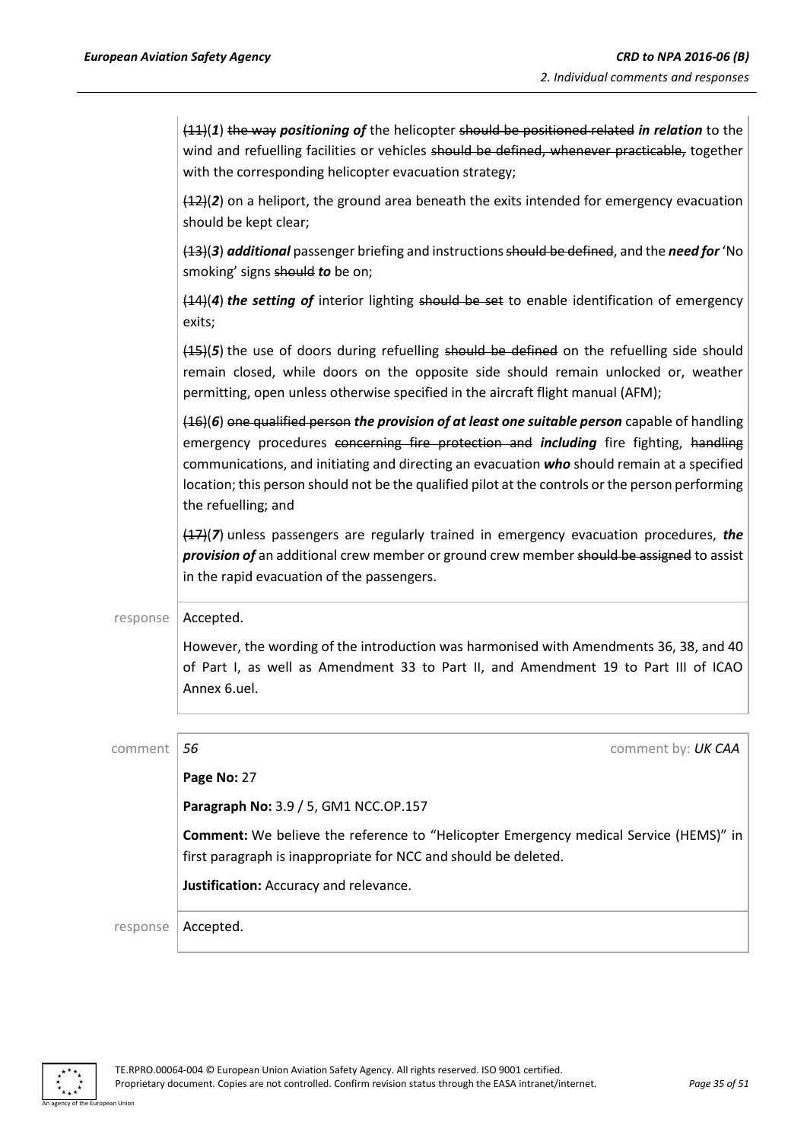|          | $(11)(1)$ the way positioning of the helicopter should be positioned related in relation to the<br>wind and refuelling facilities or vehicles should be defined, whenever practicable, together<br>with the corresponding helicopter evacuation strategy;                                                                                                                                                            |
|----------|----------------------------------------------------------------------------------------------------------------------------------------------------------------------------------------------------------------------------------------------------------------------------------------------------------------------------------------------------------------------------------------------------------------------|
|          | $(42)(2)$ on a heliport, the ground area beneath the exits intended for emergency evacuation<br>should be kept clear;                                                                                                                                                                                                                                                                                                |
|          | $(13)(3)$ additional passenger briefing and instructions should be defined, and the need for 'No<br>smoking' signs should to be on;                                                                                                                                                                                                                                                                                  |
|          | $(14)(4)$ the setting of interior lighting should be set to enable identification of emergency<br>exits;                                                                                                                                                                                                                                                                                                             |
|          | $(45)(5)$ the use of doors during refuelling should be defined on the refuelling side should<br>remain closed, while doors on the opposite side should remain unlocked or, weather<br>permitting, open unless otherwise specified in the aircraft flight manual (AFM);                                                                                                                                               |
|          | $(46)$ (6) one qualified person the provision of at least one suitable person capable of handling<br>emergency procedures concerning fire protection and including fire fighting, handling<br>communications, and initiating and directing an evacuation who should remain at a specified<br>location; this person should not be the qualified pilot at the controls or the person performing<br>the refuelling; and |
|          | $(47)(7)$ unless passengers are regularly trained in emergency evacuation procedures, the<br>provision of an additional crew member or ground crew member should be assigned to assist<br>in the rapid evacuation of the passengers.                                                                                                                                                                                 |
| response | Accepted.                                                                                                                                                                                                                                                                                                                                                                                                            |
|          | However, the wording of the introduction was harmonised with Amendments 36, 38, and 40<br>of Part I, as well as Amendment 33 to Part II, and Amendment 19 to Part III of ICAO<br>Annex 6.uel.                                                                                                                                                                                                                        |
| comment  | 56<br>comment by: UK CAA                                                                                                                                                                                                                                                                                                                                                                                             |
|          | Page No: 27                                                                                                                                                                                                                                                                                                                                                                                                          |
|          | Paragraph No: 3.9 / 5, GM1 NCC.OP.157                                                                                                                                                                                                                                                                                                                                                                                |
|          | Comment: We believe the reference to "Helicopter Emergency medical Service (HEMS)" in<br>first paragraph is inappropriate for NCC and should be deleted.                                                                                                                                                                                                                                                             |
|          | Justification: Accuracy and relevance.                                                                                                                                                                                                                                                                                                                                                                               |
| response | Accepted.                                                                                                                                                                                                                                                                                                                                                                                                            |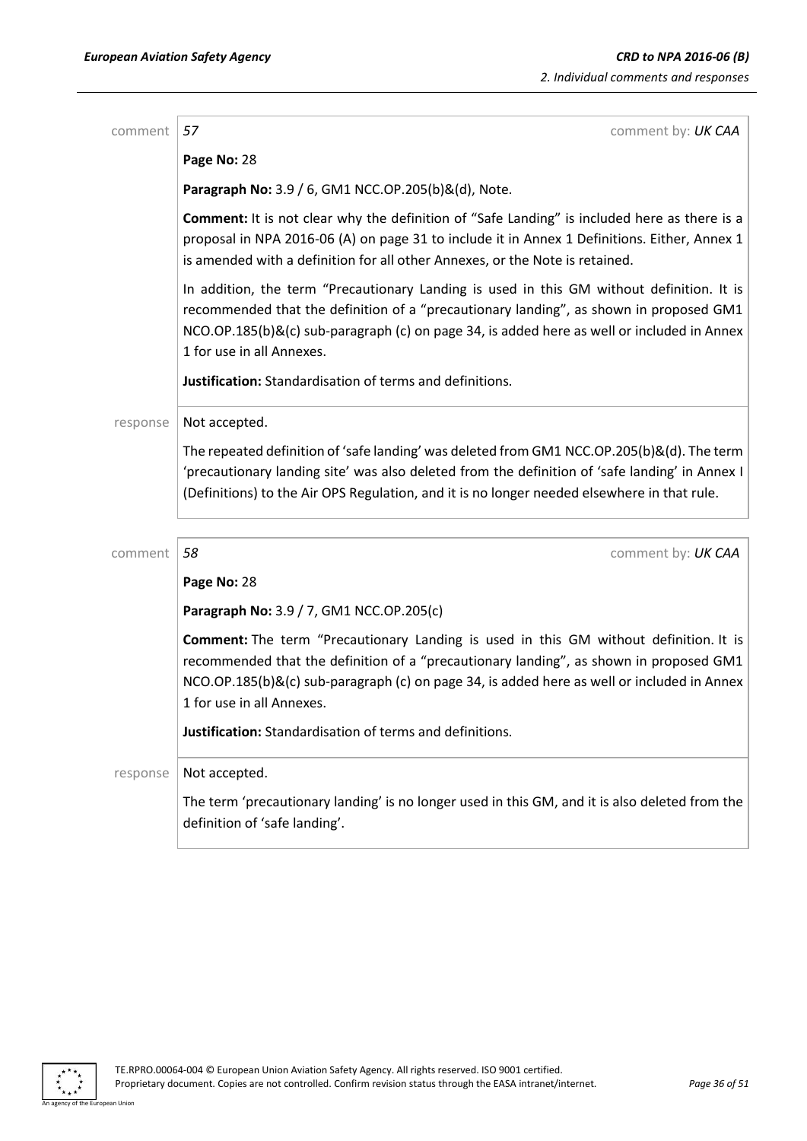| comment  | 57<br>comment by: UK CAA                                                                                                                                                                                                                                                                                       |
|----------|----------------------------------------------------------------------------------------------------------------------------------------------------------------------------------------------------------------------------------------------------------------------------------------------------------------|
|          | Page No: 28                                                                                                                                                                                                                                                                                                    |
|          | Paragraph No: 3.9 / 6, GM1 NCC.OP.205(b)&(d), Note.                                                                                                                                                                                                                                                            |
|          | <b>Comment:</b> It is not clear why the definition of "Safe Landing" is included here as there is a<br>proposal in NPA 2016-06 (A) on page 31 to include it in Annex 1 Definitions. Either, Annex 1<br>is amended with a definition for all other Annexes, or the Note is retained.                            |
|          | In addition, the term "Precautionary Landing is used in this GM without definition. It is<br>recommended that the definition of a "precautionary landing", as shown in proposed GM1<br>NCO.OP.185(b)&(c) sub-paragraph (c) on page 34, is added here as well or included in Annex<br>1 for use in all Annexes. |
|          | Justification: Standardisation of terms and definitions.                                                                                                                                                                                                                                                       |
| response | Not accepted.                                                                                                                                                                                                                                                                                                  |
|          | The repeated definition of 'safe landing' was deleted from GM1 NCC.OP.205(b)&(d). The term<br>'precautionary landing site' was also deleted from the definition of 'safe landing' in Annex I<br>(Definitions) to the Air OPS Regulation, and it is no longer needed elsewhere in that rule.                    |
| comment  | 58<br>comment by: UK CAA                                                                                                                                                                                                                                                                                       |
|          | Page No: 28                                                                                                                                                                                                                                                                                                    |
|          | Paragraph No: 3.9 / 7, GM1 NCC.OP.205(c)                                                                                                                                                                                                                                                                       |
|          | Comment: The term "Precautionary Landing is used in this GM without definition. It is<br>recommended that the definition of a "precautionary landing", as shown in proposed GM1<br>NCO.OP.185(b)&(c) sub-paragraph (c) on page 34, is added here as well or included in Annex<br>1 for use in all Annexes.     |
|          | Justification: Standardisation of terms and definitions.                                                                                                                                                                                                                                                       |
| response | Not accepted.                                                                                                                                                                                                                                                                                                  |
|          | The term 'precautionary landing' is no longer used in this GM, and it is also deleted from the<br>definition of 'safe landing'.                                                                                                                                                                                |

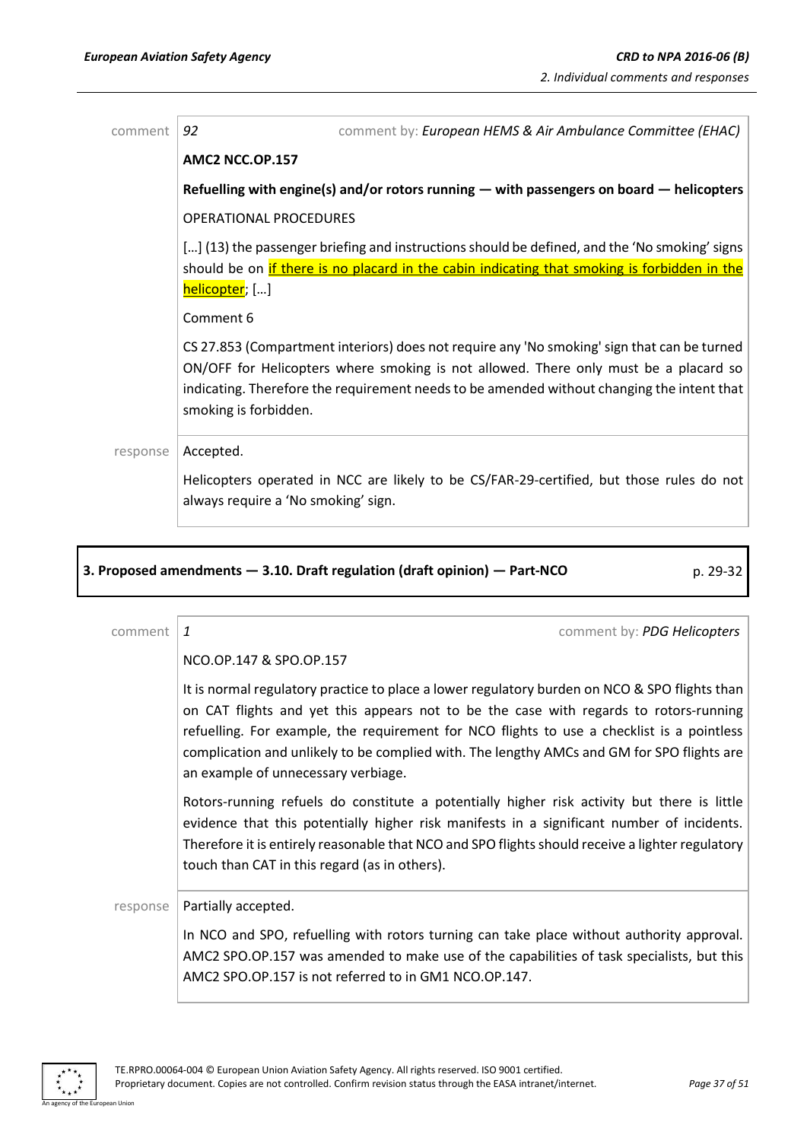| comment  | 92<br>comment by: European HEMS & Air Ambulance Committee (EHAC)                                                                                                                                                                                                                                           |
|----------|------------------------------------------------------------------------------------------------------------------------------------------------------------------------------------------------------------------------------------------------------------------------------------------------------------|
|          | <b>AMC2 NCC.OP.157</b>                                                                                                                                                                                                                                                                                     |
|          | Refuelling with engine(s) and/or rotors running $-$ with passengers on board $-$ helicopters                                                                                                                                                                                                               |
|          | <b>OPERATIONAL PROCEDURES</b>                                                                                                                                                                                                                                                                              |
|          | [] (13) the passenger briefing and instructions should be defined, and the 'No smoking' signs<br>should be on if there is no placard in the cabin indicating that smoking is forbidden in the<br>helicopter; []                                                                                            |
|          | Comment 6                                                                                                                                                                                                                                                                                                  |
|          | CS 27.853 (Compartment interiors) does not require any 'No smoking' sign that can be turned<br>ON/OFF for Helicopters where smoking is not allowed. There only must be a placard so<br>indicating. Therefore the requirement needs to be amended without changing the intent that<br>smoking is forbidden. |
| response | Accepted.                                                                                                                                                                                                                                                                                                  |
|          | Helicopters operated in NCC are likely to be CS/FAR-29-certified, but those rules do not<br>always require a 'No smoking' sign.                                                                                                                                                                            |
|          |                                                                                                                                                                                                                                                                                                            |

# **3. Proposed amendments — 3.10. Draft regulation (draft opinion) — Part-NCO** p. 29-32

| comment  | comment by: PDG Helicopters<br>1                                                                                                                                                                                                                                                                                                                                                                                          |
|----------|---------------------------------------------------------------------------------------------------------------------------------------------------------------------------------------------------------------------------------------------------------------------------------------------------------------------------------------------------------------------------------------------------------------------------|
|          | NCO.OP.147 & SPO.OP.157                                                                                                                                                                                                                                                                                                                                                                                                   |
|          | It is normal regulatory practice to place a lower regulatory burden on NCO & SPO flights than<br>on CAT flights and yet this appears not to be the case with regards to rotors-running<br>refuelling. For example, the requirement for NCO flights to use a checklist is a pointless<br>complication and unlikely to be complied with. The lengthy AMCs and GM for SPO flights are<br>an example of unnecessary verbiage. |
|          | Rotors-running refuels do constitute a potentially higher risk activity but there is little<br>evidence that this potentially higher risk manifests in a significant number of incidents.<br>Therefore it is entirely reasonable that NCO and SPO flights should receive a lighter regulatory<br>touch than CAT in this regard (as in others).                                                                            |
| response | Partially accepted.                                                                                                                                                                                                                                                                                                                                                                                                       |
|          | In NCO and SPO, refuelling with rotors turning can take place without authority approval.<br>AMC2 SPO.OP.157 was amended to make use of the capabilities of task specialists, but this<br>AMC2 SPO.OP.157 is not referred to in GM1 NCO.OP.147.                                                                                                                                                                           |

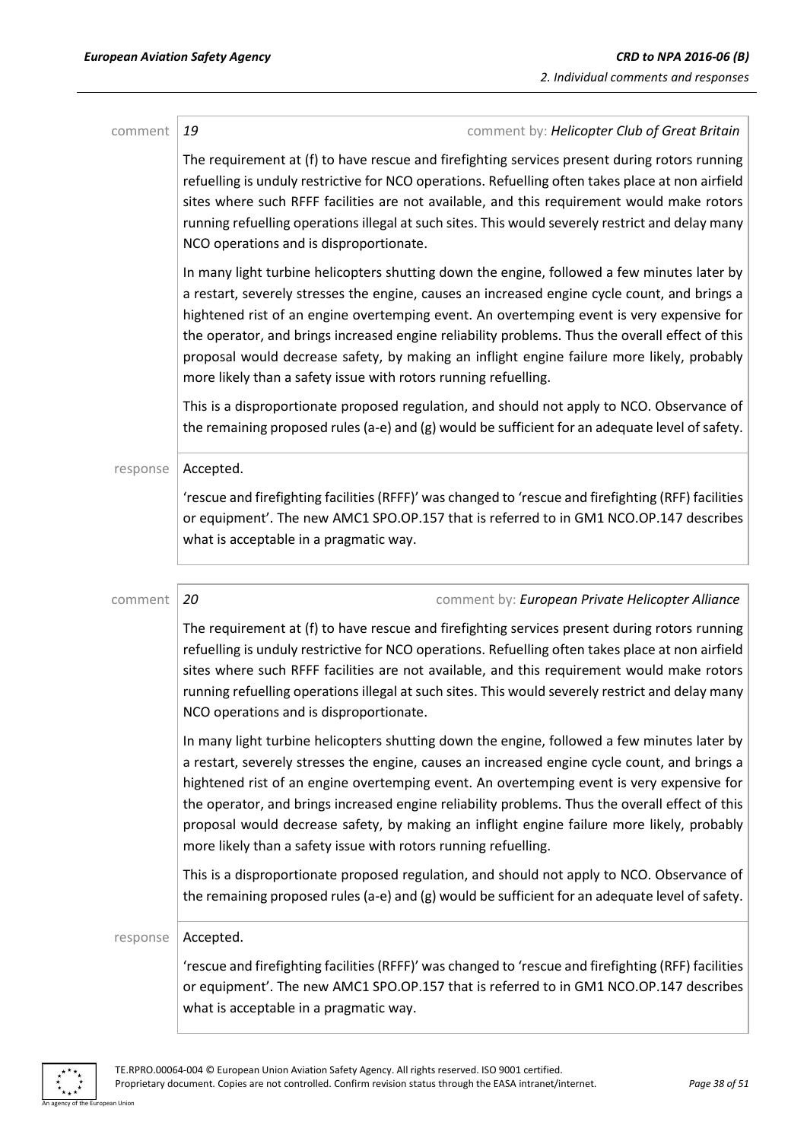| comment  | 19<br>comment by: Helicopter Club of Great Britain                                                                                                                                                                                                                                                                                                                                                                                                                                                                                                            |
|----------|---------------------------------------------------------------------------------------------------------------------------------------------------------------------------------------------------------------------------------------------------------------------------------------------------------------------------------------------------------------------------------------------------------------------------------------------------------------------------------------------------------------------------------------------------------------|
|          | The requirement at (f) to have rescue and firefighting services present during rotors running<br>refuelling is unduly restrictive for NCO operations. Refuelling often takes place at non airfield<br>sites where such RFFF facilities are not available, and this requirement would make rotors<br>running refuelling operations illegal at such sites. This would severely restrict and delay many<br>NCO operations and is disproportionate.                                                                                                               |
|          | In many light turbine helicopters shutting down the engine, followed a few minutes later by<br>a restart, severely stresses the engine, causes an increased engine cycle count, and brings a<br>hightened rist of an engine overtemping event. An overtemping event is very expensive for<br>the operator, and brings increased engine reliability problems. Thus the overall effect of this<br>proposal would decrease safety, by making an inflight engine failure more likely, probably<br>more likely than a safety issue with rotors running refuelling. |
|          | This is a disproportionate proposed regulation, and should not apply to NCO. Observance of<br>the remaining proposed rules (a-e) and (g) would be sufficient for an adequate level of safety.                                                                                                                                                                                                                                                                                                                                                                 |
| response | Accepted.                                                                                                                                                                                                                                                                                                                                                                                                                                                                                                                                                     |
|          | 'rescue and firefighting facilities (RFFF)' was changed to 'rescue and firefighting (RFF) facilities<br>or equipment'. The new AMC1 SPO.OP.157 that is referred to in GM1 NCO.OP.147 describes<br>what is acceptable in a pragmatic way.                                                                                                                                                                                                                                                                                                                      |
|          | 20                                                                                                                                                                                                                                                                                                                                                                                                                                                                                                                                                            |
| comment  | comment by: European Private Helicopter Alliance<br>The requirement at (f) to have rescue and firefighting services present during rotors running<br>refuelling is unduly restrictive for NCO operations. Refuelling often takes place at non airfield<br>sites where such RFFF facilities are not available, and this requirement would make rotors<br>running refuelling operations illegal at such sites. This would severely restrict and delay many<br>NCO operations and is disproportionate.                                                           |
|          | In many light turbine helicopters shutting down the engine, followed a few minutes later by<br>a restart, severely stresses the engine, causes an increased engine cycle count, and brings a<br>hightened rist of an engine overtemping event. An overtemping event is very expensive for<br>the operator, and brings increased engine reliability problems. Thus the overall effect of this<br>proposal would decrease safety, by making an inflight engine failure more likely, probably<br>more likely than a safety issue with rotors running refuelling. |
|          | This is a disproportionate proposed regulation, and should not apply to NCO. Observance of<br>the remaining proposed rules (a-e) and (g) would be sufficient for an adequate level of safety.                                                                                                                                                                                                                                                                                                                                                                 |
| response | Accepted.                                                                                                                                                                                                                                                                                                                                                                                                                                                                                                                                                     |
|          | 'rescue and firefighting facilities (RFFF)' was changed to 'rescue and firefighting (RFF) facilities<br>or equipment'. The new AMC1 SPO.OP.157 that is referred to in GM1 NCO.OP.147 describes<br>what is acceptable in a pragmatic way.                                                                                                                                                                                                                                                                                                                      |

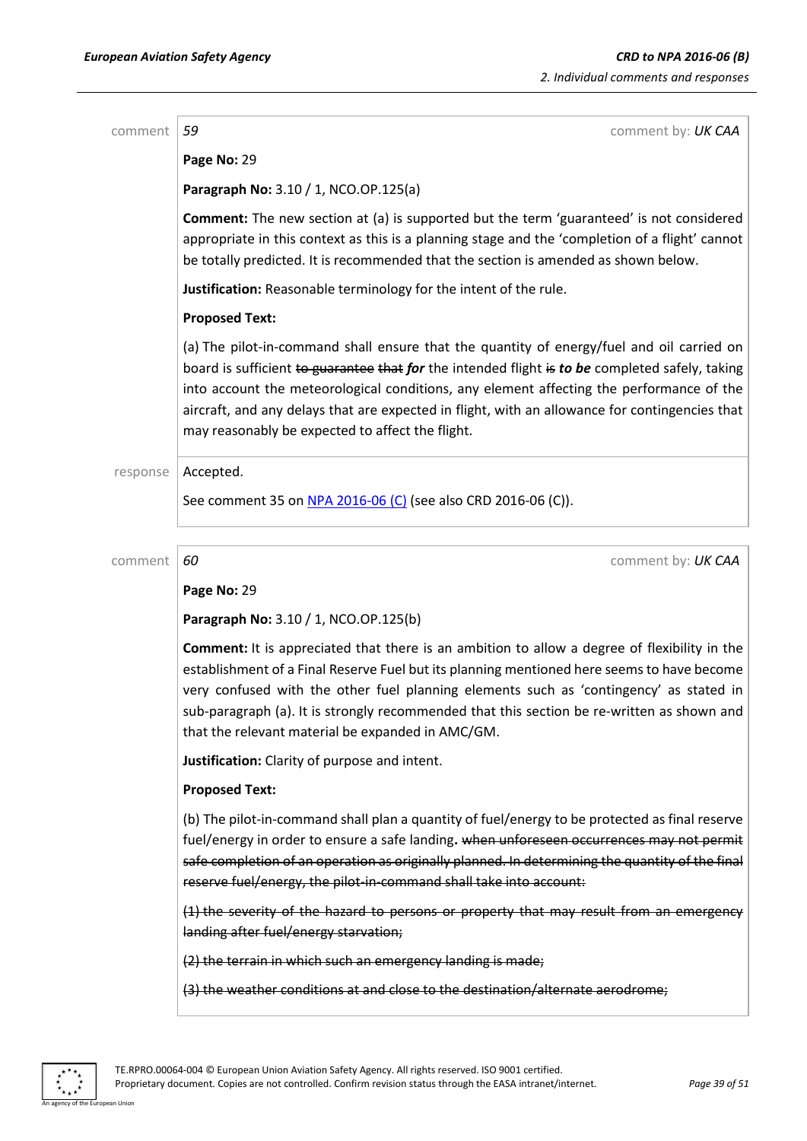comment *59* comment by: *UK CAA*

**Page No:** 29

**Paragraph No:** 3.10 / 1, NCO.OP.125(a)

**Comment:** The new section at (a) is supported but the term 'guaranteed' is not considered appropriate in this context as this is a planning stage and the 'completion of a flight' cannot be totally predicted. It is recommended that the section is amended as shown below.

**Justification:** Reasonable terminology for the intent of the rule.

### **Proposed Text:**

(a) The pilot-in-command shall ensure that the quantity of energy/fuel and oil carried on board is sufficient to guarantee that *for* the intended flight is *to be* completed safely, taking into account the meteorological conditions, any element affecting the performance of the aircraft, and any delays that are expected in flight, with an allowance for contingencies that may reasonably be expected to affect the flight.

### response | Accepted.

See comment 35 on NPA [2016-06](https://www.easa.europa.eu/document-library/notices-of-proposed-amendment/npa-2016-06-c) (C) (see also CRD 2016-06 (C)).

comment **60 comment 60 comment 60 comment by: UK CAA** 

**Page No:** 29

**Paragraph No:** 3.10 / 1, NCO.OP.125(b)

**Comment:** It is appreciated that there is an ambition to allow a degree of flexibility in the establishment of a Final Reserve Fuel but its planning mentioned here seems to have become very confused with the other fuel planning elements such as 'contingency' as stated in sub-paragraph (a). It is strongly recommended that this section be re-written as shown and that the relevant material be expanded in AMC/GM.

**Justification:** Clarity of purpose and intent.

### **Proposed Text:**

(b) The pilot-in-command shall plan a quantity of fuel/energy to be protected as final reserve fuel/energy in order to ensure a safe landing. when unforeseen occurrences may not permit safe completion of an operation as originally planned. In determining the quantity of the final reserve fuel/energy, the pilot-in-command shall take into account:

(1) the severity of the hazard to persons or property that may result from an emergency landing after fuel/energy starvation;

(2) the terrain in which such an emergency landing is made;

(3) the weather conditions at and close to the destination/alternate aerodrome;

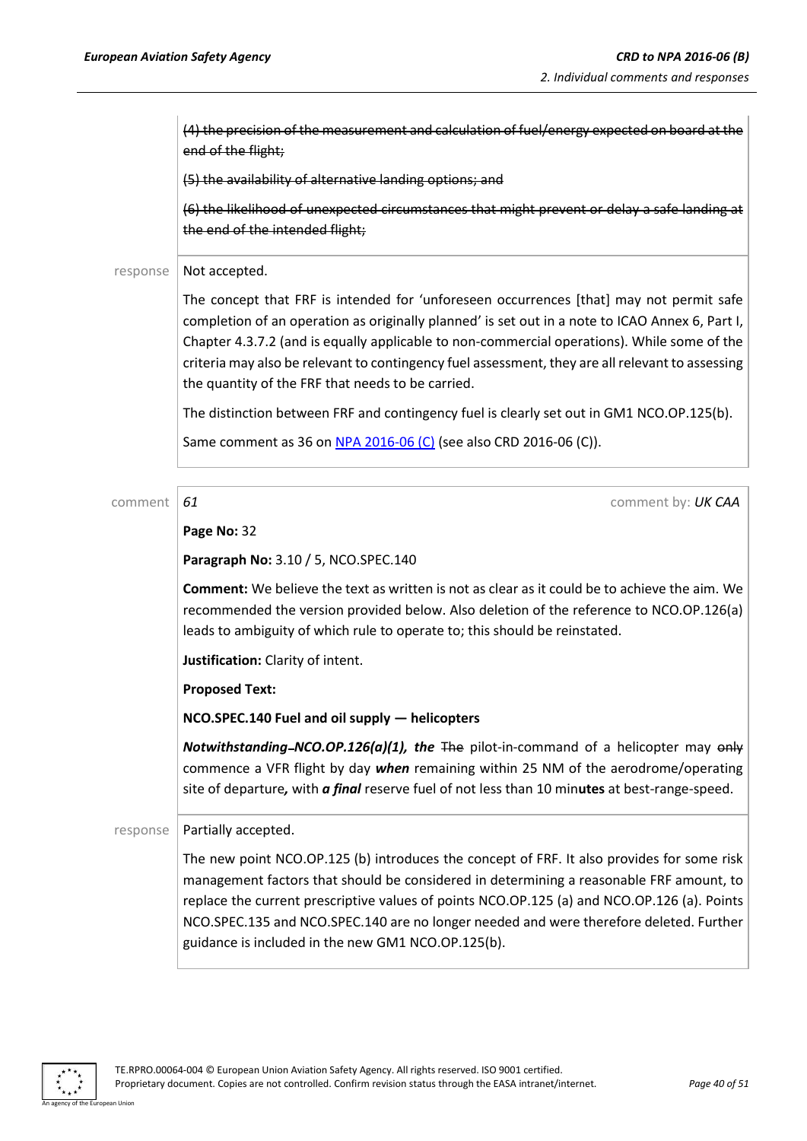(4) the precision of the measurement and calculation of fuel/energy expected on board at the end of the flight;

(5) the availability of alternative landing options; and

(6) the likelihood of unexpected circumstances that might prevent or delay a safe landing at the end of the intended flight;

### response | Not accepted.

The concept that FRF is intended for 'unforeseen occurrences [that] may not permit safe completion of an operation as originally planned' is set out in a note to ICAO Annex 6, Part I, Chapter 4.3.7.2 (and is equally applicable to non-commercial operations). While some of the criteria may also be relevant to contingency fuel assessment, they are all relevant to assessing the quantity of the FRF that needs to be carried.

The distinction between FRF and contingency fuel is clearly set out in GM1 NCO.OP.125(b).

Same comment as 36 on NPA [2016-06](https://www.easa.europa.eu/document-library/notices-of-proposed-amendment/npa-2016-06-c) (C) (see also CRD 2016-06 (C)).

comment **61** comment **61** comment **61** comment **61** 

### **Page No:** 32

**Paragraph No:** 3.10 / 5, NCO.SPEC.140

**Comment:** We believe the text as written is not as clear as it could be to achieve the aim. We recommended the version provided below. Also deletion of the reference to NCO.OP.126(a) leads to ambiguity of which rule to operate to; this should be reinstated.

**Justification:** Clarity of intent.

**Proposed Text:**

**NCO.SPEC.140 Fuel and oil supply — helicopters**

*Notwithstanding-NCO.OP.126(a)(1), the* The pilot-in-command of a helicopter may only commence a VFR flight by day *when* remaining within 25 NM of the aerodrome/operating site of departure*,* with *a final* reserve fuel of not less than 10 min**utes** at best-range-speed.

### $response$  | Partially accepted.

The new point NCO.OP.125 (b) introduces the concept of FRF. It also provides for some risk management factors that should be considered in determining a reasonable FRF amount, to replace the current prescriptive values of points NCO.OP.125 (a) and NCO.OP.126 (a). Points NCO.SPEC.135 and NCO.SPEC.140 are no longer needed and were therefore deleted. Further guidance is included in the new GM1 NCO.OP.125(b).

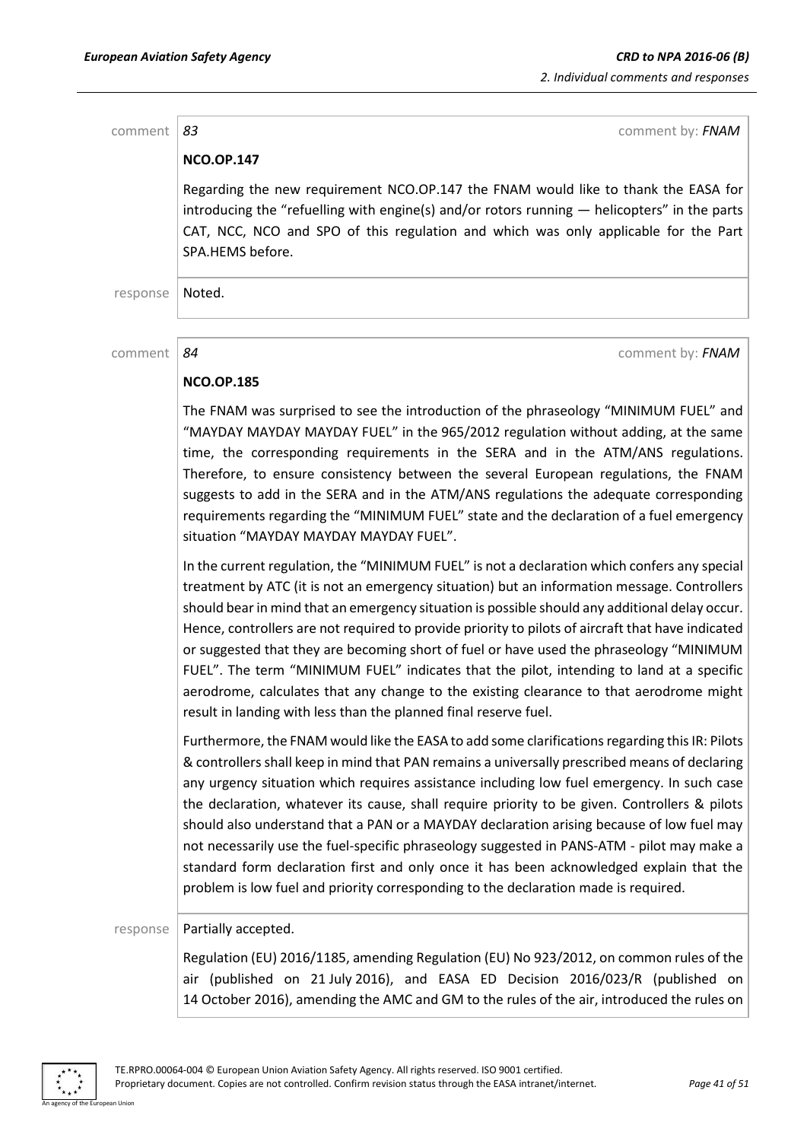comment **83** comment **83** comment **by:** *FNAM* **NCO.OP.147** Regarding the new requirement NCO.OP.147 the FNAM would like to thank the EASA for introducing the "refuelling with engine(s) and/or rotors running — helicopters" in the parts CAT, NCC, NCO and SPO of this regulation and which was only applicable for the Part SPA.HEMS before. response | Noted. comment *84* comment by: *FNAM* **NCO.OP.185**

> The FNAM was surprised to see the introduction of the phraseology "MINIMUM FUEL" and "MAYDAY MAYDAY MAYDAY FUEL" in the 965/2012 regulation without adding, at the same time, the corresponding requirements in the SERA and in the ATM/ANS regulations. Therefore, to ensure consistency between the several European regulations, the FNAM suggests to add in the SERA and in the ATM/ANS regulations the adequate corresponding requirements regarding the "MINIMUM FUEL" state and the declaration of a fuel emergency situation "MAYDAY MAYDAY MAYDAY FUEL".

> In the current regulation, the "MINIMUM FUEL" is not a declaration which confers any special treatment by ATC (it is not an emergency situation) but an information message. Controllers should bear in mind that an emergency situation is possible should any additional delay occur. Hence, controllers are not required to provide priority to pilots of aircraft that have indicated or suggested that they are becoming short of fuel or have used the phraseology "MINIMUM FUEL". The term "MINIMUM FUEL" indicates that the pilot, intending to land at a specific aerodrome, calculates that any change to the existing clearance to that aerodrome might result in landing with less than the planned final reserve fuel.

> Furthermore, the FNAM would like the EASA to add some clarifications regarding this IR: Pilots & controllers shall keep in mind that PAN remains a universally prescribed means of declaring any urgency situation which requires assistance including low fuel emergency. In such case the declaration, whatever its cause, shall require priority to be given. Controllers & pilots should also understand that a PAN or a MAYDAY declaration arising because of low fuel may not necessarily use the fuel-specific phraseology suggested in PANS-ATM - pilot may make a standard form declaration first and only once it has been acknowledged explain that the problem is low fuel and priority corresponding to the declaration made is required.

### response | Partially accepted.

Regulation (EU) 2016/1185, amending Regulation (EU) No 923/2012, on common rules of the air (published on 21 July 2016), and EASA ED Decision 2016/023/R (published on 14 October 2016), amending the AMC and GM to the rules of the air, introduced the rules on

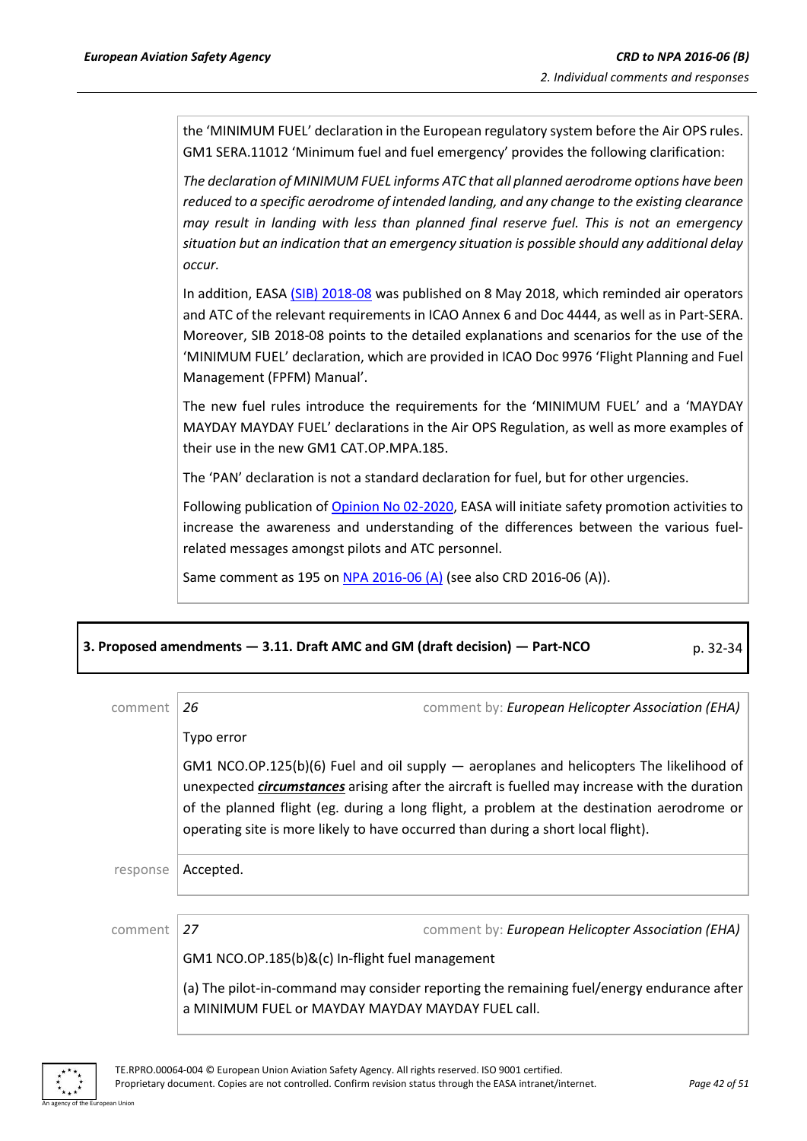the 'MINIMUM FUEL' declaration in the European regulatory system before the Air OPS rules. GM1 SERA.11012 'Minimum fuel and fuel emergency' provides the following clarification:

*The declaration of MINIMUM FUEL informs ATC that all planned aerodrome options have been reduced to a specific aerodrome of intended landing, and any change to the existing clearance may result in landing with less than planned final reserve fuel. This is not an emergency situation but an indication that an emergency situation is possible should any additional delay occur.*

In addition, EASA [\(SIB\) 2018-08](https://ad.easa.europa.eu/ad/2018-08) was published on 8 May 2018, which reminded air operators and ATC of the relevant requirements in ICAO Annex 6 and Doc 4444, as well as in Part-SERA. Moreover, SIB 2018-08 points to the detailed explanations and scenarios for the use of the 'MINIMUM FUEL' declaration, which are provided in ICAO Doc 9976 'Flight Planning and Fuel Management (FPFM) Manual'.

The new fuel rules introduce the requirements for the 'MINIMUM FUEL' and a 'MAYDAY MAYDAY MAYDAY FUEL' declarations in the Air OPS Regulation, as well as more examples of their use in the new GM1 CAT.OP.MPA.185.

The 'PAN' declaration is not a standard declaration for fuel, but for other urgencies.

Following publication o[f Opinion No 02-2020,](https://www.easa.europa.eu/document-library/opinions/opinion-022020) EASA will initiate safety promotion activities to increase the awareness and understanding of the differences between the various fuelrelated messages amongst pilots and ATC personnel.

Same comment as 195 on NPA [2016-06](https://www.easa.europa.eu/document-library/notices-of-proposed-amendment/npa-2016-06) (A) (see also CRD 2016-06 (A)).

| 3. Proposed amendments - 3.11. Draft AMC and GM (draft decision) - Part-NCO | p. 32-34 |
|-----------------------------------------------------------------------------|----------|
|-----------------------------------------------------------------------------|----------|

| comment  | 26                                                                                                                                                                                                                                                                                                                                                                                                 | comment by: European Helicopter Association (EHA)                                         |
|----------|----------------------------------------------------------------------------------------------------------------------------------------------------------------------------------------------------------------------------------------------------------------------------------------------------------------------------------------------------------------------------------------------------|-------------------------------------------------------------------------------------------|
|          | Typo error                                                                                                                                                                                                                                                                                                                                                                                         |                                                                                           |
|          | $GM1 NCO \cdot OP \cdot 125(b)(6)$ Fuel and oil supply $-$ aeroplanes and helicopters The likelihood of<br>unexpected <i>circumstances</i> arising after the aircraft is fuelled may increase with the duration<br>of the planned flight (eg. during a long flight, a problem at the destination aerodrome or<br>operating site is more likely to have occurred than during a short local flight). |                                                                                           |
| response | Accepted.                                                                                                                                                                                                                                                                                                                                                                                          |                                                                                           |
|          |                                                                                                                                                                                                                                                                                                                                                                                                    |                                                                                           |
| comment  | 27                                                                                                                                                                                                                                                                                                                                                                                                 | comment by: European Helicopter Association (EHA)                                         |
|          | GM1 NCO.OP.185(b)&(c) In-flight fuel management                                                                                                                                                                                                                                                                                                                                                    |                                                                                           |
|          | a MINIMUM FUEL or MAYDAY MAYDAY MAYDAY FUEL call.                                                                                                                                                                                                                                                                                                                                                  | (a) The pilot-in-command may consider reporting the remaining fuel/energy endurance after |

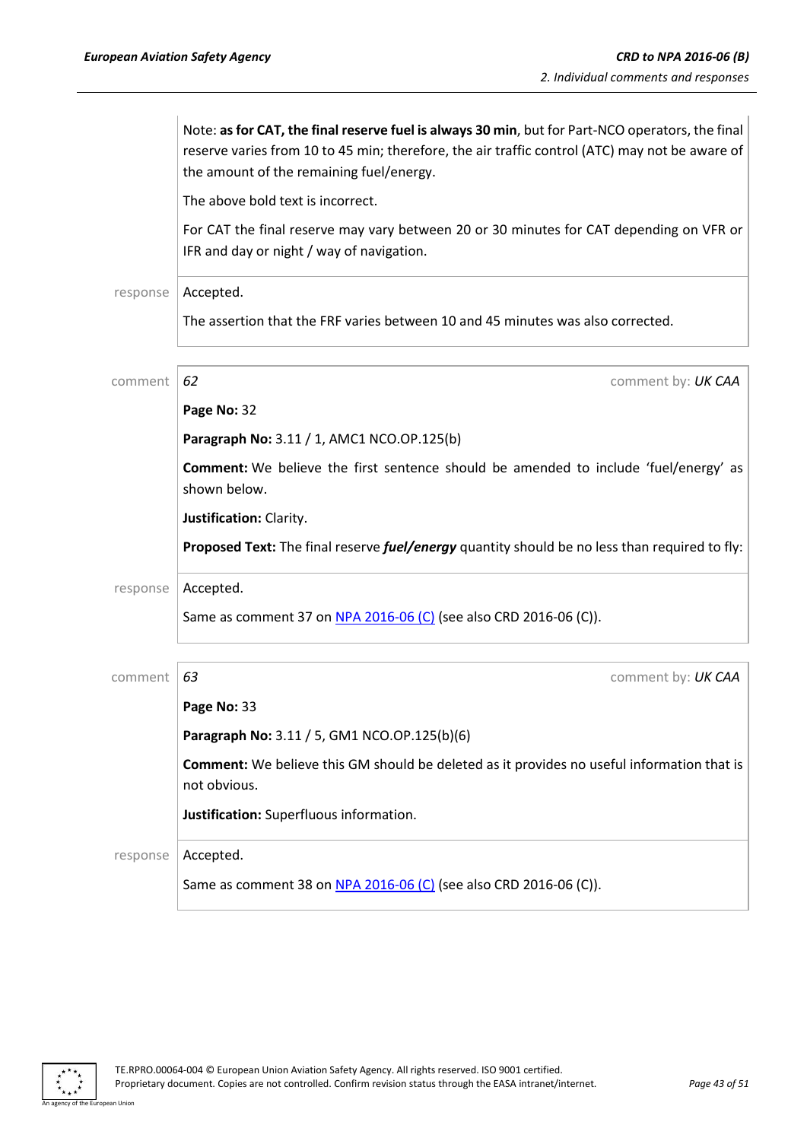|          | Note: as for CAT, the final reserve fuel is always 30 min, but for Part-NCO operators, the final<br>reserve varies from 10 to 45 min; therefore, the air traffic control (ATC) may not be aware of<br>the amount of the remaining fuel/energy. |
|----------|------------------------------------------------------------------------------------------------------------------------------------------------------------------------------------------------------------------------------------------------|
|          | The above bold text is incorrect.                                                                                                                                                                                                              |
|          | For CAT the final reserve may vary between 20 or 30 minutes for CAT depending on VFR or<br>IFR and day or night / way of navigation.                                                                                                           |
| response | Accepted.                                                                                                                                                                                                                                      |
|          | The assertion that the FRF varies between 10 and 45 minutes was also corrected.                                                                                                                                                                |
| comment  | 62<br>comment by: UK CAA                                                                                                                                                                                                                       |
|          | Page No: 32                                                                                                                                                                                                                                    |
|          | Paragraph No: 3.11 / 1, AMC1 NCO.OP.125(b)                                                                                                                                                                                                     |
|          | <b>Comment:</b> We believe the first sentence should be amended to include 'fuel/energy' as<br>shown below.                                                                                                                                    |
|          | Justification: Clarity.                                                                                                                                                                                                                        |
|          | Proposed Text: The final reserve <i>fuel/energy</i> quantity should be no less than required to fly:                                                                                                                                           |
| response | Accepted.                                                                                                                                                                                                                                      |
|          | Same as comment 37 on NPA 2016-06 (C) (see also CRD 2016-06 (C)).                                                                                                                                                                              |
| comment  | 63<br>comment by: UK CAA                                                                                                                                                                                                                       |
|          | Page No: 33                                                                                                                                                                                                                                    |
|          | Paragraph No: 3.11 / 5, GM1 NCO.OP.125(b)(6)                                                                                                                                                                                                   |
|          | Comment: We believe this GM should be deleted as it provides no useful information that is<br>not obvious.                                                                                                                                     |
|          | Justification: Superfluous information.                                                                                                                                                                                                        |
| response | Accepted.                                                                                                                                                                                                                                      |
|          | Same as comment 38 on NPA 2016-06 (C) (see also CRD 2016-06 (C)).                                                                                                                                                                              |

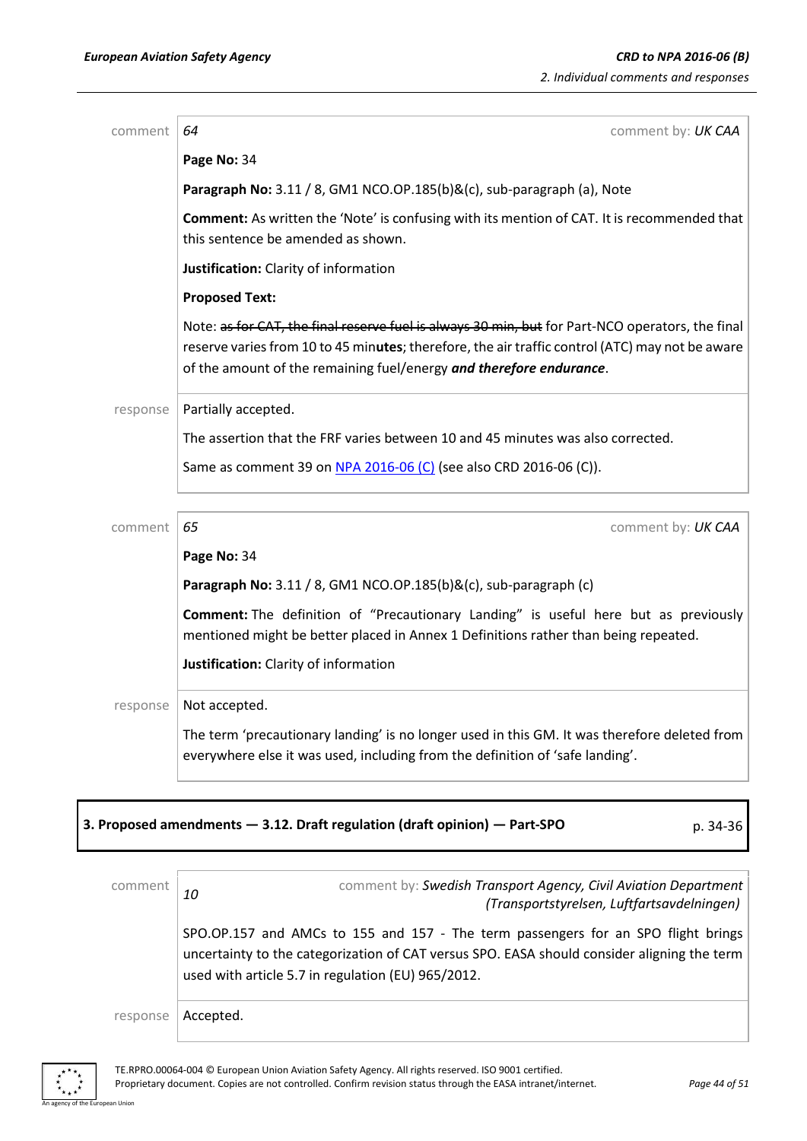| comment  | comment by: UK CAA<br>64                                                                                                                                                                                                                                                   |
|----------|----------------------------------------------------------------------------------------------------------------------------------------------------------------------------------------------------------------------------------------------------------------------------|
|          | Page No: 34                                                                                                                                                                                                                                                                |
|          | Paragraph No: 3.11 / 8, GM1 NCO.OP.185(b)&(c), sub-paragraph (a), Note                                                                                                                                                                                                     |
|          | Comment: As written the 'Note' is confusing with its mention of CAT. It is recommended that<br>this sentence be amended as shown.                                                                                                                                          |
|          | Justification: Clarity of information                                                                                                                                                                                                                                      |
|          | <b>Proposed Text:</b>                                                                                                                                                                                                                                                      |
|          | Note: as for CAT, the final reserve fuel is always 30 min, but for Part-NCO operators, the final<br>reserve varies from 10 to 45 minutes; therefore, the air traffic control (ATC) may not be aware<br>of the amount of the remaining fuel/energy and therefore endurance. |
| response | Partially accepted.                                                                                                                                                                                                                                                        |
|          | The assertion that the FRF varies between 10 and 45 minutes was also corrected.                                                                                                                                                                                            |
|          | Same as comment 39 on NPA 2016-06 (C) (see also CRD 2016-06 (C)).                                                                                                                                                                                                          |
|          |                                                                                                                                                                                                                                                                            |
| comment  | 65<br>comment by: UK CAA                                                                                                                                                                                                                                                   |
|          | Page No: 34                                                                                                                                                                                                                                                                |
|          | Paragraph No: 3.11 / 8, GM1 NCO.OP.185(b)&(c), sub-paragraph (c)                                                                                                                                                                                                           |
|          | Comment: The definition of "Precautionary Landing" is useful here but as previously<br>mentioned might be better placed in Annex 1 Definitions rather than being repeated.                                                                                                 |
|          | Justification: Clarity of information                                                                                                                                                                                                                                      |
| response | Not accepted.                                                                                                                                                                                                                                                              |
|          | The term 'precautionary landing' is no longer used in this GM. It was therefore deleted from<br>everywhere else it was used, including from the definition of 'safe landing'.                                                                                              |

## **3. Proposed amendments — 3.12. Draft regulation (draft opinion) — Part-SPO** p. 34-36

comment **10** comment by: *Swedish Transport Agency, Civil Aviation Department (Transportstyrelsen, Luftfartsavdelningen)* SPO.OP.157 and AMCs to 155 and 157 - The term passengers for an SPO flight brings uncertainty to the categorization of CAT versus SPO. EASA should consider aligning the term used with article 5.7 in regulation (EU) 965/2012. response | Accepted.

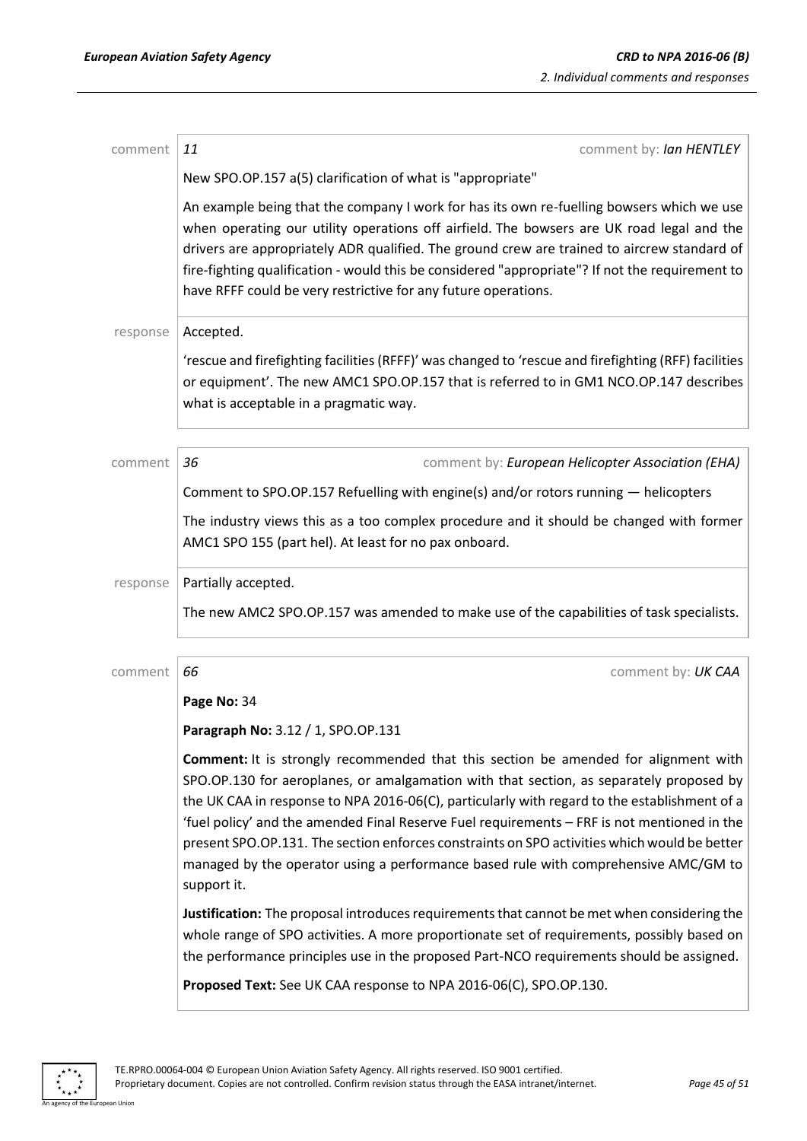| comment  | comment by: Ian HENTLEY<br>11                                                                                                                                                                                                                                                                                                                                                                                                                                                                                                                                                              |
|----------|--------------------------------------------------------------------------------------------------------------------------------------------------------------------------------------------------------------------------------------------------------------------------------------------------------------------------------------------------------------------------------------------------------------------------------------------------------------------------------------------------------------------------------------------------------------------------------------------|
|          | New SPO.OP.157 a(5) clarification of what is "appropriate"                                                                                                                                                                                                                                                                                                                                                                                                                                                                                                                                 |
|          | An example being that the company I work for has its own re-fuelling bowsers which we use<br>when operating our utility operations off airfield. The bowsers are UK road legal and the<br>drivers are appropriately ADR qualified. The ground crew are trained to aircrew standard of<br>fire-fighting qualification - would this be considered "appropriate"? If not the requirement to<br>have RFFF could be very restrictive for any future operations.                                                                                                                                 |
| response | Accepted.                                                                                                                                                                                                                                                                                                                                                                                                                                                                                                                                                                                  |
|          | 'rescue and firefighting facilities (RFFF)' was changed to 'rescue and firefighting (RFF) facilities<br>or equipment'. The new AMC1 SPO.OP.157 that is referred to in GM1 NCO.OP.147 describes<br>what is acceptable in a pragmatic way.                                                                                                                                                                                                                                                                                                                                                   |
| comment  | 36<br>comment by: European Helicopter Association (EHA)                                                                                                                                                                                                                                                                                                                                                                                                                                                                                                                                    |
|          | Comment to SPO.OP.157 Refuelling with engine(s) and/or rotors running - helicopters                                                                                                                                                                                                                                                                                                                                                                                                                                                                                                        |
|          | The industry views this as a too complex procedure and it should be changed with former<br>AMC1 SPO 155 (part hel). At least for no pax onboard.                                                                                                                                                                                                                                                                                                                                                                                                                                           |
| response | Partially accepted.                                                                                                                                                                                                                                                                                                                                                                                                                                                                                                                                                                        |
|          | The new AMC2 SPO.OP.157 was amended to make use of the capabilities of task specialists.                                                                                                                                                                                                                                                                                                                                                                                                                                                                                                   |
| comment  | 66<br>comment by: UK CAA                                                                                                                                                                                                                                                                                                                                                                                                                                                                                                                                                                   |
|          | Page No: 34                                                                                                                                                                                                                                                                                                                                                                                                                                                                                                                                                                                |
|          | Paragraph No: 3.12 / 1, SPO.OP.131                                                                                                                                                                                                                                                                                                                                                                                                                                                                                                                                                         |
|          | <b>Comment:</b> It is strongly recommended that this section be amended for alignment with<br>SPO.OP.130 for aeroplanes, or amalgamation with that section, as separately proposed by<br>the UK CAA in response to NPA 2016-06(C), particularly with regard to the establishment of a<br>'fuel policy' and the amended Final Reserve Fuel requirements - FRF is not mentioned in the<br>present SPO.OP.131. The section enforces constraints on SPO activities which would be better<br>managed by the operator using a performance based rule with comprehensive AMC/GM to<br>support it. |
|          | Justification: The proposal introduces requirements that cannot be met when considering the<br>whole range of SPO activities. A more proportionate set of requirements, possibly based on<br>the performance principles use in the proposed Part-NCO requirements should be assigned.                                                                                                                                                                                                                                                                                                      |
|          | Proposed Text: See UK CAA response to NPA 2016-06(C), SPO.OP.130.                                                                                                                                                                                                                                                                                                                                                                                                                                                                                                                          |



an Union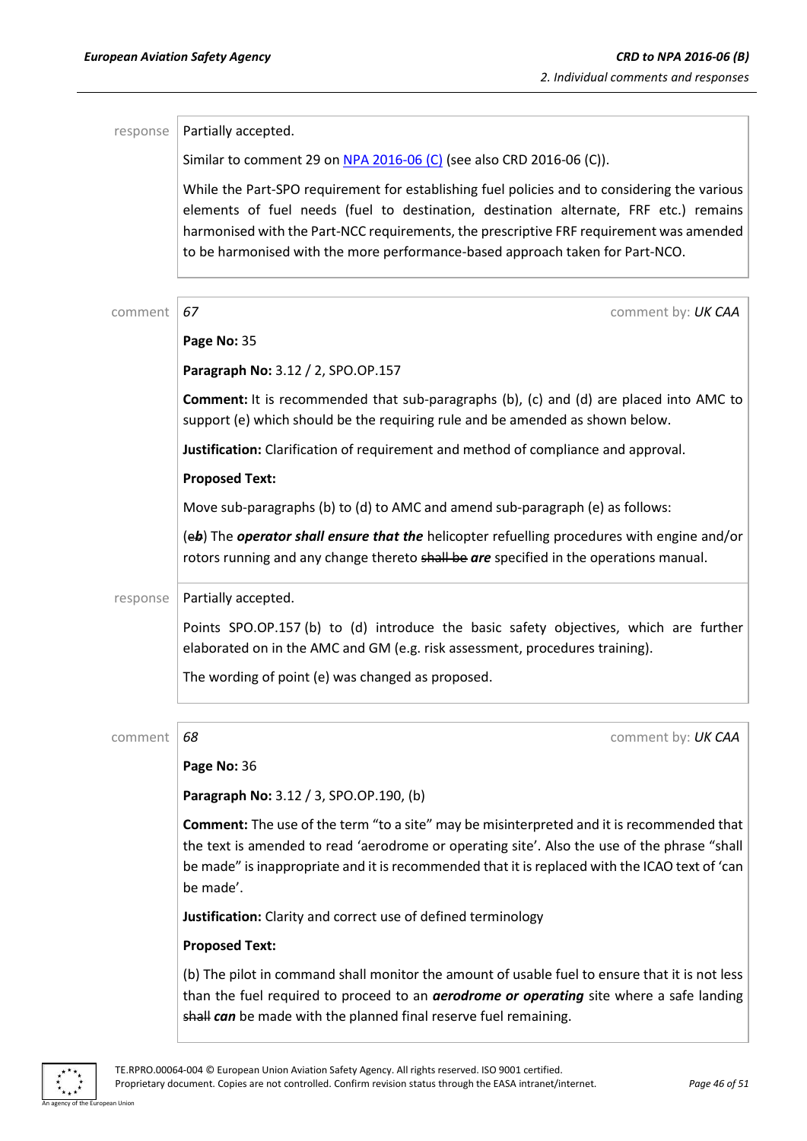| response | Partially accepted.                                                                                                                                                                                                                                                                                                                                               |
|----------|-------------------------------------------------------------------------------------------------------------------------------------------------------------------------------------------------------------------------------------------------------------------------------------------------------------------------------------------------------------------|
|          | Similar to comment 29 on NPA 2016-06 (C) (see also CRD 2016-06 (C)).                                                                                                                                                                                                                                                                                              |
|          | While the Part-SPO requirement for establishing fuel policies and to considering the various<br>elements of fuel needs (fuel to destination, destination alternate, FRF etc.) remains<br>harmonised with the Part-NCC requirements, the prescriptive FRF requirement was amended<br>to be harmonised with the more performance-based approach taken for Part-NCO. |
| comment  | 67<br>comment by: UK CAA                                                                                                                                                                                                                                                                                                                                          |
|          | Page No: 35                                                                                                                                                                                                                                                                                                                                                       |
|          | Paragraph No: 3.12 / 2, SPO.OP.157                                                                                                                                                                                                                                                                                                                                |
|          | <b>Comment:</b> It is recommended that sub-paragraphs (b), (c) and (d) are placed into AMC to<br>support (e) which should be the requiring rule and be amended as shown below.                                                                                                                                                                                    |
|          | Justification: Clarification of requirement and method of compliance and approval.                                                                                                                                                                                                                                                                                |
|          | <b>Proposed Text:</b>                                                                                                                                                                                                                                                                                                                                             |
|          | Move sub-paragraphs (b) to (d) to AMC and amend sub-paragraph (e) as follows:                                                                                                                                                                                                                                                                                     |
|          | (eb) The operator shall ensure that the helicopter refuelling procedures with engine and/or<br>rotors running and any change thereto shall be are specified in the operations manual.                                                                                                                                                                             |
| response | Partially accepted.                                                                                                                                                                                                                                                                                                                                               |
|          | Points SPO.OP.157 (b) to (d) introduce the basic safety objectives, which are further<br>elaborated on in the AMC and GM (e.g. risk assessment, procedures training).                                                                                                                                                                                             |
|          | The wording of point (e) was changed as proposed.                                                                                                                                                                                                                                                                                                                 |
| comment  | 68<br>comment by: UK CAA                                                                                                                                                                                                                                                                                                                                          |
|          | Page No: 36                                                                                                                                                                                                                                                                                                                                                       |
|          | Paragraph No: 3.12 / 3, SPO.OP.190, (b)                                                                                                                                                                                                                                                                                                                           |
|          | <b>Comment:</b> The use of the term "to a site" may be misinterpreted and it is recommended that<br>the text is amended to read 'aerodrome or operating site'. Also the use of the phrase "shall<br>be made" is inappropriate and it is recommended that it is replaced with the ICAO text of 'can<br>be made'.                                                   |
|          | Justification: Clarity and correct use of defined terminology                                                                                                                                                                                                                                                                                                     |
|          | <b>Proposed Text:</b>                                                                                                                                                                                                                                                                                                                                             |
|          | (b) The pilot in command shall monitor the amount of usable fuel to ensure that it is not less<br>than the fuel required to proceed to an <b>aerodrome or operating</b> site where a safe landing<br>shall can be made with the planned final reserve fuel remaining.                                                                                             |

 $\ddot{\ast}$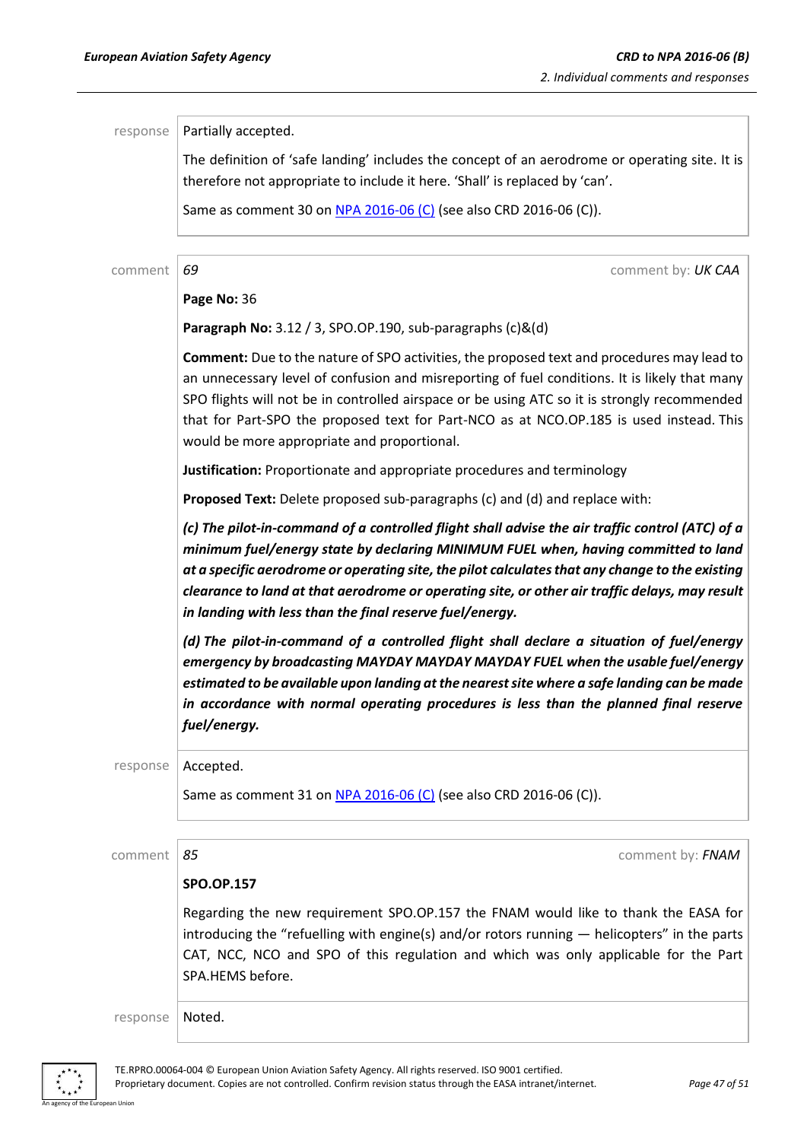| response | Partially accepted.                                                                                                                                                                                                                                                                                                                                                                                                                                    |
|----------|--------------------------------------------------------------------------------------------------------------------------------------------------------------------------------------------------------------------------------------------------------------------------------------------------------------------------------------------------------------------------------------------------------------------------------------------------------|
|          | The definition of 'safe landing' includes the concept of an aerodrome or operating site. It is                                                                                                                                                                                                                                                                                                                                                         |
|          | therefore not appropriate to include it here. 'Shall' is replaced by 'can'.                                                                                                                                                                                                                                                                                                                                                                            |
|          | Same as comment 30 on NPA 2016-06 (C) (see also CRD 2016-06 (C)).                                                                                                                                                                                                                                                                                                                                                                                      |
|          |                                                                                                                                                                                                                                                                                                                                                                                                                                                        |
| comment  | 69<br>comment by: UK CAA                                                                                                                                                                                                                                                                                                                                                                                                                               |
|          | Page No: 36                                                                                                                                                                                                                                                                                                                                                                                                                                            |
|          | Paragraph No: 3.12 / 3, SPO.OP.190, sub-paragraphs (c)&(d)                                                                                                                                                                                                                                                                                                                                                                                             |
|          | Comment: Due to the nature of SPO activities, the proposed text and procedures may lead to<br>an unnecessary level of confusion and misreporting of fuel conditions. It is likely that many<br>SPO flights will not be in controlled airspace or be using ATC so it is strongly recommended<br>that for Part-SPO the proposed text for Part-NCO as at NCO.OP.185 is used instead. This<br>would be more appropriate and proportional.                  |
|          | Justification: Proportionate and appropriate procedures and terminology                                                                                                                                                                                                                                                                                                                                                                                |
|          | Proposed Text: Delete proposed sub-paragraphs (c) and (d) and replace with:                                                                                                                                                                                                                                                                                                                                                                            |
|          | (c) The pilot-in-command of a controlled flight shall advise the air traffic control (ATC) of a<br>minimum fuel/energy state by declaring MINIMUM FUEL when, having committed to land<br>at a specific aerodrome or operating site, the pilot calculates that any change to the existing<br>clearance to land at that aerodrome or operating site, or other air traffic delays, may result<br>in landing with less than the final reserve fuel/energy. |
|          | (d) The pilot-in-command of a controlled flight shall declare a situation of fuel/energy<br>emergency by broadcasting MAYDAY MAYDAY MAYDAY FUEL when the usable fuel/energy<br>estimated to be available upon landing at the nearest site where a safe landing can be made<br>in accordance with normal operating procedures is less than the planned final reserve<br>fuel/energy.                                                                    |
| response | Accepted.                                                                                                                                                                                                                                                                                                                                                                                                                                              |
|          | Same as comment 31 on NPA 2016-06 (C) (see also CRD 2016-06 (C)).                                                                                                                                                                                                                                                                                                                                                                                      |
|          |                                                                                                                                                                                                                                                                                                                                                                                                                                                        |
| comment  | 85<br>comment by: FNAM                                                                                                                                                                                                                                                                                                                                                                                                                                 |
|          | <b>SPO.OP.157</b>                                                                                                                                                                                                                                                                                                                                                                                                                                      |
|          | Regarding the new requirement SPO.OP.157 the FNAM would like to thank the EASA for<br>introducing the "refuelling with engine(s) and/or rotors running $-$ helicopters" in the parts<br>CAT, NCC, NCO and SPO of this regulation and which was only applicable for the Part<br>SPA.HEMS before.                                                                                                                                                        |
| response | Noted.                                                                                                                                                                                                                                                                                                                                                                                                                                                 |



an Union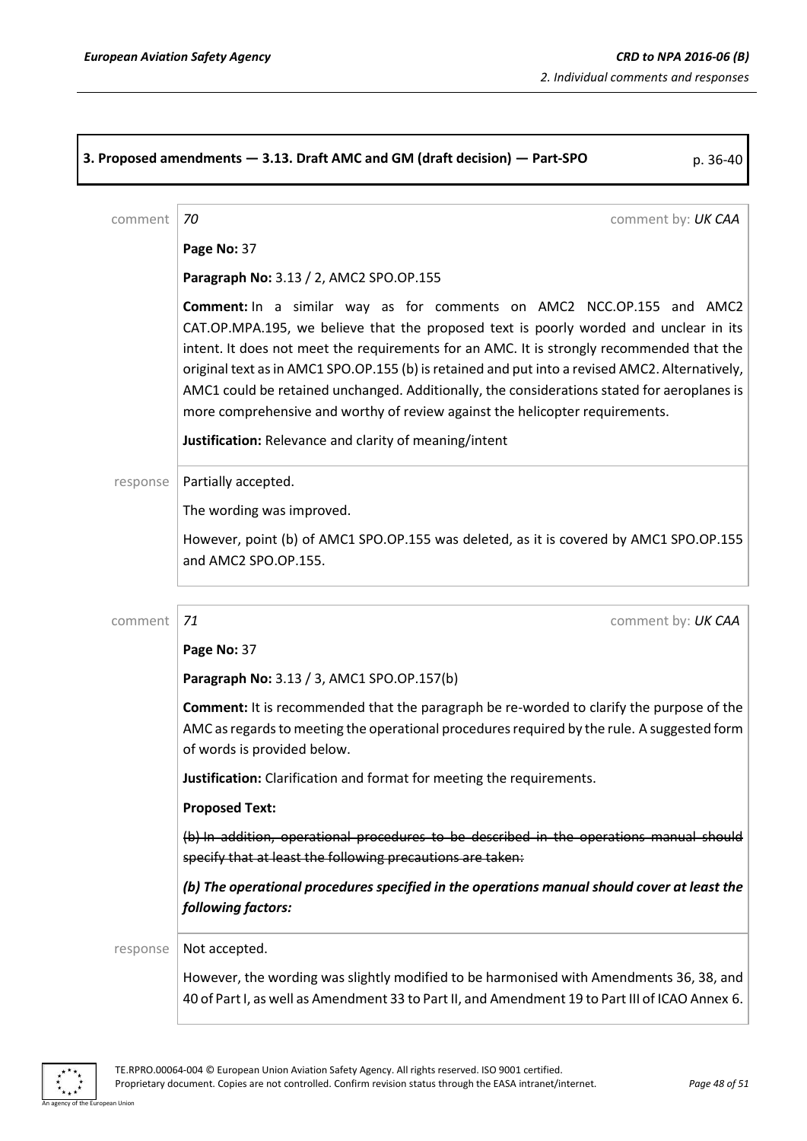|          | 3. Proposed amendments - 3.13. Draft AMC and GM (draft decision) - Part-SPO<br>p. 36-40                                                                                                                                                                                                                                                                                                                                                                                                                                                              |
|----------|------------------------------------------------------------------------------------------------------------------------------------------------------------------------------------------------------------------------------------------------------------------------------------------------------------------------------------------------------------------------------------------------------------------------------------------------------------------------------------------------------------------------------------------------------|
| comment  | 70<br>comment by: UK CAA                                                                                                                                                                                                                                                                                                                                                                                                                                                                                                                             |
|          | Page No: 37                                                                                                                                                                                                                                                                                                                                                                                                                                                                                                                                          |
|          | Paragraph No: 3.13 / 2, AMC2 SPO.OP.155                                                                                                                                                                                                                                                                                                                                                                                                                                                                                                              |
|          | <b>Comment:</b> In a similar way as for comments on AMC2 NCC.OP.155 and AMC2<br>CAT.OP.MPA.195, we believe that the proposed text is poorly worded and unclear in its<br>intent. It does not meet the requirements for an AMC. It is strongly recommended that the<br>original text as in AMC1 SPO.OP.155 (b) is retained and put into a revised AMC2. Alternatively,<br>AMC1 could be retained unchanged. Additionally, the considerations stated for aeroplanes is<br>more comprehensive and worthy of review against the helicopter requirements. |
|          | Justification: Relevance and clarity of meaning/intent                                                                                                                                                                                                                                                                                                                                                                                                                                                                                               |
| response | Partially accepted.                                                                                                                                                                                                                                                                                                                                                                                                                                                                                                                                  |
|          | The wording was improved.                                                                                                                                                                                                                                                                                                                                                                                                                                                                                                                            |
|          | However, point (b) of AMC1 SPO.OP.155 was deleted, as it is covered by AMC1 SPO.OP.155<br>and AMC2 SPO.OP.155.                                                                                                                                                                                                                                                                                                                                                                                                                                       |
| comment  | 71<br>comment by: UK CAA                                                                                                                                                                                                                                                                                                                                                                                                                                                                                                                             |
|          | Page No: 37                                                                                                                                                                                                                                                                                                                                                                                                                                                                                                                                          |
|          | Paragraph No: 3.13 / 3, AMC1 SPO.OP.157(b)                                                                                                                                                                                                                                                                                                                                                                                                                                                                                                           |
|          | <b>Comment:</b> It is recommended that the paragraph be re-worded to clarify the purpose of the<br>AMC as regards to meeting the operational procedures required by the rule. A suggested form<br>of words is provided below.                                                                                                                                                                                                                                                                                                                        |
|          | Justification: Clarification and format for meeting the requirements.                                                                                                                                                                                                                                                                                                                                                                                                                                                                                |
|          | <b>Proposed Text:</b>                                                                                                                                                                                                                                                                                                                                                                                                                                                                                                                                |
|          | (b) In addition, operational procedures to be described in the operations manual should<br>specify that at least the following precautions are taken:                                                                                                                                                                                                                                                                                                                                                                                                |
|          | (b) The operational procedures specified in the operations manual should cover at least the<br>following factors:                                                                                                                                                                                                                                                                                                                                                                                                                                    |
| response | Not accepted.                                                                                                                                                                                                                                                                                                                                                                                                                                                                                                                                        |
|          | However, the wording was slightly modified to be harmonised with Amendments 36, 38, and<br>40 of Part I, as well as Amendment 33 to Part II, and Amendment 19 to Part III of ICAO Annex 6.                                                                                                                                                                                                                                                                                                                                                           |

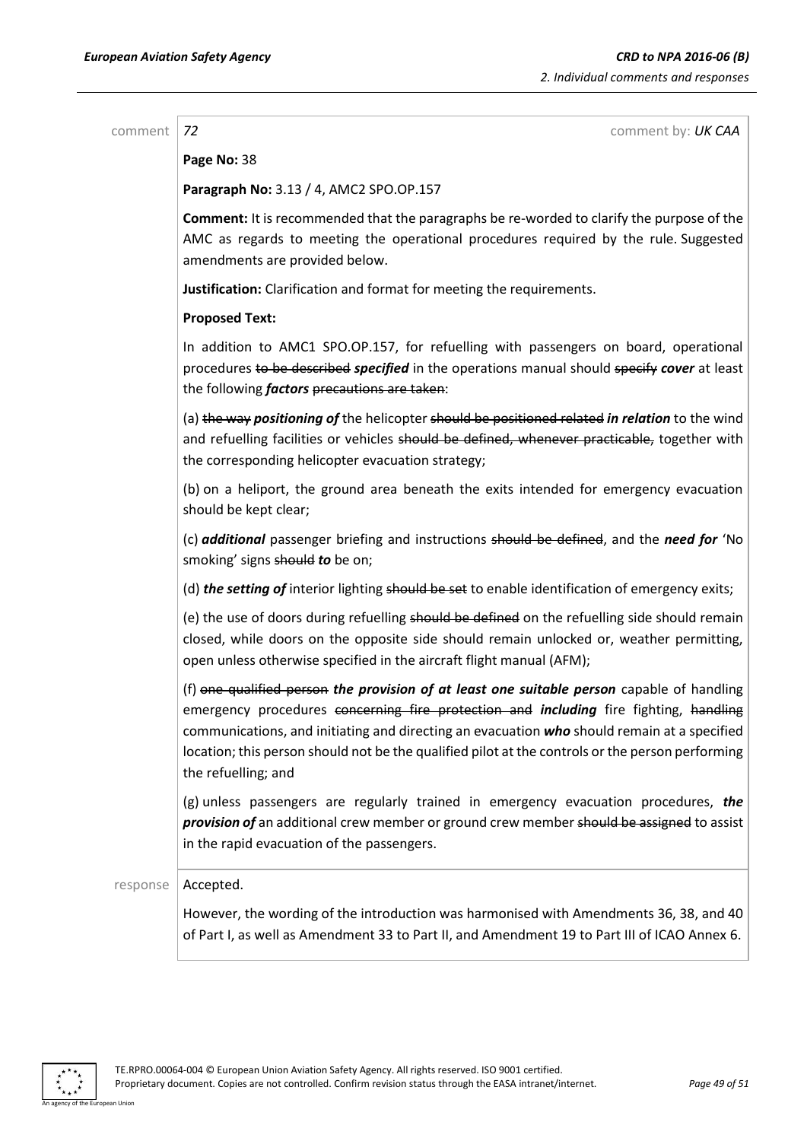comment *72* comment by: *UK CAA*

**Page No:** 38

**Paragraph No:** 3.13 / 4, AMC2 SPO.OP.157

**Comment:** It is recommended that the paragraphs be re-worded to clarify the purpose of the AMC as regards to meeting the operational procedures required by the rule. Suggested amendments are provided below.

**Justification:** Clarification and format for meeting the requirements.

### **Proposed Text:**

In addition to AMC1 SPO.OP.157, for refuelling with passengers on board, operational procedures to be described *specified* in the operations manual should specify *cover* at least the following *factors* precautions are taken:

(a) the way *positioning of* the helicopter should be positioned related *in relation* to the wind and refuelling facilities or vehicles should be defined, whenever practicable, together with the corresponding helicopter evacuation strategy;

(b) on a heliport, the ground area beneath the exits intended for emergency evacuation should be kept clear;

(c) *additional* passenger briefing and instructions should be defined, and the *need for* 'No smoking' signs should *to* be on;

(d) **the setting of** interior lighting should be set to enable identification of emergency exits;

(e) the use of doors during refuelling should be defined on the refuelling side should remain closed, while doors on the opposite side should remain unlocked or, weather permitting, open unless otherwise specified in the aircraft flight manual (AFM);

(f) one qualified person *the provision of at least one suitable person* capable of handling emergency procedures concerning fire protection and *including* fire fighting, handling communications, and initiating and directing an evacuation *who* should remain at a specified location; this person should not be the qualified pilot at the controls or the person performing the refuelling; and

(g) unless passengers are regularly trained in emergency evacuation procedures, *the*  **provision of** an additional crew member or ground crew member should be assigned to assist in the rapid evacuation of the passengers.

### response | Accepted.

However, the wording of the introduction was harmonised with Amendments 36, 38, and 40 of Part I, as well as Amendment 33 to Part II, and Amendment 19 to Part III of ICAO Annex 6.

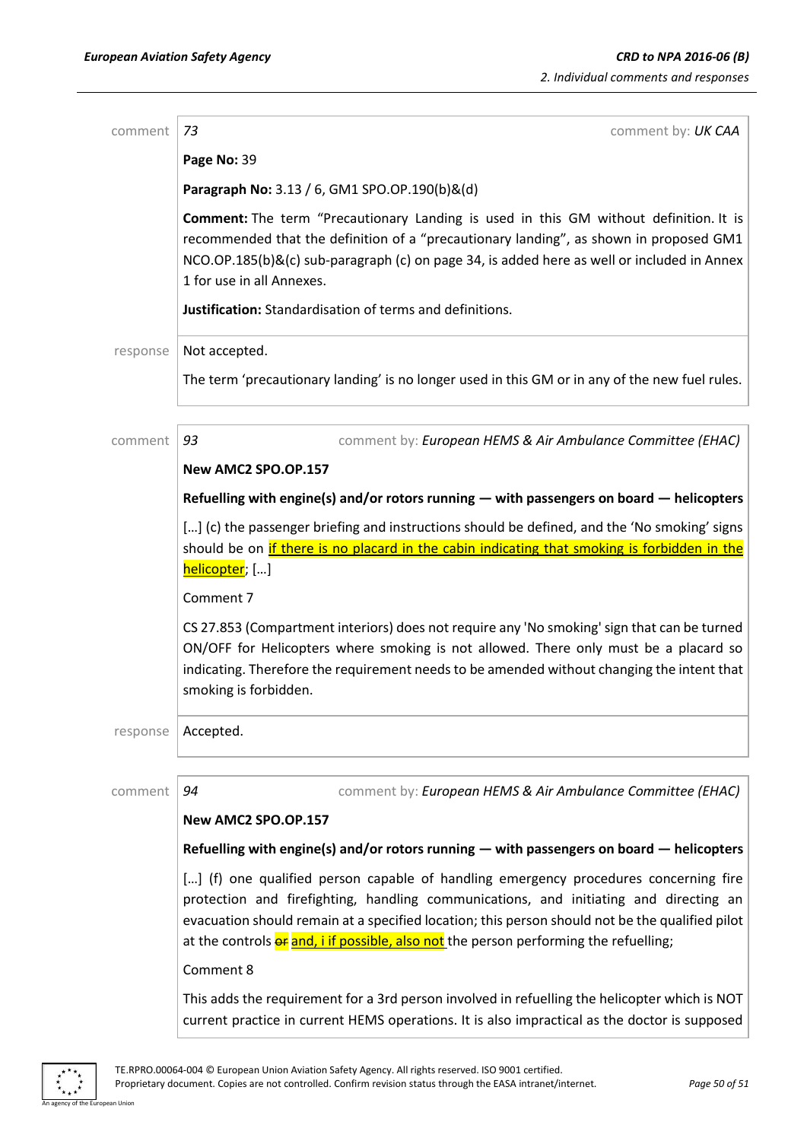| comment  | 73<br>comment by: UK CAA                                                                                                                                                                                                                                                                                                                                                  |
|----------|---------------------------------------------------------------------------------------------------------------------------------------------------------------------------------------------------------------------------------------------------------------------------------------------------------------------------------------------------------------------------|
|          | Page No: 39                                                                                                                                                                                                                                                                                                                                                               |
|          | Paragraph No: 3.13 / 6, GM1 SPO.OP.190(b)&(d)                                                                                                                                                                                                                                                                                                                             |
|          | Comment: The term "Precautionary Landing is used in this GM without definition. It is<br>recommended that the definition of a "precautionary landing", as shown in proposed GM1<br>NCO.OP.185(b)&(c) sub-paragraph (c) on page 34, is added here as well or included in Annex<br>1 for use in all Annexes.                                                                |
|          | Justification: Standardisation of terms and definitions.                                                                                                                                                                                                                                                                                                                  |
| response | Not accepted.                                                                                                                                                                                                                                                                                                                                                             |
|          | The term 'precautionary landing' is no longer used in this GM or in any of the new fuel rules.                                                                                                                                                                                                                                                                            |
| comment  | 93<br>comment by: European HEMS & Air Ambulance Committee (EHAC)                                                                                                                                                                                                                                                                                                          |
|          | New AMC2 SPO.OP.157                                                                                                                                                                                                                                                                                                                                                       |
|          | Refuelling with engine(s) and/or rotors running — with passengers on board — helicopters                                                                                                                                                                                                                                                                                  |
|          | [] (c) the passenger briefing and instructions should be defined, and the 'No smoking' signs<br>should be on if there is no placard in the cabin indicating that smoking is forbidden in the<br>helicopter; []                                                                                                                                                            |
|          | Comment 7                                                                                                                                                                                                                                                                                                                                                                 |
|          | CS 27.853 (Compartment interiors) does not require any 'No smoking' sign that can be turned<br>ON/OFF for Helicopters where smoking is not allowed. There only must be a placard so<br>indicating. Therefore the requirement needs to be amended without changing the intent that<br>smoking is forbidden.                                                                |
| response | Accepted.                                                                                                                                                                                                                                                                                                                                                                 |
| comment  | 94<br>comment by: European HEMS & Air Ambulance Committee (EHAC)                                                                                                                                                                                                                                                                                                          |
|          | New AMC2 SPO.OP.157                                                                                                                                                                                                                                                                                                                                                       |
|          | Refuelling with engine(s) and/or rotors running — with passengers on board — helicopters                                                                                                                                                                                                                                                                                  |
|          | [] (f) one qualified person capable of handling emergency procedures concerning fire<br>protection and firefighting, handling communications, and initiating and directing an<br>evacuation should remain at a specified location; this person should not be the qualified pilot<br>at the controls or and, i if possible, also not the person performing the refuelling; |
|          | Comment 8                                                                                                                                                                                                                                                                                                                                                                 |
|          | This adds the requirement for a 3rd person involved in refuelling the helicopter which is NOT<br>current practice in current HEMS operations. It is also impractical as the doctor is supposed                                                                                                                                                                            |